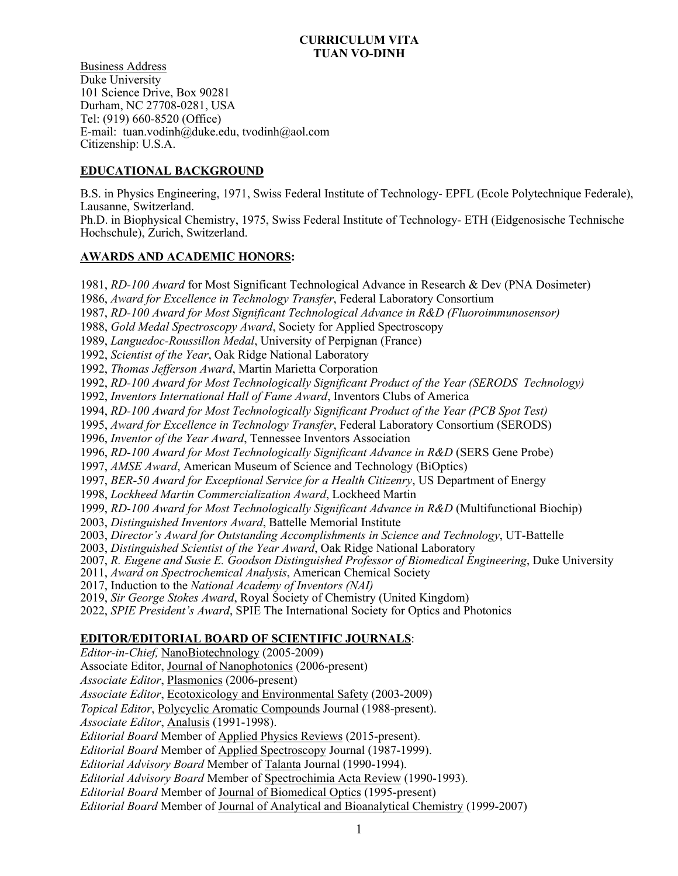### **CURRICULUM VITA TUAN VO-DINH**

Business Address Duke University 101 Science Drive, Box 90281 Durham, NC 27708-0281, USA Tel: (919) 660-8520 (Office) E-mail: tuan.vodinh@duke.edu, tvodinh@aol.com Citizenship: U.S.A.

# **EDUCATIONAL BACKGROUND**

B.S. in Physics Engineering, 1971, Swiss Federal Institute of Technology- EPFL (Ecole Polytechnique Federale), Lausanne, Switzerland.

Ph.D. in Biophysical Chemistry, 1975, Swiss Federal Institute of Technology- ETH (Eidgenosische Technische Hochschule), Zurich, Switzerland.

## **AWARDS AND ACADEMIC HONORS:**

1981, *RD-100 Award* for Most Significant Technological Advance in Research & Dev (PNA Dosimeter)

1986, *Award for Excellence in Technology Transfer*, Federal Laboratory Consortium

1987, *RD-100 Award for Most Significant Technological Advance in R&D (Fluoroimmunosensor)*

1988, *Gold Medal Spectroscopy Award*, Society for Applied Spectroscopy

1989, *Languedoc-Roussillon Medal*, University of Perpignan (France)

1992, *Scientist of the Year*, Oak Ridge National Laboratory

1992, *Thomas Jefferson Award*, Martin Marietta Corporation

1992, *RD-100 Award for Most Technologically Significant Product of the Year (SERODS Technology)*

1992, *Inventors International Hall of Fame Award*, Inventors Clubs of America

1994, *RD-100 Award for Most Technologically Significant Product of the Year (PCB Spot Test)*

1995, *Award for Excellence in Technology Transfer*, Federal Laboratory Consortium (SERODS)

1996, *Inventor of the Year Award*, Tennessee Inventors Association

1996, *RD-100 Award for Most Technologically Significant Advance in R&D* (SERS Gene Probe)

1997, *AMSE Award*, American Museum of Science and Technology (BiOptics)

1997, *BER-50 Award for Exceptional Service for a Health Citizenry*, US Department of Energy

1998, *Lockheed Martin Commercialization Award*, Lockheed Martin

1999, *RD-100 Award for Most Technologically Significant Advance in R&D* (Multifunctional Biochip)

2003, *Distinguished Inventors Award*, Battelle Memorial Institute

2003, *Director's Award for Outstanding Accomplishments in Science and Technology*, UT-Battelle

2003, *Distinguished Scientist of the Year Award*, Oak Ridge National Laboratory

2007, *R. Eugene and Susie E. Goodson Distinguished Professor of Biomedical Engineering*, Duke University

2011, *Award on Spectrochemical Analysis*, American Chemical Society

2017, Induction to the *National Academy of Inventors (NAI)*

2019, *Sir George Stokes Award*, Royal Society of Chemistry (United Kingdom)

2022, *SPIE President's Award*, SPIE The International Society for Optics and Photonics

## **EDITOR/EDITORIAL BOARD OF SCIENTIFIC JOURNALS**:

*Editor-in-Chief,* NanoBiotechnology (2005-2009)

Associate Editor, Journal of Nanophotonics (2006-present)

*Associate Editor*, Plasmonics (2006-present)

*Associate Editor*, Ecotoxicology and Environmental Safety (2003-2009)

*Topical Editor*, Polycyclic Aromatic Compounds Journal (1988-present).

*Associate Editor*, Analusis (1991-1998).

*Editorial Board* Member of Applied Physics Reviews (2015-present).

*Editorial Board* Member of Applied Spectroscopy Journal (1987-1999).

*Editorial Advisory Board* Member of Talanta Journal (1990-1994).

*Editorial Advisory Board* Member of Spectrochimia Acta Review (1990-1993).

*Editorial Board* Member of Journal of Biomedical Optics (1995-present)

*Editorial Board* Member of Journal of Analytical and Bioanalytical Chemistry (1999-2007)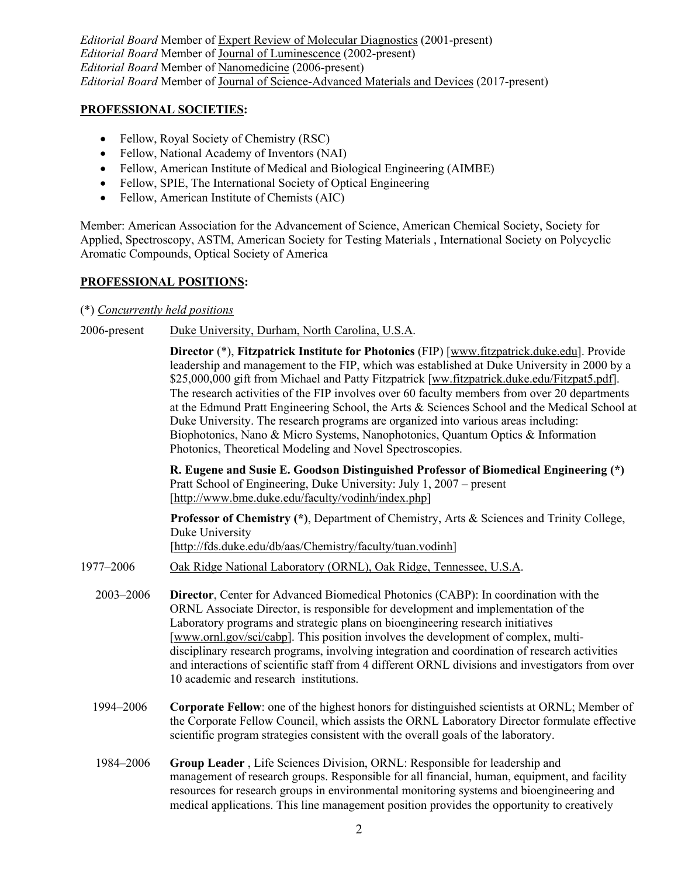*Editorial Board* Member of Expert Review of Molecular Diagnostics (2001-present) *Editorial Board* Member of Journal of Luminescence (2002-present) *Editorial Board* Member of Nanomedicine (2006-present) *Editorial Board* Member of Journal of Science-Advanced Materials and Devices (2017-present)

## **PROFESSIONAL SOCIETIES:**

- Fellow, Royal Society of Chemistry (RSC)
- Fellow, National Academy of Inventors (NAI)
- Fellow, American Institute of Medical and Biological Engineering (AIMBE)
- Fellow, SPIE, The International Society of Optical Engineering
- Fellow, American Institute of Chemists (AIC)

Member: American Association for the Advancement of Science, American Chemical Society, Society for Applied, Spectroscopy, ASTM, American Society for Testing Materials , International Society on Polycyclic Aromatic Compounds, Optical Society of America

## **PROFESSIONAL POSITIONS:**

## (\*) *Concurrently held positions*

2006-present Duke University, Durham, North Carolina, U.S.A.

**Director** (\*), **Fitzpatrick Institute for Photonics** (FIP) [www.fitzpatrick.duke.edu]. Provide leadership and management to the FIP, which was established at Duke University in 2000 by a \$25,000,000 gift from Michael and Patty Fitzpatrick [ww.fitzpatrick.duke.edu/Fitzpat5.pdf]. The research activities of the FIP involves over 60 faculty members from over 20 departments at the Edmund Pratt Engineering School, the Arts & Sciences School and the Medical School at Duke University. The research programs are organized into various areas including: Biophotonics, Nano & Micro Systems, Nanophotonics, Quantum Optics & Information Photonics, Theoretical Modeling and Novel Spectroscopies.

**R. Eugene and Susie E. Goodson Distinguished Professor of Biomedical Engineering (\*)**  Pratt School of Engineering, Duke University: July 1, 2007 – present [http://www.bme.duke.edu/faculty/vodinh/index.php]

**Professor of Chemistry (\*)**, Department of Chemistry, Arts & Sciences and Trinity College, Duke University [http://fds.duke.edu/db/aas/Chemistry/faculty/tuan.vodinh]

- 1977–2006 Oak Ridge National Laboratory (ORNL), Oak Ridge, Tennessee, U.S.A.
	- 2003–2006 **Director**, Center for Advanced Biomedical Photonics (CABP): In coordination with the ORNL Associate Director, is responsible for development and implementation of the Laboratory programs and strategic plans on bioengineering research initiatives [www.ornl.gov/sci/cabp]. This position involves the development of complex, multidisciplinary research programs, involving integration and coordination of research activities and interactions of scientific staff from 4 different ORNL divisions and investigators from over 10 academic and research institutions.
	- 1994–2006 **Corporate Fellow**: one of the highest honors for distinguished scientists at ORNL; Member of the Corporate Fellow Council, which assists the ORNL Laboratory Director formulate effective scientific program strategies consistent with the overall goals of the laboratory.
	- 1984–2006 **Group Leader** , Life Sciences Division, ORNL: Responsible for leadership and management of research groups. Responsible for all financial, human, equipment, and facility resources for research groups in environmental monitoring systems and bioengineering and medical applications. This line management position provides the opportunity to creatively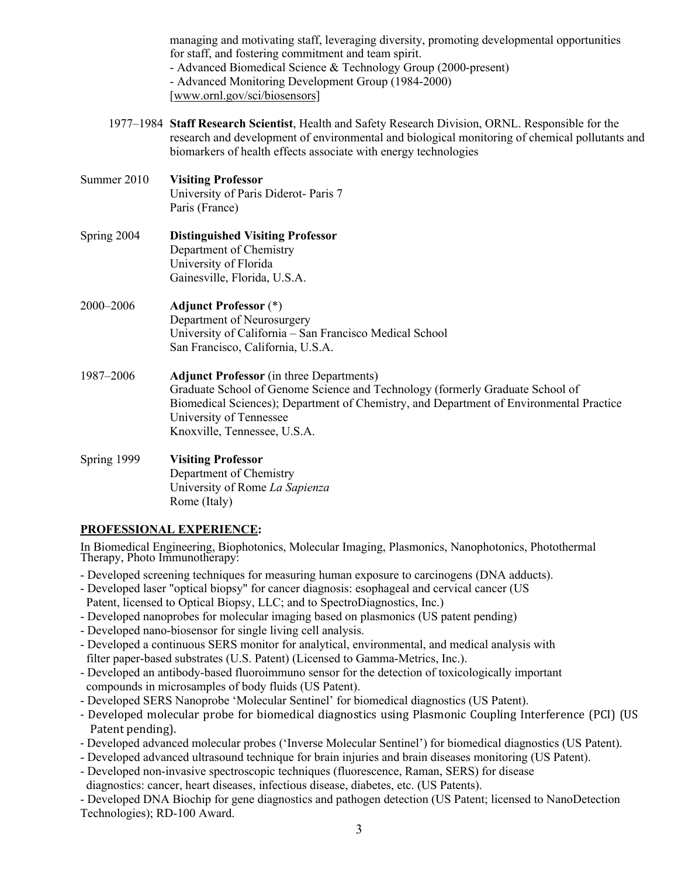managing and motivating staff, leveraging diversity, promoting developmental opportunities for staff, and fostering commitment and team spirit. - Advanced Biomedical Science & Technology Group (2000-present) - Advanced Monitoring Development Group (1984-2000) [www.ornl.gov/sci/biosensors]

- 1977–1984 **Staff Research Scientist**, Health and Safety Research Division, ORNL. Responsible for the research and development of environmental and biological monitoring of chemical pollutants and biomarkers of health effects associate with energy technologies
- Summer 2010 **Visiting Professor** University of Paris Diderot- Paris 7 Paris (France)
- Spring 2004 **Distinguished Visiting Professor** Department of Chemistry University of Florida Gainesville, Florida, U.S.A.
- 2000–2006 **Adjunct Professor** (\*) Department of Neurosurgery University of California – San Francisco Medical School San Francisco, California, U.S.A.
- 1987–2006 **Adjunct Professor** (in three Departments) Graduate School of Genome Science and Technology (formerly Graduate School of Biomedical Sciences); Department of Chemistry, and Department of Environmental Practice University of Tennessee Knoxville, Tennessee, U.S.A.

## Spring 1999 **Visiting Professor** Department of Chemistry University of Rome *La Sapienza* Rome (Italy)

# **PROFESSIONAL EXPERIENCE:**

In Biomedical Engineering, Biophotonics, Molecular Imaging, Plasmonics, Nanophotonics, Photothermal Therapy, Photo Immunotherapy:

- Developed screening techniques for measuring human exposure to carcinogens (DNA adducts).
- Developed laser "optical biopsy" for cancer diagnosis: esophageal and cervical cancer (US Patent, licensed to Optical Biopsy, LLC; and to SpectroDiagnostics, Inc.)
- Developed nanoprobes for molecular imaging based on plasmonics (US patent pending)
- Developed nano-biosensor for single living cell analysis.
- Developed a continuous SERS monitor for analytical, environmental, and medical analysis with filter paper-based substrates (U.S. Patent) (Licensed to Gamma-Metrics, Inc.).
- Developed an antibody-based fluoroimmuno sensor for the detection of toxicologically important compounds in microsamples of body fluids (US Patent).
- Developed SERS Nanoprobe 'Molecular Sentinel' for biomedical diagnostics (US Patent).
- Developed molecular probe for biomedical diagnostics using Plasmonic Coupling Interference (PCI) (US Patent pending).
- Developed advanced molecular probes ('Inverse Molecular Sentinel') for biomedical diagnostics (US Patent).
- Developed advanced ultrasound technique for brain injuries and brain diseases monitoring (US Patent).
- Developed non-invasive spectroscopic techniques (fluorescence, Raman, SERS) for disease
- diagnostics: cancer, heart diseases, infectious disease, diabetes, etc. (US Patents).

- Developed DNA Biochip for gene diagnostics and pathogen detection (US Patent; licensed to NanoDetection Technologies); RD-100 Award.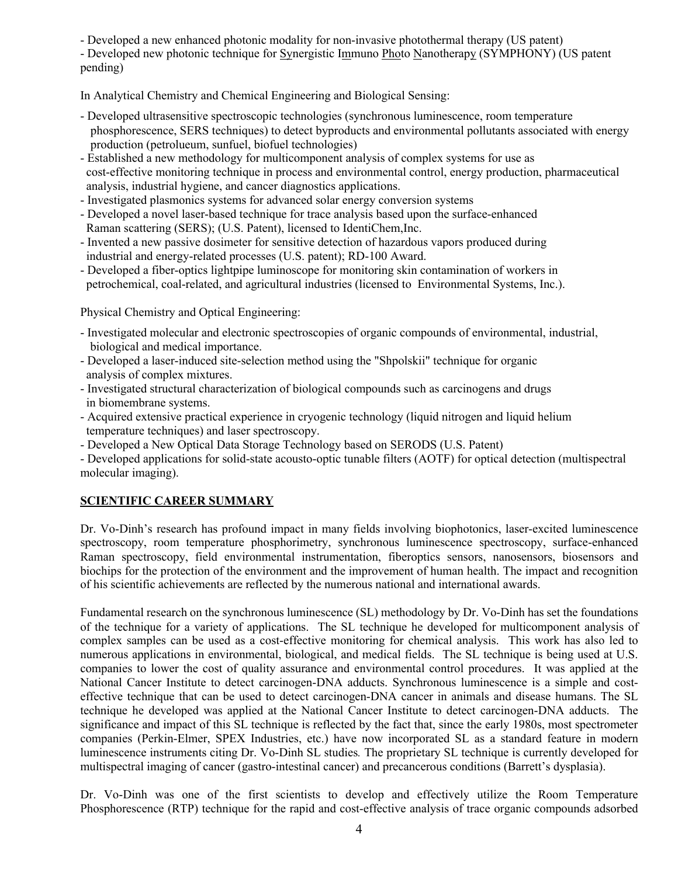- Developed a new enhanced photonic modality for non-invasive photothermal therapy (US patent)

- Developed new photonic technique for Synergistic Immuno Photo Nanotherapy (SYMPHONY) (US patent pending)

In Analytical Chemistry and Chemical Engineering and Biological Sensing:

- Developed ultrasensitive spectroscopic technologies (synchronous luminescence, room temperature phosphorescence, SERS techniques) to detect byproducts and environmental pollutants associated with energy production (petrolueum, sunfuel, biofuel technologies)
- Established a new methodology for multicomponent analysis of complex systems for use as cost-effective monitoring technique in process and environmental control, energy production, pharmaceutical analysis, industrial hygiene, and cancer diagnostics applications.
- Investigated plasmonics systems for advanced solar energy conversion systems
- Developed a novel laser-based technique for trace analysis based upon the surface-enhanced Raman scattering (SERS); (U.S. Patent), licensed to IdentiChem,Inc.
- Invented a new passive dosimeter for sensitive detection of hazardous vapors produced during industrial and energy-related processes (U.S. patent); RD-100 Award.
- Developed a fiber-optics lightpipe luminoscope for monitoring skin contamination of workers in petrochemical, coal-related, and agricultural industries (licensed to Environmental Systems, Inc.).

Physical Chemistry and Optical Engineering:

- Investigated molecular and electronic spectroscopies of organic compounds of environmental, industrial, biological and medical importance.
- Developed a laser-induced site-selection method using the "Shpolskii" technique for organic analysis of complex mixtures.
- Investigated structural characterization of biological compounds such as carcinogens and drugs in biomembrane systems.
- Acquired extensive practical experience in cryogenic technology (liquid nitrogen and liquid helium temperature techniques) and laser spectroscopy.
- Developed a New Optical Data Storage Technology based on SERODS (U.S. Patent)
- Developed applications for solid-state acousto-optic tunable filters (AOTF) for optical detection (multispectral molecular imaging).

# **SCIENTIFIC CAREER SUMMARY**

Dr. Vo-Dinh's research has profound impact in many fields involving biophotonics, laser-excited luminescence spectroscopy, room temperature phosphorimetry, synchronous luminescence spectroscopy, surface-enhanced Raman spectroscopy, field environmental instrumentation, fiberoptics sensors, nanosensors, biosensors and biochips for the protection of the environment and the improvement of human health. The impact and recognition of his scientific achievements are reflected by the numerous national and international awards.

Fundamental research on the synchronous luminescence (SL) methodology by Dr. Vo-Dinh has set the foundations of the technique for a variety of applications. The SL technique he developed for multicomponent analysis of complex samples can be used as a cost-effective monitoring for chemical analysis. This work has also led to numerous applications in environmental, biological, and medical fields. The SL technique is being used at U.S. companies to lower the cost of quality assurance and environmental control procedures. It was applied at the National Cancer Institute to detect carcinogen-DNA adducts. Synchronous luminescence is a simple and costeffective technique that can be used to detect carcinogen-DNA cancer in animals and disease humans. The SL technique he developed was applied at the National Cancer Institute to detect carcinogen-DNA adducts. The significance and impact of this SL technique is reflected by the fact that, since the early 1980s, most spectrometer companies (Perkin-Elmer, SPEX Industries, etc.) have now incorporated SL as a standard feature in modern luminescence instruments citing Dr. Vo-Dinh SL studies*.* The proprietary SL technique is currently developed for multispectral imaging of cancer (gastro-intestinal cancer) and precancerous conditions (Barrett's dysplasia).

Dr. Vo-Dinh was one of the first scientists to develop and effectively utilize the Room Temperature Phosphorescence (RTP) technique for the rapid and cost-effective analysis of trace organic compounds adsorbed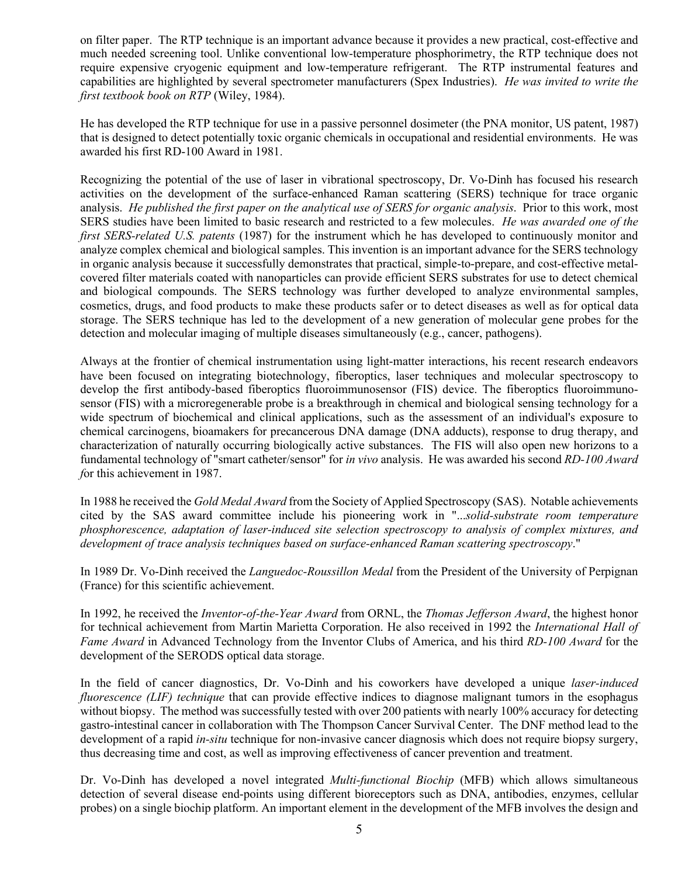on filter paper. The RTP technique is an important advance because it provides a new practical, cost-effective and much needed screening tool. Unlike conventional low-temperature phosphorimetry, the RTP technique does not require expensive cryogenic equipment and low-temperature refrigerant. The RTP instrumental features and capabilities are highlighted by several spectrometer manufacturers (Spex Industries). *He was invited to write the first textbook book on RTP* (Wiley, 1984).

He has developed the RTP technique for use in a passive personnel dosimeter (the PNA monitor, US patent, 1987) that is designed to detect potentially toxic organic chemicals in occupational and residential environments. He was awarded his first RD-100 Award in 1981.

Recognizing the potential of the use of laser in vibrational spectroscopy, Dr. Vo-Dinh has focused his research activities on the development of the surface-enhanced Raman scattering (SERS) technique for trace organic analysis. *He published the first paper on the analytical use of SERS for organic analysis*. Prior to this work, most SERS studies have been limited to basic research and restricted to a few molecules. *He was awarded one of the first SERS-related U.S. patents* (1987) for the instrument which he has developed to continuously monitor and analyze complex chemical and biological samples. This invention is an important advance for the SERS technology in organic analysis because it successfully demonstrates that practical, simple-to-prepare, and cost-effective metalcovered filter materials coated with nanoparticles can provide efficient SERS substrates for use to detect chemical and biological compounds. The SERS technology was further developed to analyze environmental samples, cosmetics, drugs, and food products to make these products safer or to detect diseases as well as for optical data storage. The SERS technique has led to the development of a new generation of molecular gene probes for the detection and molecular imaging of multiple diseases simultaneously (e.g., cancer, pathogens).

Always at the frontier of chemical instrumentation using light-matter interactions, his recent research endeavors have been focused on integrating biotechnology, fiberoptics, laser techniques and molecular spectroscopy to develop the first antibody-based fiberoptics fluoroimmunosensor (FIS) device. The fiberoptics fluoroimmunosensor (FIS) with a microregenerable probe is a breakthrough in chemical and biological sensing technology for a wide spectrum of biochemical and clinical applications, such as the assessment of an individual's exposure to chemical carcinogens, bioamakers for precancerous DNA damage (DNA adducts), response to drug therapy, and characterization of naturally occurring biologically active substances. The FIS will also open new horizons to a fundamental technology of "smart catheter/sensor" for *in vivo* analysis. He was awarded his second *RD-100 Award f*or this achievement in 1987.

In 1988 he received the *Gold Medal Award* from the Society of Applied Spectroscopy (SAS). Notable achievements cited by the SAS award committee include his pioneering work in "...*solid-substrate room temperature phosphorescence, adaptation of laser-induced site selection spectroscopy to analysis of complex mixtures, and development of trace analysis techniques based on surface-enhanced Raman scattering spectroscopy*."

In 1989 Dr. Vo-Dinh received the *Languedoc-Roussillon Medal* from the President of the University of Perpignan (France) for this scientific achievement.

In 1992, he received the *Inventor-of-the-Year Award* from ORNL, the *Thomas Jefferson Award*, the highest honor for technical achievement from Martin Marietta Corporation. He also received in 1992 the *International Hall of Fame Award* in Advanced Technology from the Inventor Clubs of America, and his third *RD-100 Award* for the development of the SERODS optical data storage.

In the field of cancer diagnostics, Dr. Vo-Dinh and his coworkers have developed a unique *laser-induced fluorescence (LIF) technique* that can provide effective indices to diagnose malignant tumors in the esophagus without biopsy. The method was successfully tested with over 200 patients with nearly 100% accuracy for detecting gastro-intestinal cancer in collaboration with The Thompson Cancer Survival Center. The DNF method lead to the development of a rapid *in-situ* technique for non-invasive cancer diagnosis which does not require biopsy surgery, thus decreasing time and cost, as well as improving effectiveness of cancer prevention and treatment.

Dr. Vo-Dinh has developed a novel integrated *Multi-functional Biochip* (MFB) which allows simultaneous detection of several disease end-points using different bioreceptors such as DNA, antibodies, enzymes, cellular probes) on a single biochip platform. An important element in the development of the MFB involves the design and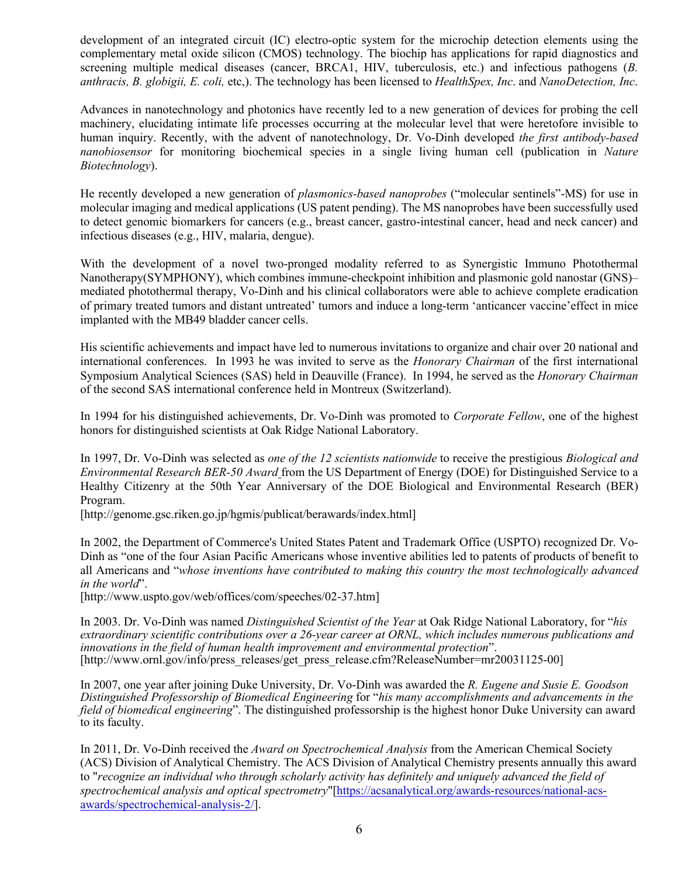development of an integrated circuit (IC) electro-optic system for the microchip detection elements using the complementary metal oxide silicon (CMOS) technology. The biochip has applications for rapid diagnostics and screening multiple medical diseases (cancer, BRCA1, HIV, tuberculosis, etc.) and infectious pathogens (*B. anthracis, B. globigii, E. coli,* etc,). The technology has been licensed to *HealthSpex, Inc*. and *NanoDetection, Inc*.

Advances in nanotechnology and photonics have recently led to a new generation of devices for probing the cell machinery, elucidating intimate life processes occurring at the molecular level that were heretofore invisible to human inquiry. Recently, with the advent of nanotechnology, Dr. Vo-Dinh developed *the first antibody-based nanobiosensor* for monitoring biochemical species in a single living human cell (publication in *Nature Biotechnology*).

He recently developed a new generation of *plasmonics-based nanoprobes* ("molecular sentinels"-MS) for use in molecular imaging and medical applications (US patent pending). The MS nanoprobes have been successfully used to detect genomic biomarkers for cancers (e.g., breast cancer, gastro-intestinal cancer, head and neck cancer) and infectious diseases (e.g., HIV, malaria, dengue).

With the development of a novel two-pronged modality referred to as Synergistic Immuno Photothermal Nanotherapy(SYMPHONY), which combines immune-checkpoint inhibition and plasmonic gold nanostar (GNS)– mediated photothermal therapy, Vo-Dinh and his clinical collaborators were able to achieve complete eradication of primary treated tumors and distant untreated' tumors and induce a long-term 'anticancer vaccine'effect in mice implanted with the MB49 bladder cancer cells.

His scientific achievements and impact have led to numerous invitations to organize and chair over 20 national and international conferences. In 1993 he was invited to serve as the *Honorary Chairman* of the first international Symposium Analytical Sciences (SAS) held in Deauville (France). In 1994, he served as the *Honorary Chairman* of the second SAS international conference held in Montreux (Switzerland).

In 1994 for his distinguished achievements, Dr. Vo-Dinh was promoted to *Corporate Fellow*, one of the highest honors for distinguished scientists at Oak Ridge National Laboratory.

In 1997, Dr. Vo-Dinh was selected as *one of the 12 scientists nationwide* to receive the prestigious *Biological and Environmental Research BER-50 Award* from the US Department of Energy (DOE) for Distinguished Service to a Healthy Citizenry at the 50th Year Anniversary of the DOE Biological and Environmental Research (BER) Program.

[http://genome.gsc.riken.go.jp/hgmis/publicat/berawards/index.html]

In 2002, the Department of Commerce's United States Patent and Trademark Office (USPTO) recognized Dr. Vo-Dinh as "one of the four Asian Pacific Americans whose inventive abilities led to patents of products of benefit to all Americans and "*whose inventions have contributed to making this country the most technologically advanced in the world*".

[http://www.uspto.gov/web/offices/com/speeches/02-37.htm]

In 2003. Dr. Vo-Dinh was named *Distinguished Scientist of the Year* at Oak Ridge National Laboratory, for "*his extraordinary scientific contributions over a 26-year career at ORNL, which includes numerous publications and innovations in the field of human health improvement and environmental protection*". [http://www.ornl.gov/info/press\_releases/get\_press\_release.cfm?ReleaseNumber=mr20031125-00]

In 2007, one year after joining Duke University, Dr. Vo-Dinh was awarded the *R. Eugene and Susie E. Goodson Distinguished Professorship of Biomedical Engineering* for "*his many accomplishments and advancements in the field of biomedical engineering*". The distinguished professorship is the highest honor Duke University can award to its faculty.

In 2011, Dr. Vo-Dinh received the *Award on Spectrochemical Analysis* from the American Chemical Society (ACS) Division of Analytical Chemistry. The ACS Division of Analytical Chemistry presents annually this award to "*recognize an individual who through scholarly activity has definitely and uniquely advanced the field of spectrochemical analysis and optical spectrometry*"[https://acsanalytical.org/awards-resources/national-acsawards/spectrochemical-analysis-2/].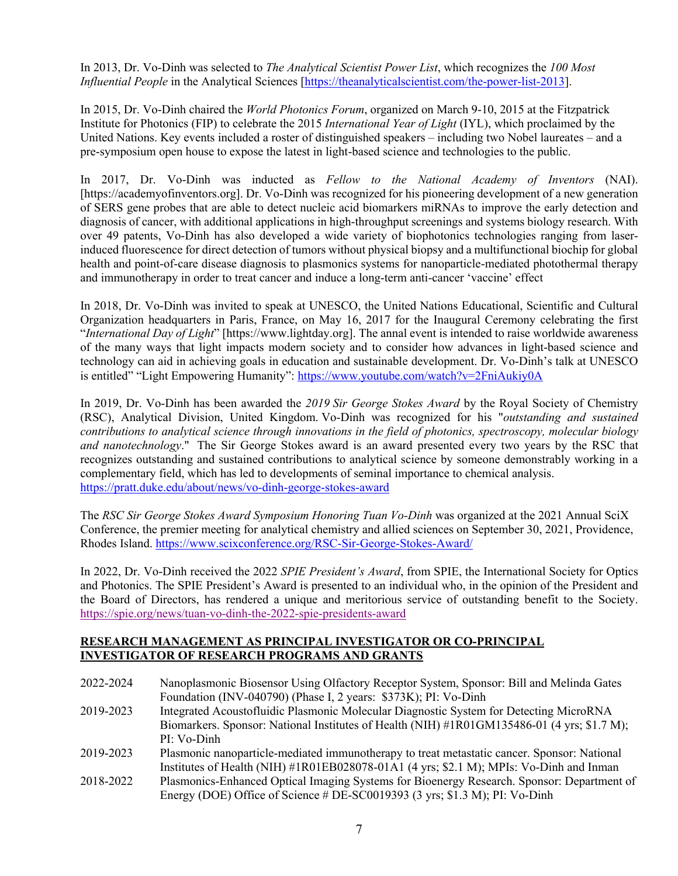In 2013, Dr. Vo-Dinh was selected to *The Analytical Scientist Power List*, which recognizes the *100 Most Influential People* in the Analytical Sciences [https://theanalyticalscientist.com/the-power-list-2013].

In 2015, Dr. Vo-Dinh chaired the *World Photonics Forum*, organized on March 9-10, 2015 at the Fitzpatrick Institute for Photonics (FIP) to celebrate the 2015 *International Year of Light* (IYL), which proclaimed by the United Nations. Key events included a roster of distinguished speakers – including two Nobel laureates – and a pre-symposium open house to expose the latest in light-based science and technologies to the public.

In 2017, Dr. Vo-Dinh was inducted as *Fellow to the National Academy of Inventors* (NAI). [https://academyofinventors.org]. Dr. Vo-Dinh was recognized for his pioneering development of a new generation of SERS gene probes that are able to detect nucleic acid biomarkers miRNAs to improve the early detection and diagnosis of cancer, with additional applications in high-throughput screenings and systems biology research. With over 49 patents, Vo-Dinh has also developed a wide variety of biophotonics technologies ranging from laserinduced fluorescence for direct detection of tumors without physical biopsy and a multifunctional biochip for global health and point-of-care disease diagnosis to plasmonics systems for nanoparticle-mediated photothermal therapy and immunotherapy in order to treat cancer and induce a long-term anti-cancer 'vaccine' effect

In 2018, Dr. Vo-Dinh was invited to speak at UNESCO, the United Nations Educational, Scientific and Cultural Organization headquarters in Paris, France, on May 16, 2017 for the Inaugural Ceremony celebrating the first "*International Day of Light*" [https://www.lightday.org]. The annal event is intended to raise worldwide awareness of the many ways that light impacts modern society and to consider how advances in light-based science and technology can aid in achieving goals in education and sustainable development. Dr. Vo-Dinh's talk at UNESCO is entitled" "Light Empowering Humanity": https://www.youtube.com/watch?v=2FniAukiy0A

In 2019, Dr. Vo-Dinh has been awarded the *2019 Sir George Stokes Award* by the Royal Society of Chemistry (RSC), Analytical Division, United Kingdom. Vo-Dinh was recognized for his "*outstanding and sustained contributions to analytical science through innovations in the field of photonics, spectroscopy, molecular biology and nanotechnology*." The Sir George Stokes award is an award presented every two years by the RSC that recognizes outstanding and sustained contributions to analytical science by someone demonstrably working in a complementary field, which has led to developments of seminal importance to chemical analysis. https://pratt.duke.edu/about/news/vo-dinh-george-stokes-award

The *RSC Sir George Stokes Award Symposium Honoring Tuan Vo-Dinh* was organized at the 2021 Annual SciX Conference, the premier meeting for analytical chemistry and allied sciences on September 30, 2021, Providence, Rhodes Island. https://www.scixconference.org/RSC-Sir-George-Stokes-Award/

In 2022, Dr. Vo-Dinh received the 2022 *SPIE President's Award*, from SPIE, the International Society for Optics and Photonics. The SPIE President's Award is presented to an individual who, in the opinion of the President and the Board of Directors, has rendered a unique and meritorious service of outstanding benefit to the Society. https://spie.org/news/tuan-vo-dinh-the-2022-spie-presidents-award

## **RESEARCH MANAGEMENT AS PRINCIPAL INVESTIGATOR OR CO-PRINCIPAL INVESTIGATOR OF RESEARCH PROGRAMS AND GRANTS**

| 2022-2024 | Nanoplasmonic Biosensor Using Olfactory Receptor System, Sponsor: Bill and Melinda Gates      |
|-----------|-----------------------------------------------------------------------------------------------|
|           | Foundation (INV-040790) (Phase I, 2 years: \$373K); PI: Vo-Dinh                               |
| 2019-2023 | Integrated Acoustofluidic Plasmonic Molecular Diagnostic System for Detecting MicroRNA        |
|           | Biomarkers. Sponsor: National Institutes of Health (NIH) #1R01GM135486-01 (4 yrs; \$1.7 M);   |
|           | PI: Vo-Dinh                                                                                   |
| 2019-2023 | Plasmonic nanoparticle-mediated immunotherapy to treat metastatic cancer. Sponsor: National   |
|           | Institutes of Health (NIH) #1R01EB028078-01A1 (4 yrs; \$2.1 M); MPIs: Vo-Dinh and Inman       |
| 2018-2022 | Plasmonics-Enhanced Optical Imaging Systems for Bioenergy Research. Sponsor: Department of    |
|           | Energy (DOE) Office of Science # DE-SC0019393 $(3 \text{ yrs}; $1.3 \text{ M})$ ; PI: Vo-Dinh |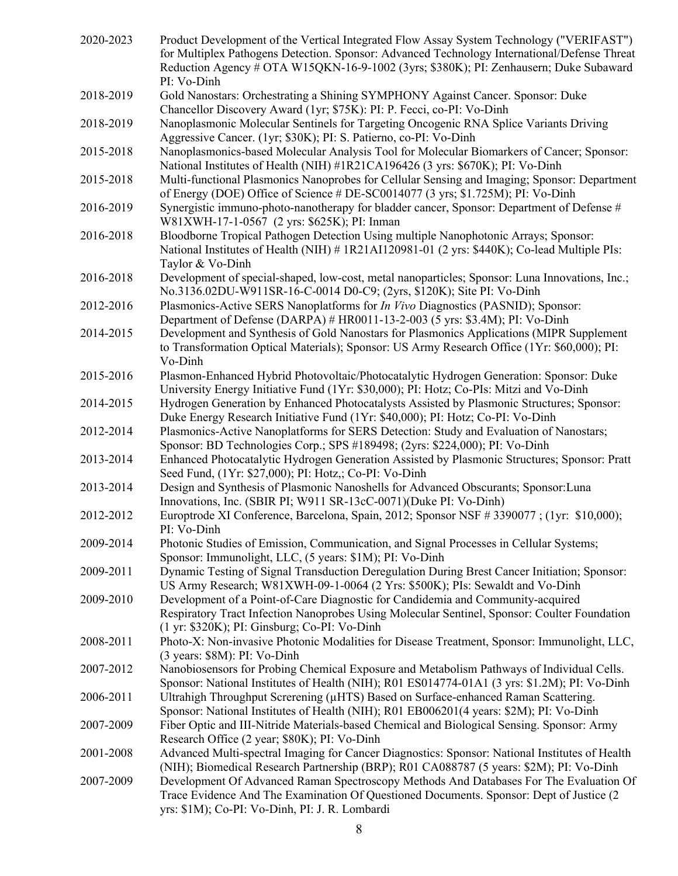| 2020-2023 | Product Development of the Vertical Integrated Flow Assay System Technology ("VERIFAST")<br>for Multiplex Pathogens Detection. Sponsor: Advanced Technology International/Defense Threat<br>Reduction Agency # OTA W15QKN-16-9-1002 (3yrs; \$380K); PI: Zenhausern; Duke Subaward |
|-----------|-----------------------------------------------------------------------------------------------------------------------------------------------------------------------------------------------------------------------------------------------------------------------------------|
| 2018-2019 | PI: Vo-Dinh<br>Gold Nanostars: Orchestrating a Shining SYMPHONY Against Cancer. Sponsor: Duke                                                                                                                                                                                     |
| 2018-2019 | Chancellor Discovery Award (1yr; \$75K): PI: P. Fecci, co-PI: Vo-Dinh<br>Nanoplasmonic Molecular Sentinels for Targeting Oncogenic RNA Splice Variants Driving<br>Aggressive Cancer. (1yr; \$30K); PI: S. Patierno, co-PI: Vo-Dinh                                                |
| 2015-2018 | Nanoplasmonics-based Molecular Analysis Tool for Molecular Biomarkers of Cancer; Sponsor:<br>National Institutes of Health (NIH) #1R21CA196426 (3 yrs: \$670K); PI: Vo-Dinh                                                                                                       |
| 2015-2018 | Multi-functional Plasmonics Nanoprobes for Cellular Sensing and Imaging; Sponsor: Department<br>of Energy (DOE) Office of Science # DE-SC0014077 (3 yrs; \$1.725M); PI: Vo-Dinh                                                                                                   |
| 2016-2019 | Synergistic immuno-photo-nanotherapy for bladder cancer, Sponsor: Department of Defense #<br>W81XWH-17-1-0567 (2 yrs: \$625K); PI: Inman                                                                                                                                          |
| 2016-2018 | Bloodborne Tropical Pathogen Detection Using multiple Nanophotonic Arrays; Sponsor:<br>National Institutes of Health (NIH) # 1R21AI120981-01 (2 yrs: \$440K); Co-lead Multiple PIs:<br>Taylor & Vo-Dinh                                                                           |
| 2016-2018 | Development of special-shaped, low-cost, metal nanoparticles; Sponsor: Luna Innovations, Inc.;<br>No.3136.02DU-W911SR-16-C-0014 D0-C9; (2yrs, \$120K); Site PI: Vo-Dinh                                                                                                           |
| 2012-2016 | Plasmonics-Active SERS Nanoplatforms for <i>In Vivo</i> Diagnostics (PASNID); Sponsor:<br>Department of Defense (DARPA) # HR0011-13-2-003 (5 yrs: \$3.4M); PI: Vo-Dinh                                                                                                            |
| 2014-2015 | Development and Synthesis of Gold Nanostars for Plasmonics Applications (MIPR Supplement<br>to Transformation Optical Materials); Sponsor: US Army Research Office (1Yr: \$60,000); PI:<br>Vo-Dinh                                                                                |
| 2015-2016 | Plasmon-Enhanced Hybrid Photovoltaic/Photocatalytic Hydrogen Generation: Sponsor: Duke<br>University Energy Initiative Fund (1Yr: \$30,000); PI: Hotz; Co-PIs: Mitzi and Vo-Dinh                                                                                                  |
| 2014-2015 | Hydrogen Generation by Enhanced Photocatalysts Assisted by Plasmonic Structures; Sponsor:<br>Duke Energy Research Initiative Fund (1Yr: \$40,000); PI: Hotz; Co-PI: Vo-Dinh                                                                                                       |
| 2012-2014 | Plasmonics-Active Nanoplatforms for SERS Detection: Study and Evaluation of Nanostars;<br>Sponsor: BD Technologies Corp.; SPS #189498; (2yrs: \$224,000); PI: Vo-Dinh                                                                                                             |
| 2013-2014 | Enhanced Photocatalytic Hydrogen Generation Assisted by Plasmonic Structures; Sponsor: Pratt<br>Seed Fund, (1Yr: \$27,000); PI: Hotz,; Co-PI: Vo-Dinh                                                                                                                             |
| 2013-2014 | Design and Synthesis of Plasmonic Nanoshells for Advanced Obscurants; Sponsor: Luna<br>Innovations, Inc. (SBIR PI; W911 SR-13cC-0071)(Duke PI: Vo-Dinh)                                                                                                                           |
| 2012-2012 | Europtrode XI Conference, Barcelona, Spain, 2012; Sponsor NSF #3390077; (1yr: \$10,000);<br>PI: Vo-Dinh                                                                                                                                                                           |
| 2009-2014 | Photonic Studies of Emission, Communication, and Signal Processes in Cellular Systems;<br>Sponsor: Immunolight, LLC, (5 years: \$1M); PI: Vo-Dinh                                                                                                                                 |
| 2009-2011 | Dynamic Testing of Signal Transduction Deregulation During Brest Cancer Initiation; Sponsor:<br>US Army Research; W81XWH-09-1-0064 (2 Yrs: \$500K); PIs: Sewaldt and Vo-Dinh                                                                                                      |
| 2009-2010 | Development of a Point-of-Care Diagnostic for Candidemia and Community-acquired<br>Respiratory Tract Infection Nanoprobes Using Molecular Sentinel, Sponsor: Coulter Foundation<br>(1 yr: \$320K); PI: Ginsburg; Co-PI: Vo-Dinh                                                   |
| 2008-2011 | Photo-X: Non-invasive Photonic Modalities for Disease Treatment, Sponsor: Immunolight, LLC,<br>(3 years: \$8M): PI: Vo-Dinh                                                                                                                                                       |
| 2007-2012 | Nanobiosensors for Probing Chemical Exposure and Metabolism Pathways of Individual Cells.<br>Sponsor: National Institutes of Health (NIH); R01 ES014774-01A1 (3 yrs: \$1.2M); PI: Vo-Dinh                                                                                         |
| 2006-2011 | Ultrahigh Throughput Screrening (µHTS) Based on Surface-enhanced Raman Scattering.<br>Sponsor: National Institutes of Health (NIH); R01 EB006201(4 years: \$2M); PI: Vo-Dinh                                                                                                      |
| 2007-2009 | Fiber Optic and III-Nitride Materials-based Chemical and Biological Sensing. Sponsor: Army<br>Research Office (2 year; \$80K); PI: Vo-Dinh                                                                                                                                        |
| 2001-2008 | Advanced Multi-spectral Imaging for Cancer Diagnostics: Sponsor: National Institutes of Health<br>(NIH); Biomedical Research Partnership (BRP); R01 CA088787 (5 years: \$2M); PI: Vo-Dinh                                                                                         |
| 2007-2009 | Development Of Advanced Raman Spectroscopy Methods And Databases For The Evaluation Of<br>Trace Evidence And The Examination Of Questioned Documents. Sponsor: Dept of Justice (2)<br>yrs: \$1M); Co-PI: Vo-Dinh, PI: J. R. Lombardi                                              |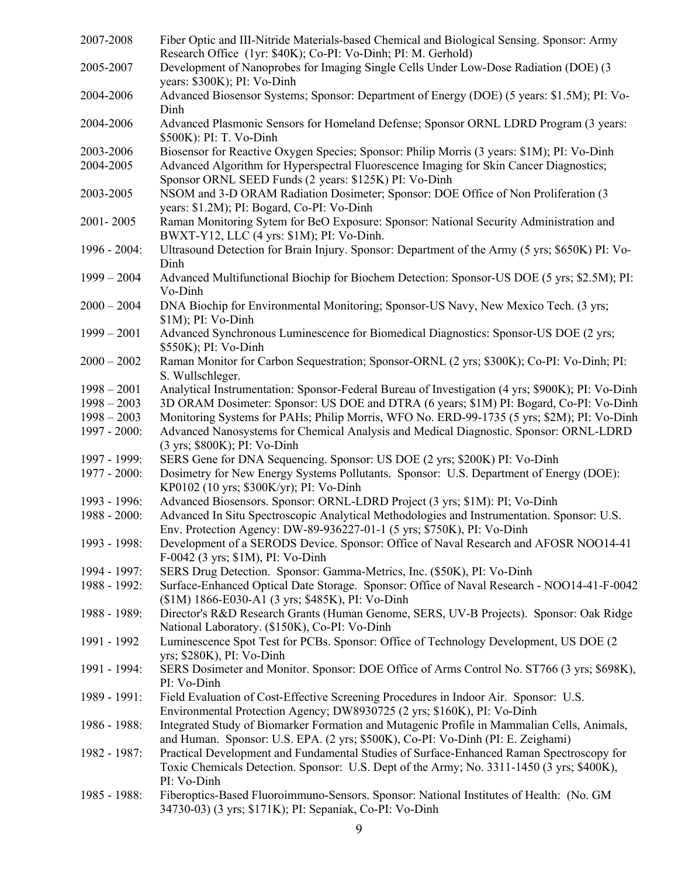| 2007-2008       | Fiber Optic and III-Nitride Materials-based Chemical and Biological Sensing. Sponsor: Army<br>Research Office (1yr: \$40K); Co-PI: Vo-Dinh; PI: M. Gerhold)                                          |
|-----------------|------------------------------------------------------------------------------------------------------------------------------------------------------------------------------------------------------|
| 2005-2007       | Development of Nanoprobes for Imaging Single Cells Under Low-Dose Radiation (DOE) (3                                                                                                                 |
|                 | years: \$300K); PI: Vo-Dinh                                                                                                                                                                          |
| 2004-2006       | Advanced Biosensor Systems; Sponsor: Department of Energy (DOE) (5 years: \$1.5M); PI: Vo-<br>Dinh                                                                                                   |
| 2004-2006       | Advanced Plasmonic Sensors for Homeland Defense; Sponsor ORNL LDRD Program (3 years:<br>\$500K): PI: T. Vo-Dinh                                                                                      |
| 2003-2006       | Biosensor for Reactive Oxygen Species; Sponsor: Philip Morris (3 years: \$1M); PI: Vo-Dinh                                                                                                           |
| 2004-2005       | Advanced Algorithm for Hyperspectral Fluorescence Imaging for Skin Cancer Diagnostics;<br>Sponsor ORNL SEED Funds (2 years: \$125K) PI: Vo-Dinh                                                      |
| 2003-2005       | NSOM and 3-D ORAM Radiation Dosimeter; Sponsor: DOE Office of Non Proliferation (3<br>years: \$1.2M); PI: Bogard, Co-PI: Vo-Dinh                                                                     |
| 2001-2005       | Raman Monitoring Sytem for BeO Exposure: Sponsor: National Security Administration and<br>BWXT-Y12, LLC (4 yrs: \$1M); PI: Vo-Dinh.                                                                  |
| 1996 - 2004:    | Ultrasound Detection for Brain Injury. Sponsor: Department of the Army (5 yrs; \$650K) PI: Vo-<br>Dinh                                                                                               |
| $1999 - 2004$   | Advanced Multifunctional Biochip for Biochem Detection: Sponsor-US DOE (5 yrs; \$2.5M); PI:<br>Vo-Dinh                                                                                               |
| $2000 - 2004$   | DNA Biochip for Environmental Monitoring; Sponsor-US Navy, New Mexico Tech. (3 yrs;<br>$$1M$ ); PI: Vo-Dinh                                                                                          |
| $1999 - 2001$   | Advanced Synchronous Luminescence for Biomedical Diagnostics: Sponsor-US DOE (2 yrs;<br>\$550K); PI: Vo-Dinh                                                                                         |
| $2000 - 2002$   | Raman Monitor for Carbon Sequestration; Sponsor-ORNL (2 yrs; \$300K); Co-PI: Vo-Dinh; PI:<br>S. Wullschleger.                                                                                        |
| $1998 - 2001$   | Analytical Instrumentation: Sponsor-Federal Bureau of Investigation (4 yrs; \$900K); PI: Vo-Dinh                                                                                                     |
| $1998 - 2003$   | 3D ORAM Dosimeter: Sponsor: US DOE and DTRA (6 years; \$1M) PI: Bogard, Co-PI: Vo-Dinh                                                                                                               |
| $1998 - 2003$   | Monitoring Systems for PAHs; Philip Morris, WFO No. ERD-99-1735 (5 yrs; \$2M); PI: Vo-Dinh                                                                                                           |
| 1997 - 2000:    | Advanced Nanosystems for Chemical Analysis and Medical Diagnostic. Sponsor: ORNL-LDRD<br>(3 yrs; \$800K); PI: Vo-Dinh                                                                                |
| 1997 - 1999:    | SERS Gene for DNA Sequencing. Sponsor: US DOE (2 yrs; \$200K) PI: Vo-Dinh                                                                                                                            |
| 1977 - 2000:    | Dosimetry for New Energy Systems Pollutants. Sponsor: U.S. Department of Energy (DOE):<br>KP0102 (10 yrs; \$300K/yr); PI: Vo-Dinh                                                                    |
| 1993 - 1996:    | Advanced Biosensors. Sponsor: ORNL-LDRD Project (3 yrs; \$1M): PI; Vo-Dinh                                                                                                                           |
| 1988 - 2000:    | Advanced In Situ Spectroscopic Analytical Methodologies and Instrumentation. Sponsor: U.S.<br>Env. Protection Agency: DW-89-936227-01-1 (5 yrs; \$750K), PI: Vo-Dinh                                 |
| 1993 - 1998:    | Development of a SERODS Device. Sponsor: Office of Naval Research and AFOSR NOO14-41<br>F-0042 (3 yrs; \$1M), PI: Vo-Dinh                                                                            |
| 1994 - 1997:    | SERS Drug Detection. Sponsor: Gamma-Metrics, Inc. (\$50K), PI: Vo-Dinh                                                                                                                               |
| 1988 - 1992:    | Surface-Enhanced Optical Date Storage. Sponsor: Office of Naval Research - NOO14-41-F-0042<br>(\$1M) 1866-E030-A1 (3 yrs; \$485K), PI: Vo-Dinh                                                       |
| 1988 - 1989:    | Director's R&D Research Grants (Human Genome, SERS, UV-B Projects). Sponsor: Oak Ridge<br>National Laboratory. (\$150K), Co-PI: Vo-Dinh                                                              |
| 1991 - 1992     | Luminescence Spot Test for PCBs. Sponsor: Office of Technology Development, US DOE (2<br>yrs; \$280K), PI: Vo-Dinh                                                                                   |
| 1991 - 1994:    | SERS Dosimeter and Monitor. Sponsor: DOE Office of Arms Control No. ST766 (3 yrs; \$698K),<br>PI: Vo-Dinh                                                                                            |
| 1989 - 1991:    | Field Evaluation of Cost-Effective Screening Procedures in Indoor Air. Sponsor: U.S.<br>Environmental Protection Agency; DW8930725 (2 yrs; \$160K), PI: Vo-Dinh                                      |
| 1986 - 1988:    | Integrated Study of Biomarker Formation and Mutagenic Profile in Mammalian Cells, Animals,<br>and Human. Sponsor: U.S. EPA. (2 yrs; \$500K), Co-PI: Vo-Dinh (PI: E. Zeighami)                        |
| 1982 - 1987:    | Practical Development and Fundamental Studies of Surface-Enhanced Raman Spectroscopy for<br>Toxic Chemicals Detection. Sponsor: U.S. Dept of the Army; No. 3311-1450 (3 yrs; \$400K),<br>PI: Vo-Dinh |
| $1985 - 1988$ : | Fiberoptics-Based Fluoroimmuno-Sensors. Sponsor: National Institutes of Health: (No. GM<br>34730-03) (3 yrs; \$171K); PI: Sepaniak, Co-PI: Vo-Dinh                                                   |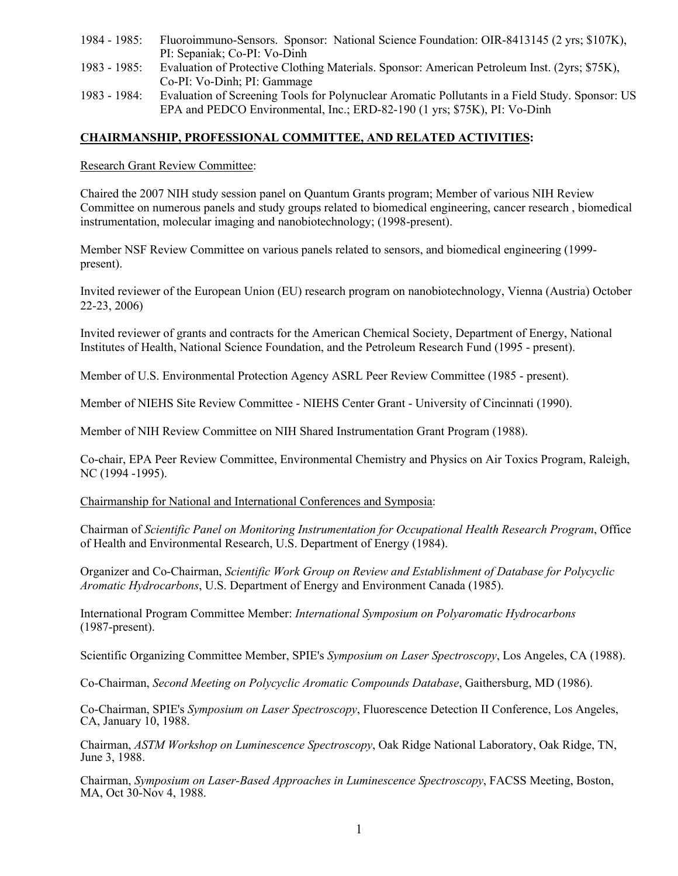- 1984 1985: Fluoroimmuno-Sensors. Sponsor: National Science Foundation: OIR-8413145 (2 yrs; \$107K), PI: Sepaniak; Co-PI: Vo-Dinh
- 1983 1985: Evaluation of Protective Clothing Materials. Sponsor: American Petroleum Inst. (2yrs; \$75K), Co-PI: Vo-Dinh; PI: Gammage
- 1983 1984: Evaluation of Screening Tools for Polynuclear Aromatic Pollutants in a Field Study. Sponsor: US EPA and PEDCO Environmental, Inc.; ERD-82-190 (1 yrs; \$75K), PI: Vo-Dinh

## **CHAIRMANSHIP, PROFESSIONAL COMMITTEE, AND RELATED ACTIVITIES:**

Research Grant Review Committee:

Chaired the 2007 NIH study session panel on Quantum Grants program; Member of various NIH Review Committee on numerous panels and study groups related to biomedical engineering, cancer research , biomedical instrumentation, molecular imaging and nanobiotechnology; (1998-present).

Member NSF Review Committee on various panels related to sensors, and biomedical engineering (1999 present).

Invited reviewer of the European Union (EU) research program on nanobiotechnology, Vienna (Austria) October 22-23, 2006)

Invited reviewer of grants and contracts for the American Chemical Society, Department of Energy, National Institutes of Health, National Science Foundation, and the Petroleum Research Fund (1995 - present).

Member of U.S. Environmental Protection Agency ASRL Peer Review Committee (1985 - present).

Member of NIEHS Site Review Committee - NIEHS Center Grant - University of Cincinnati (1990).

Member of NIH Review Committee on NIH Shared Instrumentation Grant Program (1988).

Co-chair, EPA Peer Review Committee, Environmental Chemistry and Physics on Air Toxics Program, Raleigh, NC (1994 -1995).

Chairmanship for National and International Conferences and Symposia:

Chairman of *Scientific Panel on Monitoring Instrumentation for Occupational Health Research Program*, Office of Health and Environmental Research, U.S. Department of Energy (1984).

Organizer and Co-Chairman, *Scientific Work Group on Review and Establishment of Database for Polycyclic Aromatic Hydrocarbons*, U.S. Department of Energy and Environment Canada (1985).

International Program Committee Member: *International Symposium on Polyaromatic Hydrocarbons* (1987-present).

Scientific Organizing Committee Member, SPIE's *Symposium on Laser Spectroscopy*, Los Angeles, CA (1988).

Co-Chairman, *Second Meeting on Polycyclic Aromatic Compounds Database*, Gaithersburg, MD (1986).

Co-Chairman, SPIE's *Symposium on Laser Spectroscopy*, Fluorescence Detection II Conference, Los Angeles, CA, January 10, 1988.

Chairman, *ASTM Workshop on Luminescence Spectroscopy*, Oak Ridge National Laboratory, Oak Ridge, TN, June 3, 1988.

Chairman, *Symposium on Laser-Based Approaches in Luminescence Spectroscopy*, FACSS Meeting, Boston, MA, Oct 30-Nov 4, 1988.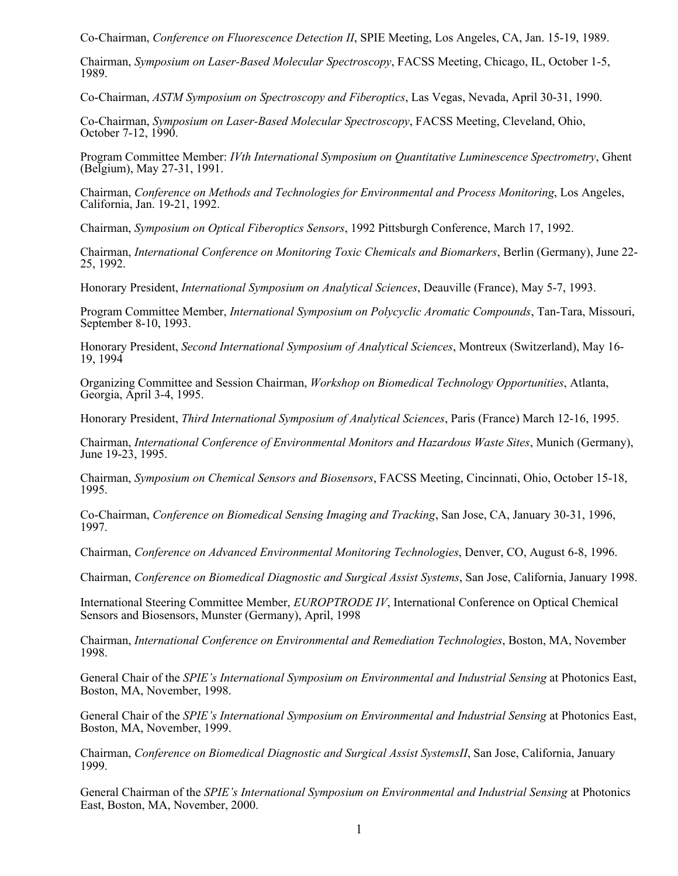Co-Chairman, *Conference on Fluorescence Detection II*, SPIE Meeting, Los Angeles, CA, Jan. 15-19, 1989.

Chairman, *Symposium on Laser-Based Molecular Spectroscopy*, FACSS Meeting, Chicago, IL, October 1-5, 1989.

Co-Chairman, *ASTM Symposium on Spectroscopy and Fiberoptics*, Las Vegas, Nevada, April 30-31, 1990.

Co-Chairman, *Symposium on Laser-Based Molecular Spectroscopy*, FACSS Meeting, Cleveland, Ohio, October 7-12, 1990.

Program Committee Member: *IVth International Symposium on Quantitative Luminescence Spectrometry*, Ghent (Belgium), May 27-31, 1991.

Chairman, *Conference on Methods and Technologies for Environmental and Process Monitoring*, Los Angeles, California, Jan. 19-21, 1992.

Chairman, *Symposium on Optical Fiberoptics Sensors*, 1992 Pittsburgh Conference, March 17, 1992.

Chairman, *International Conference on Monitoring Toxic Chemicals and Biomarkers*, Berlin (Germany), June 22- 25, 1992.

Honorary President, *International Symposium on Analytical Sciences*, Deauville (France), May 5-7, 1993.

Program Committee Member, *International Symposium on Polycyclic Aromatic Compounds*, Tan-Tara, Missouri, September 8-10, 1993.

Honorary President, *Second International Symposium of Analytical Sciences*, Montreux (Switzerland), May 16- 19, 1994

Organizing Committee and Session Chairman, *Workshop on Biomedical Technology Opportunities*, Atlanta, Georgia, April 3-4, 1995.

Honorary President, *Third International Symposium of Analytical Sciences*, Paris (France) March 12-16, 1995.

Chairman, *International Conference of Environmental Monitors and Hazardous Waste Sites*, Munich (Germany), June 19-23, 1995.

Chairman, *Symposium on Chemical Sensors and Biosensors*, FACSS Meeting, Cincinnati, Ohio, October 15-18, 1995.

Co-Chairman, *Conference on Biomedical Sensing Imaging and Tracking*, San Jose, CA, January 30-31, 1996, 1997.

Chairman, *Conference on Advanced Environmental Monitoring Technologies*, Denver, CO, August 6-8, 1996.

Chairman, *Conference on Biomedical Diagnostic and Surgical Assist Systems*, San Jose, California, January 1998.

International Steering Committee Member, *EUROPTRODE IV*, International Conference on Optical Chemical Sensors and Biosensors, Munster (Germany), April, 1998

Chairman, *International Conference on Environmental and Remediation Technologies*, Boston, MA, November 1998.

General Chair of the *SPIE's International Symposium on Environmental and Industrial Sensing* at Photonics East, Boston, MA, November, 1998.

General Chair of the *SPIE's International Symposium on Environmental and Industrial Sensing* at Photonics East, Boston, MA, November, 1999.

Chairman, *Conference on Biomedical Diagnostic and Surgical Assist SystemsII*, San Jose, California, January 1999.

General Chairman of the *SPIE's International Symposium on Environmental and Industrial Sensing* at Photonics East, Boston, MA, November, 2000.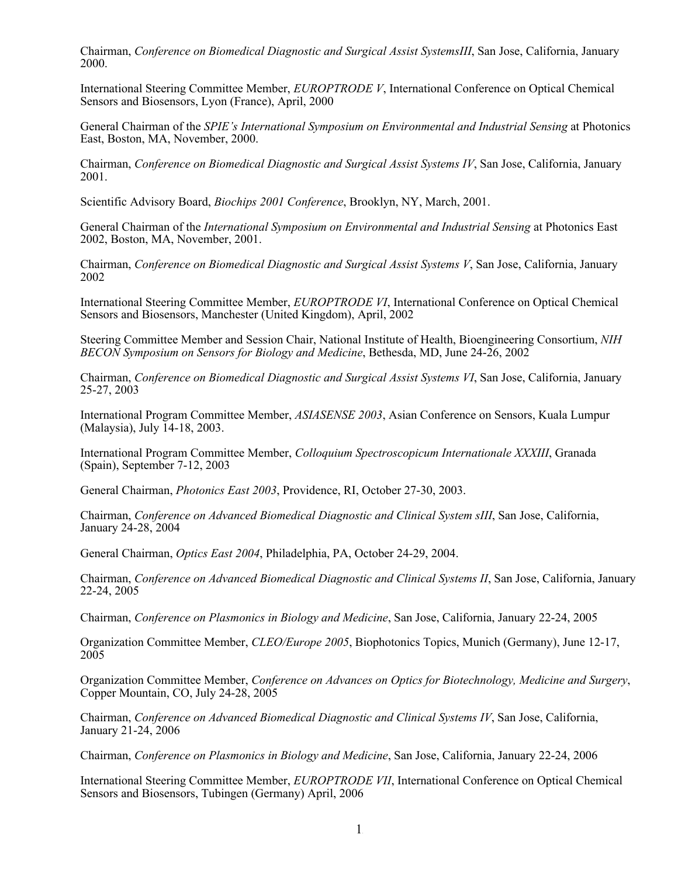Chairman, *Conference on Biomedical Diagnostic and Surgical Assist SystemsIII*, San Jose, California, January 2000.

International Steering Committee Member, *EUROPTRODE V*, International Conference on Optical Chemical Sensors and Biosensors, Lyon (France), April, 2000

General Chairman of the *SPIE's International Symposium on Environmental and Industrial Sensing* at Photonics East, Boston, MA, November, 2000.

Chairman, *Conference on Biomedical Diagnostic and Surgical Assist Systems IV*, San Jose, California, January 2001.

Scientific Advisory Board, *Biochips 2001 Conference*, Brooklyn, NY, March, 2001.

General Chairman of the *International Symposium on Environmental and Industrial Sensing* at Photonics East 2002, Boston, MA, November, 2001.

Chairman, *Conference on Biomedical Diagnostic and Surgical Assist Systems V*, San Jose, California, January 2002

International Steering Committee Member, *EUROPTRODE VI*, International Conference on Optical Chemical Sensors and Biosensors, Manchester (United Kingdom), April, 2002

Steering Committee Member and Session Chair, National Institute of Health, Bioengineering Consortium, *NIH BECON Symposium on Sensors for Biology and Medicine*, Bethesda, MD, June 24-26, 2002

Chairman, *Conference on Biomedical Diagnostic and Surgical Assist Systems VI*, San Jose, California, January 25-27, 2003

International Program Committee Member, *ASIASENSE 2003*, Asian Conference on Sensors, Kuala Lumpur (Malaysia), July 14-18, 2003.

International Program Committee Member, *Colloquium Spectroscopicum Internationale XXXIII*, Granada (Spain), September 7-12, 2003

General Chairman, *Photonics East 2003*, Providence, RI, October 27-30, 2003.

Chairman, *Conference on Advanced Biomedical Diagnostic and Clinical System sIII*, San Jose, California, January 24-28, 2004

General Chairman, *Optics East 2004*, Philadelphia, PA, October 24-29, 2004.

Chairman, *Conference on Advanced Biomedical Diagnostic and Clinical Systems II*, San Jose, California, January 22-24, 2005

Chairman, *Conference on Plasmonics in Biology and Medicine*, San Jose, California, January 22-24, 2005

Organization Committee Member, *CLEO/Europe 2005*, Biophotonics Topics, Munich (Germany), June 12-17, 2005

Organization Committee Member, *Conference on Advances on Optics for Biotechnology, Medicine and Surgery*, Copper Mountain, CO, July 24-28, 2005

Chairman, *Conference on Advanced Biomedical Diagnostic and Clinical Systems IV*, San Jose, California, January 21-24, 2006

Chairman, *Conference on Plasmonics in Biology and Medicine*, San Jose, California, January 22-24, 2006

International Steering Committee Member, *EUROPTRODE VII*, International Conference on Optical Chemical Sensors and Biosensors, Tubingen (Germany) April, 2006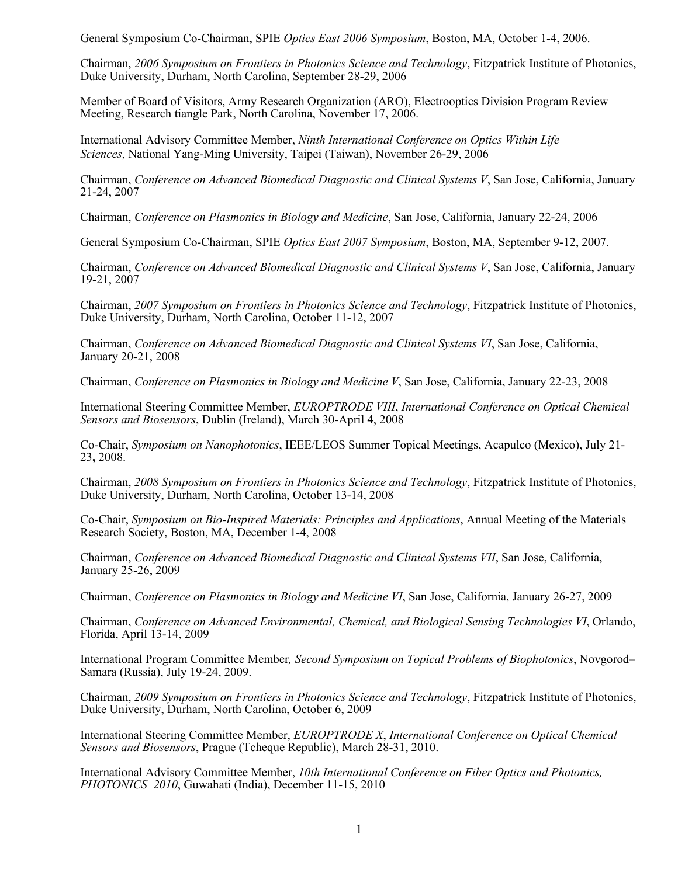General Symposium Co-Chairman, SPIE *Optics East 2006 Symposium*, Boston, MA, October 1-4, 2006.

Chairman, *2006 Symposium on Frontiers in Photonics Science and Technology*, Fitzpatrick Institute of Photonics, Duke University, Durham, North Carolina, September 28-29, 2006

Member of Board of Visitors, Army Research Organization (ARO), Electrooptics Division Program Review Meeting, Research tiangle Park, North Carolina, November 17, 2006.

International Advisory Committee Member, *Ninth International Conference on Optics Within Life Sciences*, National Yang-Ming University, Taipei (Taiwan), November 26-29, 2006

Chairman, *Conference on Advanced Biomedical Diagnostic and Clinical Systems V*, San Jose, California, January 21-24, 2007

Chairman, *Conference on Plasmonics in Biology and Medicine*, San Jose, California, January 22-24, 2006

General Symposium Co-Chairman, SPIE *Optics East 2007 Symposium*, Boston, MA, September 9-12, 2007.

Chairman, *Conference on Advanced Biomedical Diagnostic and Clinical Systems V*, San Jose, California, January 19-21, 2007

Chairman, *2007 Symposium on Frontiers in Photonics Science and Technology*, Fitzpatrick Institute of Photonics, Duke University, Durham, North Carolina, October 11-12, 2007

Chairman, *Conference on Advanced Biomedical Diagnostic and Clinical Systems VI*, San Jose, California, January 20-21, 2008

Chairman, *Conference on Plasmonics in Biology and Medicine V*, San Jose, California, January 22-23, 2008

International Steering Committee Member, *EUROPTRODE VIII*, *International Conference on Optical Chemical Sensors and Biosensors*, Dublin (Ireland), March 30-April 4, 2008

Co-Chair, *Symposium on Nanophotonics*, IEEE/LEOS Summer Topical Meetings, Acapulco (Mexico), July 21- 23**,** 2008.

Chairman, *2008 Symposium on Frontiers in Photonics Science and Technology*, Fitzpatrick Institute of Photonics, Duke University, Durham, North Carolina, October 13-14, 2008

Co-Chair, *Symposium on Bio-Inspired Materials: Principles and Applications*, Annual Meeting of the Materials Research Society, Boston, MA, December 1-4, 2008

Chairman, *Conference on Advanced Biomedical Diagnostic and Clinical Systems VII*, San Jose, California, January 25-26, 2009

Chairman, *Conference on Plasmonics in Biology and Medicine VI*, San Jose, California, January 26-27, 2009

Chairman, *Conference on Advanced Environmental, Chemical, and Biological Sensing Technologies VI*, Orlando, Florida, April 13-14, 2009

International Program Committee Member*, Second Symposium on Topical Problems of Biophotonics*, Novgorod– Samara (Russia), July 19-24, 2009.

Chairman, *2009 Symposium on Frontiers in Photonics Science and Technology*, Fitzpatrick Institute of Photonics, Duke University, Durham, North Carolina, October 6, 2009

International Steering Committee Member, *EUROPTRODE X*, *International Conference on Optical Chemical Sensors and Biosensors*, Prague (Tcheque Republic), March 28-31, 2010.

International Advisory Committee Member, *10th International Conference on Fiber Optics and Photonics, PHOTONICS 2010*, Guwahati (India), December 11-15, 2010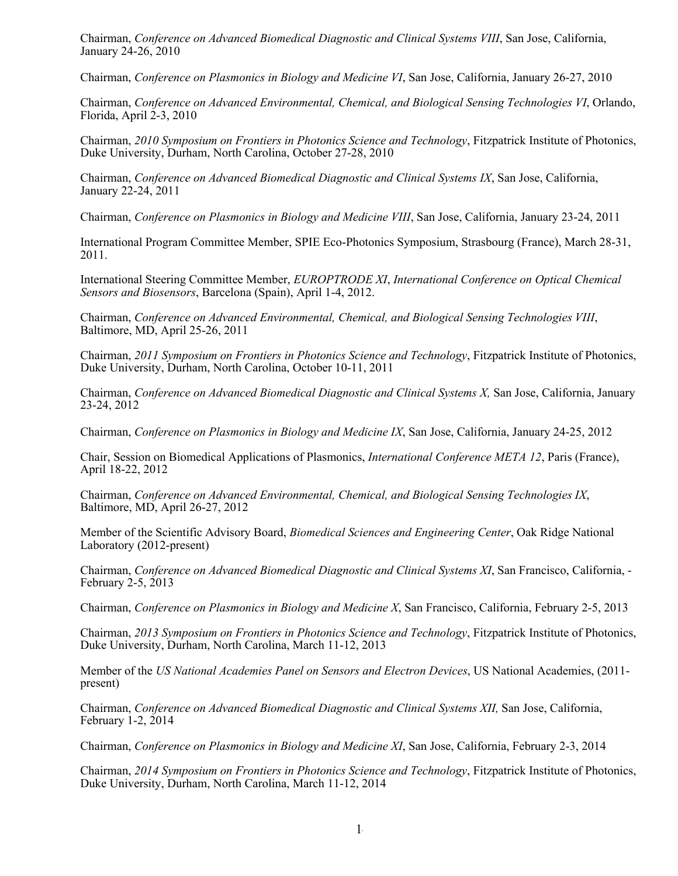Chairman, *Conference on Advanced Biomedical Diagnostic and Clinical Systems VIII*, San Jose, California, January 24-26, 2010

Chairman, *Conference on Plasmonics in Biology and Medicine VI*, San Jose, California, January 26-27, 2010

Chairman, *Conference on Advanced Environmental, Chemical, and Biological Sensing Technologies VI*, Orlando, Florida, April 2-3, 2010

Chairman, *2010 Symposium on Frontiers in Photonics Science and Technology*, Fitzpatrick Institute of Photonics, Duke University, Durham, North Carolina, October 27-28, 2010

Chairman, *Conference on Advanced Biomedical Diagnostic and Clinical Systems IX*, San Jose, California, January 22-24, 2011

Chairman, *Conference on Plasmonics in Biology and Medicine VIII*, San Jose, California, January 23-24, 2011

International Program Committee Member, SPIE Eco-Photonics Symposium, Strasbourg (France), March 28-31, 2011.

International Steering Committee Member, *EUROPTRODE XI*, *International Conference on Optical Chemical Sensors and Biosensors*, Barcelona (Spain), April 1-4, 2012.

Chairman, *Conference on Advanced Environmental, Chemical, and Biological Sensing Technologies VIII*, Baltimore, MD, April 25-26, 2011

Chairman, *2011 Symposium on Frontiers in Photonics Science and Technology*, Fitzpatrick Institute of Photonics, Duke University, Durham, North Carolina, October 10-11, 2011

Chairman, *Conference on Advanced Biomedical Diagnostic and Clinical Systems X,* San Jose, California, January 23-24, 2012

Chairman, *Conference on Plasmonics in Biology and Medicine IX*, San Jose, California, January 24-25, 2012

Chair, Session on Biomedical Applications of Plasmonics, *International Conference META 12*, Paris (France), April 18-22, 2012

Chairman, *Conference on Advanced Environmental, Chemical, and Biological Sensing Technologies IX*, Baltimore, MD, April 26-27, 2012

Member of the Scientific Advisory Board, *Biomedical Sciences and Engineering Center*, Oak Ridge National Laboratory (2012-present)

Chairman, *Conference on Advanced Biomedical Diagnostic and Clinical Systems XI*, San Francisco, California, - February 2-5, 2013

Chairman, *Conference on Plasmonics in Biology and Medicine X*, San Francisco, California, February 2-5, 2013

Chairman, *2013 Symposium on Frontiers in Photonics Science and Technology*, Fitzpatrick Institute of Photonics, Duke University, Durham, North Carolina, March 11-12, 2013

Member of the *US National Academies Panel on Sensors and Electron Devices*, US National Academies, (2011 present)

Chairman, *Conference on Advanced Biomedical Diagnostic and Clinical Systems XII,* San Jose, California, February 1-2, 2014

Chairman, *Conference on Plasmonics in Biology and Medicine XI*, San Jose, California, February 2-3, 2014

Chairman, *2014 Symposium on Frontiers in Photonics Science and Technology*, Fitzpatrick Institute of Photonics, Duke University, Durham, North Carolina, March 11-12, 2014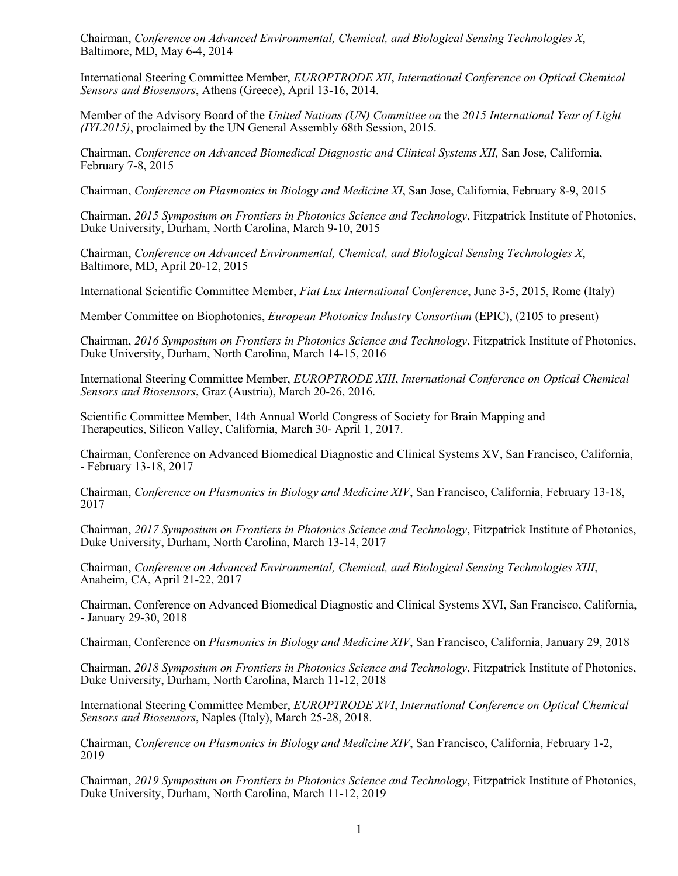Chairman, *Conference on Advanced Environmental, Chemical, and Biological Sensing Technologies X*, Baltimore, MD, May 6-4, 2014

International Steering Committee Member, *EUROPTRODE XII*, *International Conference on Optical Chemical Sensors and Biosensors*, Athens (Greece), April 13-16, 2014.

Member of the Advisory Board of the *United Nations (UN) Committee on* the *2015 International Year of Light (IYL2015)*, proclaimed by the UN General Assembly 68th Session, 2015.

Chairman, *Conference on Advanced Biomedical Diagnostic and Clinical Systems XII,* San Jose, California, February 7-8, 2015

Chairman, *Conference on Plasmonics in Biology and Medicine XI*, San Jose, California, February 8-9, 2015

Chairman, *2015 Symposium on Frontiers in Photonics Science and Technology*, Fitzpatrick Institute of Photonics, Duke University, Durham, North Carolina, March 9-10, 2015

Chairman, *Conference on Advanced Environmental, Chemical, and Biological Sensing Technologies X*, Baltimore, MD, April 20-12, 2015

International Scientific Committee Member, *Fiat Lux International Conference*, June 3-5, 2015, Rome (Italy)

Member Committee on Biophotonics, *European Photonics Industry Consortium* (EPIC), (2105 to present)

Chairman, *2016 Symposium on Frontiers in Photonics Science and Technology*, Fitzpatrick Institute of Photonics, Duke University, Durham, North Carolina, March 14-15, 2016

International Steering Committee Member, *EUROPTRODE XIII*, *International Conference on Optical Chemical Sensors and Biosensors*, Graz (Austria), March 20-26, 2016.

Scientific Committee Member, 14th Annual World Congress of Society for Brain Mapping and Therapeutics, Silicon Valley, California, March 30- April 1, 2017.

Chairman, Conference on Advanced Biomedical Diagnostic and Clinical Systems XV, San Francisco, California, - February 13-18, 2017

Chairman, *Conference on Plasmonics in Biology and Medicine XIV*, San Francisco, California, February 13-18, 2017

Chairman, *2017 Symposium on Frontiers in Photonics Science and Technology*, Fitzpatrick Institute of Photonics, Duke University, Durham, North Carolina, March 13-14, 2017

Chairman, *Conference on Advanced Environmental, Chemical, and Biological Sensing Technologies XIII*, Anaheim, CA, April 21-22, 2017

Chairman, Conference on Advanced Biomedical Diagnostic and Clinical Systems XVI, San Francisco, California, - January 29-30, 2018

Chairman, Conference on *Plasmonics in Biology and Medicine XIV*, San Francisco, California, January 29, 2018

Chairman, *2018 Symposium on Frontiers in Photonics Science and Technology*, Fitzpatrick Institute of Photonics, Duke University, Durham, North Carolina, March 11-12, 2018

International Steering Committee Member, *EUROPTRODE XVI*, *International Conference on Optical Chemical Sensors and Biosensors*, Naples (Italy), March 25-28, 2018.

Chairman, *Conference on Plasmonics in Biology and Medicine XIV*, San Francisco, California, February 1-2, 2019

Chairman, *2019 Symposium on Frontiers in Photonics Science and Technology*, Fitzpatrick Institute of Photonics, Duke University, Durham, North Carolina, March 11-12, 2019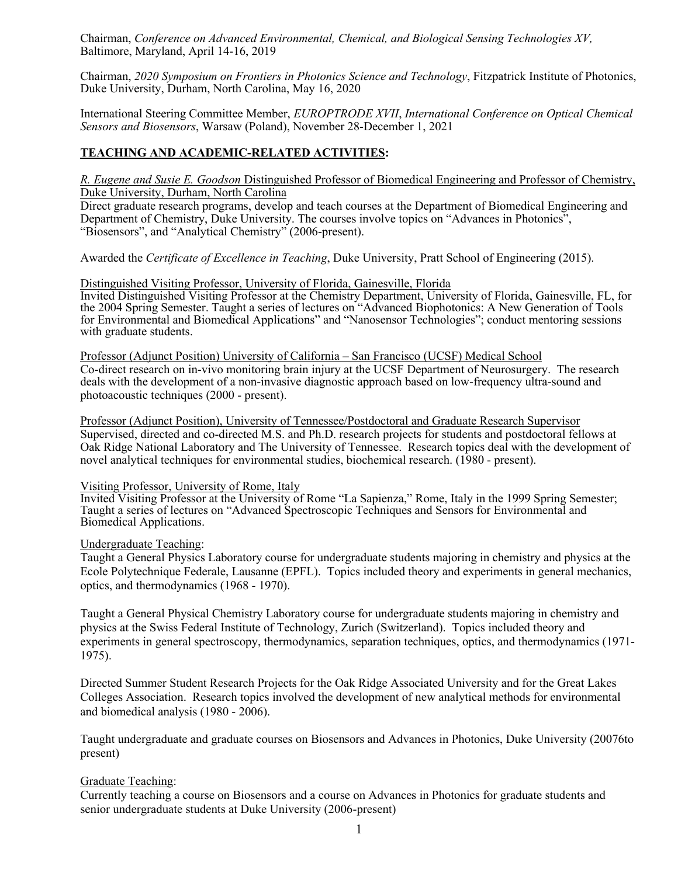Chairman, *Conference on Advanced Environmental, Chemical, and Biological Sensing Technologies XV,*  Baltimore, Maryland, April 14-16, 2019

Chairman, *2020 Symposium on Frontiers in Photonics Science and Technology*, Fitzpatrick Institute of Photonics, Duke University, Durham, North Carolina, May 16, 2020

International Steering Committee Member, *EUROPTRODE XVII*, *International Conference on Optical Chemical Sensors and Biosensors*, Warsaw (Poland), November 28-December 1, 2021

### **TEACHING AND ACADEMIC-RELATED ACTIVITIES:**

*R. Eugene and Susie E. Goodson* Distinguished Professor of Biomedical Engineering and Professor of Chemistry, Duke University, Durham, North Carolina

Direct graduate research programs, develop and teach courses at the Department of Biomedical Engineering and Department of Chemistry, Duke University. The courses involve topics on "Advances in Photonics", "Biosensors", and "Analytical Chemistry" (2006-present).

Awarded the *Certificate of Excellence in Teaching*, Duke University, Pratt School of Engineering (2015).

#### Distinguished Visiting Professor, University of Florida, Gainesville, Florida

Invited Distinguished Visiting Professor at the Chemistry Department, University of Florida, Gainesville, FL, for the 2004 Spring Semester. Taught a series of lectures on "Advanced Biophotonics: A New Generation of Tools for Environmental and Biomedical Applications" and "Nanosensor Technologies"; conduct mentoring sessions with graduate students.

Professor (Adjunct Position) University of California – San Francisco (UCSF) Medical School Co-direct research on in-vivo monitoring brain injury at the UCSF Department of Neurosurgery. The research deals with the development of a non-invasive diagnostic approach based on low-frequency ultra-sound and photoacoustic techniques (2000 - present).

Professor (Adjunct Position), University of Tennessee/Postdoctoral and Graduate Research Supervisor Supervised, directed and co-directed M.S. and Ph.D. research projects for students and postdoctoral fellows at Oak Ridge National Laboratory and The University of Tennessee. Research topics deal with the development of novel analytical techniques for environmental studies, biochemical research. (1980 - present).

#### Visiting Professor, University of Rome, Italy

Invited Visiting Professor at the University of Rome "La Sapienza," Rome, Italy in the 1999 Spring Semester; Taught a series of lectures on "Advanced Spectroscopic Techniques and Sensors for Environmental and Biomedical Applications.

#### Undergraduate Teaching:

Taught a General Physics Laboratory course for undergraduate students majoring in chemistry and physics at the Ecole Polytechnique Federale, Lausanne (EPFL). Topics included theory and experiments in general mechanics, optics, and thermodynamics (1968 - 1970).

Taught a General Physical Chemistry Laboratory course for undergraduate students majoring in chemistry and physics at the Swiss Federal Institute of Technology, Zurich (Switzerland). Topics included theory and experiments in general spectroscopy, thermodynamics, separation techniques, optics, and thermodynamics (1971- 1975).

Directed Summer Student Research Projects for the Oak Ridge Associated University and for the Great Lakes Colleges Association. Research topics involved the development of new analytical methods for environmental and biomedical analysis (1980 - 2006).

Taught undergraduate and graduate courses on Biosensors and Advances in Photonics, Duke University (20076to present)

#### Graduate Teaching:

Currently teaching a course on Biosensors and a course on Advances in Photonics for graduate students and senior undergraduate students at Duke University (2006-present)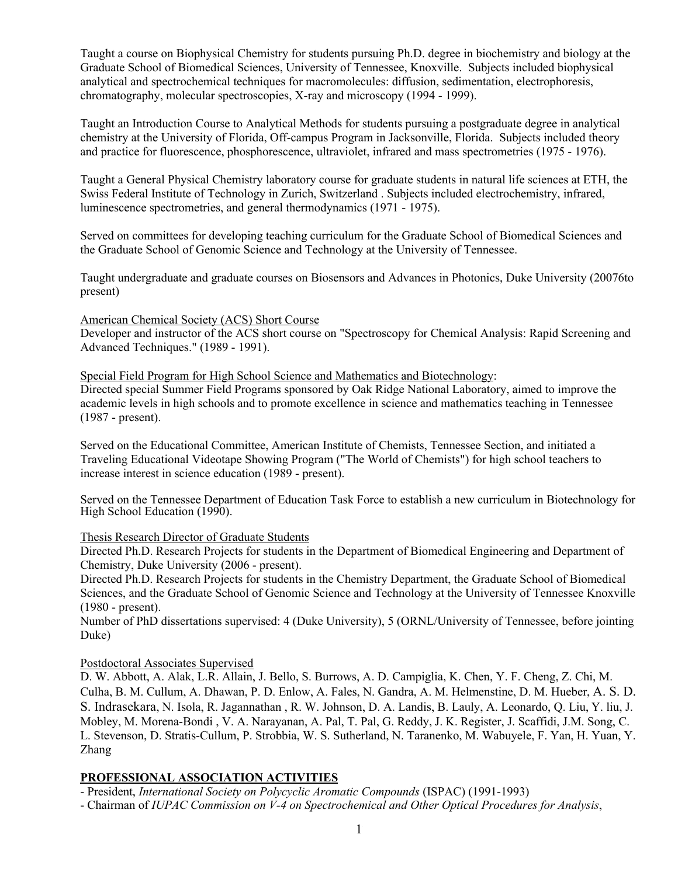Taught a course on Biophysical Chemistry for students pursuing Ph.D. degree in biochemistry and biology at the Graduate School of Biomedical Sciences, University of Tennessee, Knoxville. Subjects included biophysical analytical and spectrochemical techniques for macromolecules: diffusion, sedimentation, electrophoresis, chromatography, molecular spectroscopies, X-ray and microscopy (1994 - 1999).

Taught an Introduction Course to Analytical Methods for students pursuing a postgraduate degree in analytical chemistry at the University of Florida, Off-campus Program in Jacksonville, Florida. Subjects included theory and practice for fluorescence, phosphorescence, ultraviolet, infrared and mass spectrometries (1975 - 1976).

Taught a General Physical Chemistry laboratory course for graduate students in natural life sciences at ETH, the Swiss Federal Institute of Technology in Zurich, Switzerland . Subjects included electrochemistry, infrared, luminescence spectrometries, and general thermodynamics (1971 - 1975).

Served on committees for developing teaching curriculum for the Graduate School of Biomedical Sciences and the Graduate School of Genomic Science and Technology at the University of Tennessee.

Taught undergraduate and graduate courses on Biosensors and Advances in Photonics, Duke University (20076to present)

## American Chemical Society (ACS) Short Course

Developer and instructor of the ACS short course on "Spectroscopy for Chemical Analysis: Rapid Screening and Advanced Techniques." (1989 - 1991).

Special Field Program for High School Science and Mathematics and Biotechnology:

Directed special Summer Field Programs sponsored by Oak Ridge National Laboratory, aimed to improve the academic levels in high schools and to promote excellence in science and mathematics teaching in Tennessee (1987 - present).

Served on the Educational Committee, American Institute of Chemists, Tennessee Section, and initiated a Traveling Educational Videotape Showing Program ("The World of Chemists") for high school teachers to increase interest in science education (1989 - present).

Served on the Tennessee Department of Education Task Force to establish a new curriculum in Biotechnology for High School Education (1990).

#### Thesis Research Director of Graduate Students

Directed Ph.D. Research Projects for students in the Department of Biomedical Engineering and Department of Chemistry, Duke University (2006 - present).

Directed Ph.D. Research Projects for students in the Chemistry Department, the Graduate School of Biomedical Sciences, and the Graduate School of Genomic Science and Technology at the University of Tennessee Knoxville (1980 - present).

Number of PhD dissertations supervised: 4 (Duke University), 5 (ORNL/University of Tennessee, before jointing Duke)

## Postdoctoral Associates Supervised

D. W. Abbott, A. Alak, L.R. Allain, J. Bello, S. Burrows, A. D. Campiglia, K. Chen, Y. F. Cheng, Z. Chi, M. Culha, B. M. Cullum, A. Dhawan, P. D. Enlow, A. Fales, N. Gandra, A. M. Helmenstine, D. M. Hueber, A. S. D. S. Indrasekara, N. Isola, R. Jagannathan , R. W. Johnson, D. A. Landis, B. Lauly, A. Leonardo, Q. Liu, Y. liu, J. Mobley, M. Morena-Bondi , V. A. Narayanan, A. Pal, T. Pal, G. Reddy, J. K. Register, J. Scaffidi, J.M. Song, C. L. Stevenson, D. Stratis-Cullum, P. Strobbia, W. S. Sutherland, N. Taranenko, M. Wabuyele, F. Yan, H. Yuan, Y. Zhang

## **PROFESSIONAL ASSOCIATION ACTIVITIES**

- President, *International Society on Polycyclic Aromatic Compounds* (ISPAC) (1991-1993)

- Chairman of *IUPAC Commission on V-4 on Spectrochemical and Other Optical Procedures for Analysis*,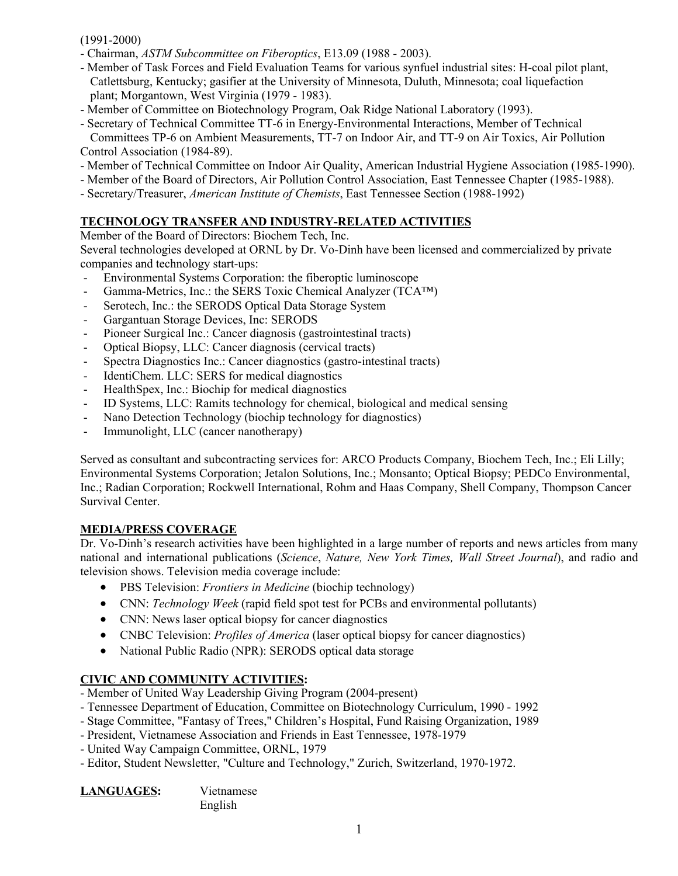## (1991-2000)

- Chairman, *ASTM Subcommittee on Fiberoptics*, E13.09 (1988 2003).
- Member of Task Forces and Field Evaluation Teams for various synfuel industrial sites: H-coal pilot plant, Catlettsburg, Kentucky; gasifier at the University of Minnesota, Duluth, Minnesota; coal liquefaction plant; Morgantown, West Virginia (1979 - 1983).
- Member of Committee on Biotechnology Program, Oak Ridge National Laboratory (1993).
- Secretary of Technical Committee TT-6 in Energy-Environmental Interactions, Member of Technical Committees TP-6 on Ambient Measurements, TT-7 on Indoor Air, and TT-9 on Air Toxics, Air Pollution Control Association (1984-89).
- Member of Technical Committee on Indoor Air Quality, American Industrial Hygiene Association (1985-1990).
- Member of the Board of Directors, Air Pollution Control Association, East Tennessee Chapter (1985-1988).
- Secretary/Treasurer, *American Institute of Chemists*, East Tennessee Section (1988-1992)

## **TECHNOLOGY TRANSFER AND INDUSTRY-RELATED ACTIVITIES**

Member of the Board of Directors: Biochem Tech, Inc.

Several technologies developed at ORNL by Dr. Vo-Dinh have been licensed and commercialized by private companies and technology start-ups:

- Environmental Systems Corporation: the fiberoptic luminoscope
- Gamma-Metrics, Inc.: the SERS Toxic Chemical Analyzer (TCA™)
- Serotech, Inc.: the SERODS Optical Data Storage System
- Gargantuan Storage Devices, Inc: SERODS
- Pioneer Surgical Inc.: Cancer diagnosis (gastrointestinal tracts)
- Optical Biopsy, LLC: Cancer diagnosis (cervical tracts)
- Spectra Diagnostics Inc.: Cancer diagnostics (gastro-intestinal tracts)
- IdentiChem. LLC: SERS for medical diagnostics
- HealthSpex, Inc.: Biochip for medical diagnostics
- ID Systems, LLC: Ramits technology for chemical, biological and medical sensing
- Nano Detection Technology (biochip technology for diagnostics)
- Immunolight, LLC (cancer nanotherapy)

Served as consultant and subcontracting services for: ARCO Products Company, Biochem Tech, Inc.; Eli Lilly; Environmental Systems Corporation; Jetalon Solutions, Inc.; Monsanto; Optical Biopsy; PEDCo Environmental, Inc.; Radian Corporation; Rockwell International, Rohm and Haas Company, Shell Company, Thompson Cancer Survival Center.

## **MEDIA/PRESS COVERAGE**

Dr. Vo-Dinh's research activities have been highlighted in a large number of reports and news articles from many national and international publications (*Science*, *Nature, New York Times, Wall Street Journal*), and radio and television shows. Television media coverage include:

- PBS Television: *Frontiers in Medicine* (biochip technology)
- CNN: *Technology Week* (rapid field spot test for PCBs and environmental pollutants)
- CNN: News laser optical biopsy for cancer diagnostics
- CNBC Television: *Profiles of America* (laser optical biopsy for cancer diagnostics)
- National Public Radio (NPR): SERODS optical data storage

# **CIVIC AND COMMUNITY ACTIVITIES:**

- Member of United Way Leadership Giving Program (2004-present)
- Tennessee Department of Education, Committee on Biotechnology Curriculum, 1990 1992
- Stage Committee, "Fantasy of Trees," Children's Hospital, Fund Raising Organization, 1989
- President, Vietnamese Association and Friends in East Tennessee, 1978-1979
- United Way Campaign Committee, ORNL, 1979
- Editor, Student Newsletter, "Culture and Technology," Zurich, Switzerland, 1970-1972.

| LANGUAGES: |
|------------|
|------------|

**LANGUAGES:** Vietnamese English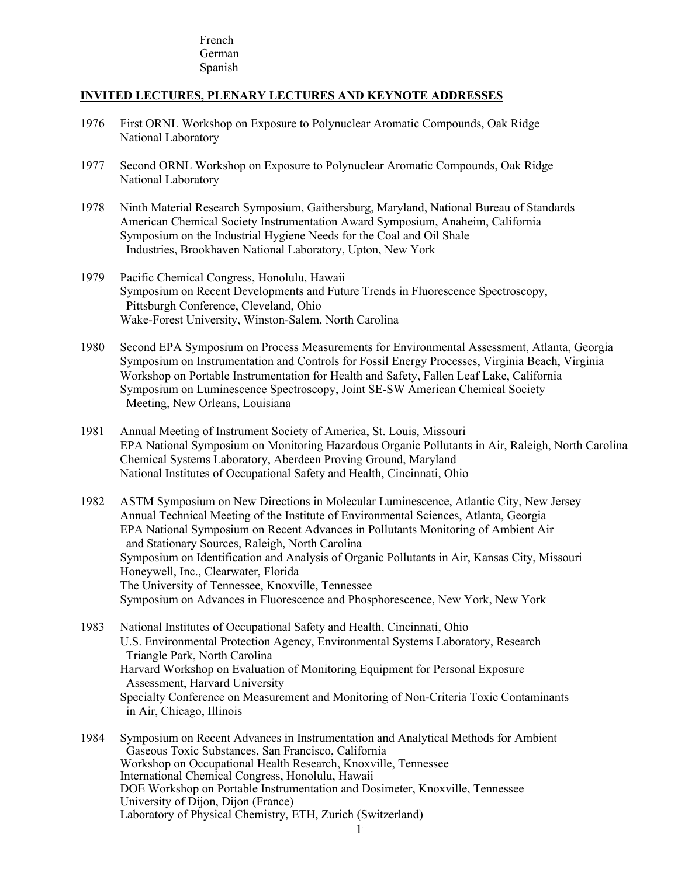### French German Spanish

## **INVITED LECTURES, PLENARY LECTURES AND KEYNOTE ADDRESSES**

- 1976 First ORNL Workshop on Exposure to Polynuclear Aromatic Compounds, Oak Ridge National Laboratory
- 1977 Second ORNL Workshop on Exposure to Polynuclear Aromatic Compounds, Oak Ridge National Laboratory
- 1978 Ninth Material Research Symposium, Gaithersburg, Maryland, National Bureau of Standards American Chemical Society Instrumentation Award Symposium, Anaheim, California Symposium on the Industrial Hygiene Needs for the Coal and Oil Shale Industries, Brookhaven National Laboratory, Upton, New York
- 1979 Pacific Chemical Congress, Honolulu, Hawaii Symposium on Recent Developments and Future Trends in Fluorescence Spectroscopy, Pittsburgh Conference, Cleveland, Ohio Wake-Forest University, Winston-Salem, North Carolina
- 1980 Second EPA Symposium on Process Measurements for Environmental Assessment, Atlanta, Georgia Symposium on Instrumentation and Controls for Fossil Energy Processes, Virginia Beach, Virginia Workshop on Portable Instrumentation for Health and Safety, Fallen Leaf Lake, California Symposium on Luminescence Spectroscopy, Joint SE-SW American Chemical Society Meeting, New Orleans, Louisiana
- 1981 Annual Meeting of Instrument Society of America, St. Louis, Missouri EPA National Symposium on Monitoring Hazardous Organic Pollutants in Air, Raleigh, North Carolina Chemical Systems Laboratory, Aberdeen Proving Ground, Maryland National Institutes of Occupational Safety and Health, Cincinnati, Ohio
- 1982 ASTM Symposium on New Directions in Molecular Luminescence, Atlantic City, New Jersey Annual Technical Meeting of the Institute of Environmental Sciences, Atlanta, Georgia EPA National Symposium on Recent Advances in Pollutants Monitoring of Ambient Air and Stationary Sources, Raleigh, North Carolina Symposium on Identification and Analysis of Organic Pollutants in Air, Kansas City, Missouri Honeywell, Inc., Clearwater, Florida The University of Tennessee, Knoxville, Tennessee Symposium on Advances in Fluorescence and Phosphorescence, New York, New York
- 1983 National Institutes of Occupational Safety and Health, Cincinnati, Ohio U.S. Environmental Protection Agency, Environmental Systems Laboratory, Research Triangle Park, North Carolina Harvard Workshop on Evaluation of Monitoring Equipment for Personal Exposure Assessment, Harvard University Specialty Conference on Measurement and Monitoring of Non-Criteria Toxic Contaminants in Air, Chicago, Illinois
- 1984 Symposium on Recent Advances in Instrumentation and Analytical Methods for Ambient Gaseous Toxic Substances, San Francisco, California Workshop on Occupational Health Research, Knoxville, Tennessee International Chemical Congress, Honolulu, Hawaii DOE Workshop on Portable Instrumentation and Dosimeter, Knoxville, Tennessee University of Dijon, Dijon (France) Laboratory of Physical Chemistry, ETH, Zurich (Switzerland)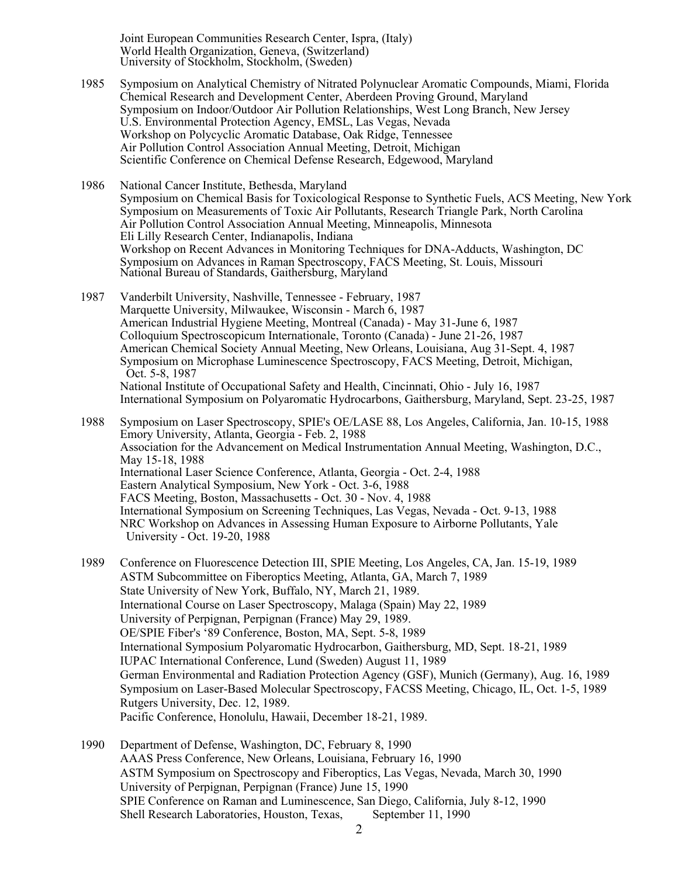Joint European Communities Research Center, Ispra, (Italy) World Health Organization, Geneva, (Switzerland) University of Stockholm, Stockholm, (Sweden)

1985 Symposium on Analytical Chemistry of Nitrated Polynuclear Aromatic Compounds, Miami, Florida Chemical Research and Development Center, Aberdeen Proving Ground, Maryland Symposium on Indoor/Outdoor Air Pollution Relationships, West Long Branch, New Jersey U.S. Environmental Protection Agency, EMSL, Las Vegas, Nevada Workshop on Polycyclic Aromatic Database, Oak Ridge, Tennessee Air Pollution Control Association Annual Meeting, Detroit, Michigan Scientific Conference on Chemical Defense Research, Edgewood, Maryland

1986 National Cancer Institute, Bethesda, Maryland Symposium on Chemical Basis for Toxicological Response to Synthetic Fuels, ACS Meeting, New York Symposium on Measurements of Toxic Air Pollutants, Research Triangle Park, North Carolina Air Pollution Control Association Annual Meeting, Minneapolis, Minnesota Eli Lilly Research Center, Indianapolis, Indiana Workshop on Recent Advances in Monitoring Techniques for DNA-Adducts, Washington, DC Symposium on Advances in Raman Spectroscopy, FACS Meeting, St. Louis, Missouri National Bureau of Standards, Gaithersburg, Maryland

- 1987 Vanderbilt University, Nashville, Tennessee February, 1987 Marquette University, Milwaukee, Wisconsin - March 6, 1987 American Industrial Hygiene Meeting, Montreal (Canada) - May 31-June 6, 1987 Colloquium Spectroscopicum Internationale, Toronto (Canada) - June 21-26, 1987 American Chemical Society Annual Meeting, New Orleans, Louisiana, Aug 31-Sept. 4, 1987 Symposium on Microphase Luminescence Spectroscopy, FACS Meeting, Detroit, Michigan, Oct. 5-8, 1987 National Institute of Occupational Safety and Health, Cincinnati, Ohio - July 16, 1987 International Symposium on Polyaromatic Hydrocarbons, Gaithersburg, Maryland, Sept. 23-25, 1987
- 1988 Symposium on Laser Spectroscopy, SPIE's OE/LASE 88, Los Angeles, California, Jan. 10-15, 1988 Emory University, Atlanta, Georgia - Feb. 2, 1988 Association for the Advancement on Medical Instrumentation Annual Meeting, Washington, D.C., May 15-18, 1988 International Laser Science Conference, Atlanta, Georgia - Oct. 2-4, 1988 Eastern Analytical Symposium, New York - Oct. 3-6, 1988 FACS Meeting, Boston, Massachusetts - Oct. 30 - Nov. 4, 1988 International Symposium on Screening Techniques, Las Vegas, Nevada - Oct. 9-13, 1988 NRC Workshop on Advances in Assessing Human Exposure to Airborne Pollutants, Yale University - Oct. 19-20, 1988
- 1989 Conference on Fluorescence Detection III, SPIE Meeting, Los Angeles, CA, Jan. 15-19, 1989 ASTM Subcommittee on Fiberoptics Meeting, Atlanta, GA, March 7, 1989 State University of New York, Buffalo, NY, March 21, 1989. International Course on Laser Spectroscopy, Malaga (Spain) May 22, 1989 University of Perpignan, Perpignan (France) May 29, 1989. OE/SPIE Fiber's '89 Conference, Boston, MA, Sept. 5-8, 1989 International Symposium Polyaromatic Hydrocarbon, Gaithersburg, MD, Sept. 18-21, 1989 IUPAC International Conference, Lund (Sweden) August 11, 1989 German Environmental and Radiation Protection Agency (GSF), Munich (Germany), Aug. 16, 1989 Symposium on Laser-Based Molecular Spectroscopy, FACSS Meeting, Chicago, IL, Oct. 1-5, 1989 Rutgers University, Dec. 12, 1989. Pacific Conference, Honolulu, Hawaii, December 18-21, 1989.
- 1990 Department of Defense, Washington, DC, February 8, 1990 AAAS Press Conference, New Orleans, Louisiana, February 16, 1990 ASTM Symposium on Spectroscopy and Fiberoptics, Las Vegas, Nevada, March 30, 1990 University of Perpignan, Perpignan (France) June 15, 1990 SPIE Conference on Raman and Luminescence, San Diego, California, July 8-12, 1990 Shell Research Laboratories, Houston, Texas, September 11, 1990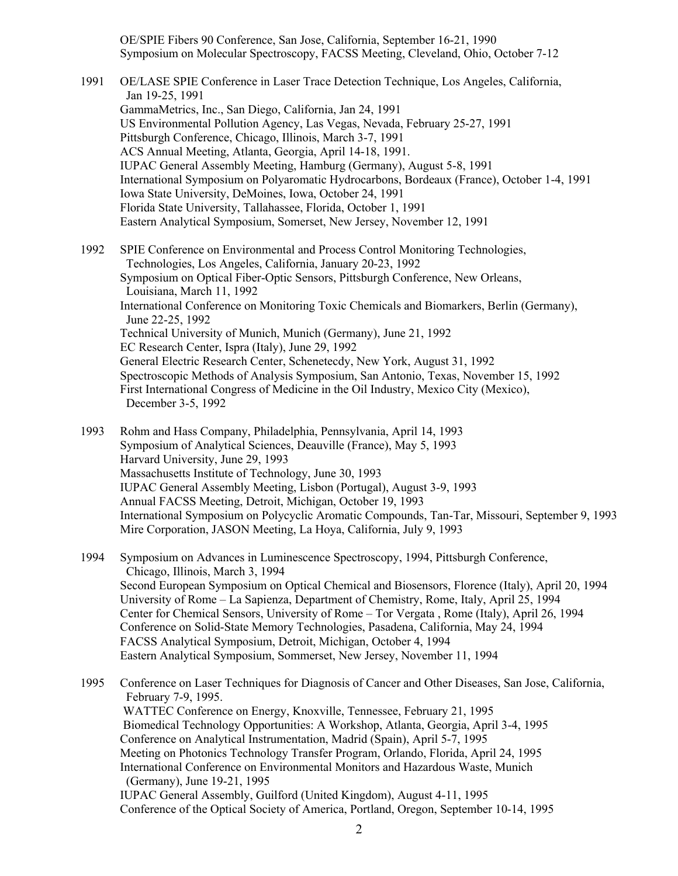OE/SPIE Fibers 90 Conference, San Jose, California, September 16-21, 1990 Symposium on Molecular Spectroscopy, FACSS Meeting, Cleveland, Ohio, October 7-12

1991 OE/LASE SPIE Conference in Laser Trace Detection Technique, Los Angeles, California, Jan 19-25, 1991 GammaMetrics, Inc., San Diego, California, Jan 24, 1991 US Environmental Pollution Agency, Las Vegas, Nevada, February 25-27, 1991 Pittsburgh Conference, Chicago, Illinois, March 3-7, 1991 ACS Annual Meeting, Atlanta, Georgia, April 14-18, 1991. IUPAC General Assembly Meeting, Hamburg (Germany), August 5-8, 1991 International Symposium on Polyaromatic Hydrocarbons, Bordeaux (France), October 1-4, 1991 Iowa State University, DeMoines, Iowa, October 24, 1991 Florida State University, Tallahassee, Florida, October 1, 1991 Eastern Analytical Symposium, Somerset, New Jersey, November 12, 1991 1992 SPIE Conference on Environmental and Process Control Monitoring Technologies, Technologies, Los Angeles, California, January 20-23, 1992 Symposium on Optical Fiber-Optic Sensors, Pittsburgh Conference, New Orleans, Louisiana, March 11, 1992 International Conference on Monitoring Toxic Chemicals and Biomarkers, Berlin (Germany), June 22-25, 1992 Technical University of Munich, Munich (Germany), June 21, 1992

EC Research Center, Ispra (Italy), June 29, 1992 General Electric Research Center, Schenetecdy, New York, August 31, 1992 Spectroscopic Methods of Analysis Symposium, San Antonio, Texas, November 15, 1992 First International Congress of Medicine in the Oil Industry, Mexico City (Mexico), December 3-5, 1992

- 1993 Rohm and Hass Company, Philadelphia, Pennsylvania, April 14, 1993 Symposium of Analytical Sciences, Deauville (France), May 5, 1993 Harvard University, June 29, 1993 Massachusetts Institute of Technology, June 30, 1993 IUPAC General Assembly Meeting, Lisbon (Portugal), August 3-9, 1993 Annual FACSS Meeting, Detroit, Michigan, October 19, 1993 International Symposium on Polycyclic Aromatic Compounds, Tan-Tar, Missouri, September 9, 1993 Mire Corporation, JASON Meeting, La Hoya, California, July 9, 1993
- 1994 Symposium on Advances in Luminescence Spectroscopy, 1994, Pittsburgh Conference, Chicago, Illinois, March 3, 1994 Second European Symposium on Optical Chemical and Biosensors, Florence (Italy), April 20, 1994 University of Rome – La Sapienza, Department of Chemistry, Rome, Italy, April 25, 1994 Center for Chemical Sensors, University of Rome – Tor Vergata , Rome (Italy), April 26, 1994 Conference on Solid-State Memory Technologies, Pasadena, California, May 24, 1994 FACSS Analytical Symposium, Detroit, Michigan, October 4, 1994 Eastern Analytical Symposium, Sommerset, New Jersey, November 11, 1994

1995 Conference on Laser Techniques for Diagnosis of Cancer and Other Diseases, San Jose, California, February 7-9, 1995. WATTEC Conference on Energy, Knoxville, Tennessee, February 21, 1995 Biomedical Technology Opportunities: A Workshop, Atlanta, Georgia, April 3-4, 1995 Conference on Analytical Instrumentation, Madrid (Spain), April 5-7, 1995 Meeting on Photonics Technology Transfer Program, Orlando, Florida, April 24, 1995 International Conference on Environmental Monitors and Hazardous Waste, Munich (Germany), June 19-21, 1995 IUPAC General Assembly, Guilford (United Kingdom), August 4-11, 1995

Conference of the Optical Society of America, Portland, Oregon, September 10-14, 1995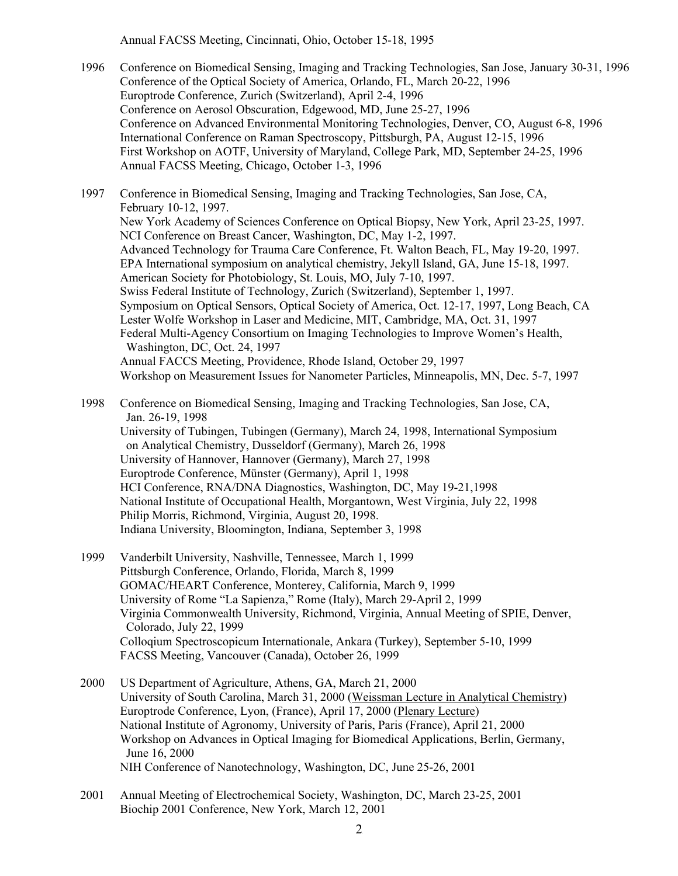Annual FACSS Meeting, Cincinnati, Ohio, October 15-18, 1995

- 1996 Conference on Biomedical Sensing, Imaging and Tracking Technologies, San Jose, January 30-31, 1996 Conference of the Optical Society of America, Orlando, FL, March 20-22, 1996 Europtrode Conference, Zurich (Switzerland), April 2-4, 1996 Conference on Aerosol Obscuration, Edgewood, MD, June 25-27, 1996 Conference on Advanced Environmental Monitoring Technologies, Denver, CO, August 6-8, 1996 International Conference on Raman Spectroscopy, Pittsburgh, PA, August 12-15, 1996 First Workshop on AOTF, University of Maryland, College Park, MD, September 24-25, 1996 Annual FACSS Meeting, Chicago, October 1-3, 1996
- 1997 Conference in Biomedical Sensing, Imaging and Tracking Technologies, San Jose, CA, February 10-12, 1997. New York Academy of Sciences Conference on Optical Biopsy, New York, April 23-25, 1997. NCI Conference on Breast Cancer, Washington, DC, May 1-2, 1997. Advanced Technology for Trauma Care Conference, Ft. Walton Beach, FL, May 19-20, 1997. EPA International symposium on analytical chemistry, Jekyll Island, GA, June 15-18, 1997. American Society for Photobiology, St. Louis, MO, July 7-10, 1997. Swiss Federal Institute of Technology, Zurich (Switzerland), September 1, 1997. Symposium on Optical Sensors, Optical Society of America, Oct. 12-17, 1997, Long Beach, CA Lester Wolfe Workshop in Laser and Medicine, MIT, Cambridge, MA, Oct. 31, 1997 Federal Multi-Agency Consortium on Imaging Technologies to Improve Women's Health, Washington, DC, Oct. 24, 1997 Annual FACCS Meeting, Providence, Rhode Island, October 29, 1997 Workshop on Measurement Issues for Nanometer Particles, Minneapolis, MN, Dec. 5-7, 1997
- 1998 Conference on Biomedical Sensing, Imaging and Tracking Technologies, San Jose, CA, Jan. 26-19, 1998 University of Tubingen, Tubingen (Germany), March 24, 1998, International Symposium on Analytical Chemistry, Dusseldorf (Germany), March 26, 1998 University of Hannover, Hannover (Germany), March 27, 1998 Europtrode Conference, Münster (Germany), April 1, 1998 HCI Conference, RNA/DNA Diagnostics, Washington, DC, May 19-21,1998 National Institute of Occupational Health, Morgantown, West Virginia, July 22, 1998 Philip Morris, Richmond, Virginia, August 20, 1998. Indiana University, Bloomington, Indiana, September 3, 1998
- 1999 Vanderbilt University, Nashville, Tennessee, March 1, 1999 Pittsburgh Conference, Orlando, Florida, March 8, 1999 GOMAC/HEART Conference, Monterey, California, March 9, 1999 University of Rome "La Sapienza," Rome (Italy), March 29-April 2, 1999 Virginia Commonwealth University, Richmond, Virginia, Annual Meeting of SPIE, Denver, Colorado, July 22, 1999 Colloqium Spectroscopicum Internationale, Ankara (Turkey), September 5-10, 1999 FACSS Meeting, Vancouver (Canada), October 26, 1999
- 2000 US Department of Agriculture, Athens, GA, March 21, 2000 University of South Carolina, March 31, 2000 (Weissman Lecture in Analytical Chemistry) Europtrode Conference, Lyon, (France), April 17, 2000 (Plenary Lecture) National Institute of Agronomy, University of Paris, Paris (France), April 21, 2000 Workshop on Advances in Optical Imaging for Biomedical Applications, Berlin, Germany, June 16, 2000 NIH Conference of Nanotechnology, Washington, DC, June 25-26, 2001
- 2001 Annual Meeting of Electrochemical Society, Washington, DC, March 23-25, 2001 Biochip 2001 Conference, New York, March 12, 2001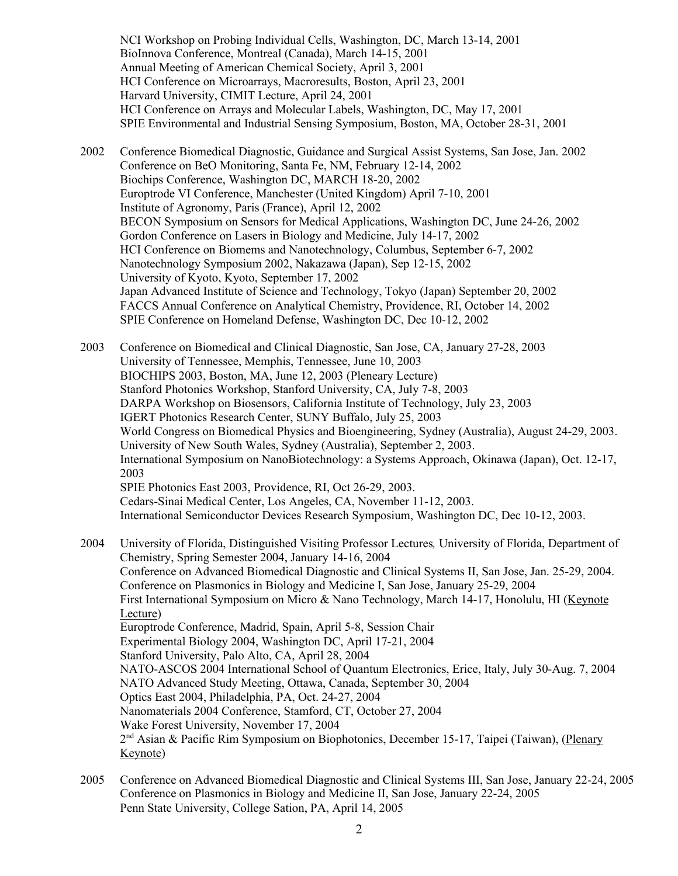NCI Workshop on Probing Individual Cells, Washington, DC, March 13-14, 2001 BioInnova Conference, Montreal (Canada), March 14-15, 2001 Annual Meeting of American Chemical Society, April 3, 2001 HCI Conference on Microarrays, Macroresults, Boston, April 23, 2001 Harvard University, CIMIT Lecture, April 24, 2001 HCI Conference on Arrays and Molecular Labels, Washington, DC, May 17, 2001 SPIE Environmental and Industrial Sensing Symposium, Boston, MA, October 28-31, 2001

2002 Conference Biomedical Diagnostic, Guidance and Surgical Assist Systems, San Jose, Jan. 2002 Conference on BeO Monitoring, Santa Fe, NM, February 12-14, 2002 Biochips Conference, Washington DC, MARCH 18-20, 2002 Europtrode VI Conference, Manchester (United Kingdom) April 7-10, 2001 Institute of Agronomy, Paris (France), April 12, 2002 BECON Symposium on Sensors for Medical Applications, Washington DC, June 24-26, 2002 Gordon Conference on Lasers in Biology and Medicine, July 14-17, 2002 HCI Conference on Biomems and Nanotechnology, Columbus, September 6-7, 2002 Nanotechnology Symposium 2002, Nakazawa (Japan), Sep 12-15, 2002 University of Kyoto, Kyoto, September 17, 2002 Japan Advanced Institute of Science and Technology, Tokyo (Japan) September 20, 2002 FACCS Annual Conference on Analytical Chemistry, Providence, RI, October 14, 2002 SPIE Conference on Homeland Defense, Washington DC, Dec 10-12, 2002

2003 Conference on Biomedical and Clinical Diagnostic, San Jose, CA, January 27-28, 2003 University of Tennessee, Memphis, Tennessee, June 10, 2003 BIOCHIPS 2003, Boston, MA, June 12, 2003 (Pleneary Lecture) Stanford Photonics Workshop, Stanford University, CA, July 7-8, 2003 DARPA Workshop on Biosensors, California Institute of Technology, July 23, 2003 IGERT Photonics Research Center, SUNY Buffalo, July 25, 2003 World Congress on Biomedical Physics and Bioengineering, Sydney (Australia), August 24-29, 2003. University of New South Wales, Sydney (Australia), September 2, 2003. International Symposium on NanoBiotechnology: a Systems Approach, Okinawa (Japan), Oct. 12-17, 2003 SPIE Photonics East 2003, Providence, RI, Oct 26-29, 2003. Cedars-Sinai Medical Center, Los Angeles, CA, November 11-12, 2003. International Semiconductor Devices Research Symposium, Washington DC, Dec 10-12, 2003.

- 2004 University of Florida, Distinguished Visiting Professor Lectures*,* University of Florida, Department of Chemistry, Spring Semester 2004, January 14-16, 2004 Conference on Advanced Biomedical Diagnostic and Clinical Systems II, San Jose, Jan. 25-29, 2004. Conference on Plasmonics in Biology and Medicine I, San Jose, January 25-29, 2004 First International Symposium on Micro & Nano Technology, March 14-17, Honolulu, HI (Keynote Lecture) Europtrode Conference, Madrid, Spain, April 5-8, Session Chair Experimental Biology 2004, Washington DC, April 17-21, 2004 Stanford University, Palo Alto, CA, April 28, 2004 NATO-ASCOS 2004 International School of Quantum Electronics, Erice, Italy, July 30-Aug. 7, 2004 NATO Advanced Study Meeting, Ottawa, Canada, September 30, 2004 Optics East 2004, Philadelphia, PA, Oct. 24-27, 2004 Nanomaterials 2004 Conference, Stamford, CT, October 27, 2004 Wake Forest University, November 17, 2004 2nd Asian & Pacific Rim Symposium on Biophotonics, December 15-17, Taipei (Taiwan), (Plenary Keynote)
- 2005 Conference on Advanced Biomedical Diagnostic and Clinical Systems III, San Jose, January 22-24, 2005 Conference on Plasmonics in Biology and Medicine II, San Jose, January 22-24, 2005 Penn State University, College Sation, PA, April 14, 2005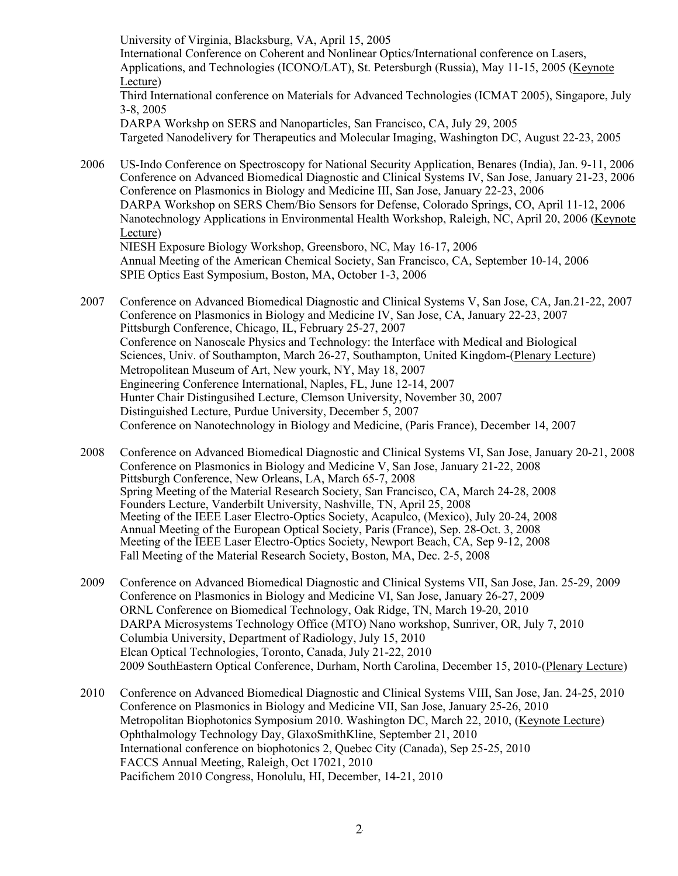University of Virginia, Blacksburg, VA, April 15, 2005 International Conference on Coherent and Nonlinear Optics/International conference on Lasers, Applications, and Technologies (ICONO/LAT), St. Petersburgh (Russia), May 11-15, 2005 (Keynote Lecture) Third International conference on Materials for Advanced Technologies (ICMAT 2005), Singapore, July 3-8, 2005 DARPA Workshp on SERS and Nanoparticles, San Francisco, CA, July 29, 2005 Targeted Nanodelivery for Therapeutics and Molecular Imaging, Washington DC, August 22-23, 2005 2006 US-Indo Conference on Spectroscopy for National Security Application, Benares (India), Jan. 9-11, 2006

Conference on Advanced Biomedical Diagnostic and Clinical Systems IV, San Jose, January 21-23, 2006 Conference on Plasmonics in Biology and Medicine III, San Jose, January 22-23, 2006 DARPA Workshop on SERS Chem/Bio Sensors for Defense, Colorado Springs, CO, April 11-12, 2006 Nanotechnology Applications in Environmental Health Workshop, Raleigh, NC, April 20, 2006 (Keynote Lecture) NIESH Exposure Biology Workshop, Greensboro, NC, May 16-17, 2006 Annual Meeting of the American Chemical Society, San Francisco, CA, September 10-14, 2006 SPIE Optics East Symposium, Boston, MA, October 1-3, 2006

- 2007 Conference on Advanced Biomedical Diagnostic and Clinical Systems V, San Jose, CA, Jan.21-22, 2007 Conference on Plasmonics in Biology and Medicine IV, San Jose, CA, January 22-23, 2007 Pittsburgh Conference, Chicago, IL, February 25-27, 2007 Conference on Nanoscale Physics and Technology: the Interface with Medical and Biological Sciences, Univ. of Southampton, March 26-27, Southampton, United Kingdom-(Plenary Lecture) Metropolitean Museum of Art, New yourk, NY, May 18, 2007 Engineering Conference International, Naples, FL, June 12-14, 2007 Hunter Chair Distingusihed Lecture, Clemson University, November 30, 2007 Distinguished Lecture, Purdue University, December 5, 2007 Conference on Nanotechnology in Biology and Medicine, (Paris France), December 14, 2007
- 2008 Conference on Advanced Biomedical Diagnostic and Clinical Systems VI, San Jose, January 20-21, 2008 Conference on Plasmonics in Biology and Medicine V, San Jose, January 21-22, 2008 Pittsburgh Conference, New Orleans, LA, March 65-7, 2008 Spring Meeting of the Material Research Society, San Francisco, CA, March 24-28, 2008 Founders Lecture, Vanderbilt University, Nashville, TN, April 25, 2008 Meeting of the IEEE Laser Electro-Optics Society, Acapulco, (Mexico), July 20-24, 2008 Annual Meeting of the European Optical Society, Paris (France), Sep. 28-Oct. 3, 2008 Meeting of the IEEE Laser Electro-Optics Society, Newport Beach, CA, Sep 9-12, 2008 Fall Meeting of the Material Research Society, Boston, MA, Dec. 2-5, 2008
- 2009 Conference on Advanced Biomedical Diagnostic and Clinical Systems VII, San Jose, Jan. 25-29, 2009 Conference on Plasmonics in Biology and Medicine VI, San Jose, January 26-27, 2009 ORNL Conference on Biomedical Technology, Oak Ridge, TN, March 19-20, 2010 DARPA Microsystems Technology Office (MTO) Nano workshop, Sunriver, OR, July 7, 2010 Columbia University, Department of Radiology, July 15, 2010 Elcan Optical Technologies, Toronto, Canada, July 21-22, 2010 2009 SouthEastern Optical Conference, Durham, North Carolina, December 15, 2010-(Plenary Lecture)
- 2010 Conference on Advanced Biomedical Diagnostic and Clinical Systems VIII, San Jose, Jan. 24-25, 2010 Conference on Plasmonics in Biology and Medicine VII, San Jose, January 25-26, 2010 Metropolitan Biophotonics Symposium 2010. Washington DC, March 22, 2010, (Keynote Lecture) Ophthalmology Technology Day, GlaxoSmithKline, September 21, 2010 International conference on biophotonics 2, Quebec City (Canada), Sep 25-25, 2010 FACCS Annual Meeting, Raleigh, Oct 17021, 2010 Pacifichem 2010 Congress, Honolulu, HI, December, 14-21, 2010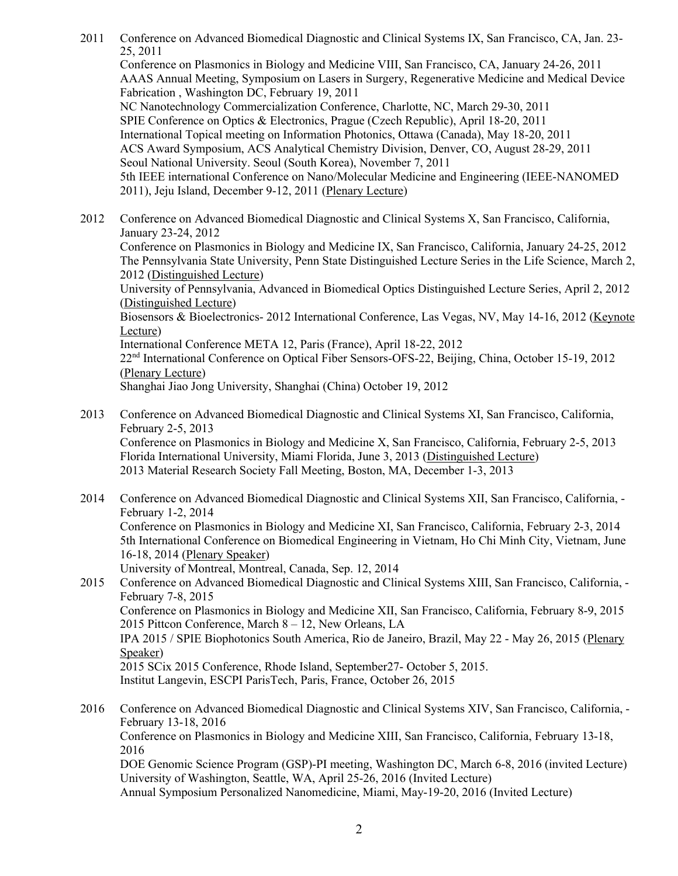2011 Conference on Advanced Biomedical Diagnostic and Clinical Systems IX, San Francisco, CA, Jan. 23- 25, 2011 Conference on Plasmonics in Biology and Medicine VIII, San Francisco, CA, January 24-26, 2011 AAAS Annual Meeting, Symposium on Lasers in Surgery, Regenerative Medicine and Medical Device Fabrication , Washington DC, February 19, 2011 NC Nanotechnology Commercialization Conference, Charlotte, NC, March 29-30, 2011 SPIE Conference on Optics & Electronics, Prague (Czech Republic), April 18-20, 2011 International Topical meeting on Information Photonics, Ottawa (Canada), May 18-20, 2011 ACS Award Symposium, ACS Analytical Chemistry Division, Denver, CO, August 28-29, 2011 Seoul National University. Seoul (South Korea), November 7, 2011 5th IEEE international Conference on Nano/Molecular Medicine and Engineering (IEEE-NANOMED 2011), Jeju Island, December 9-12, 2011 (Plenary Lecture) 2012 Conference on Advanced Biomedical Diagnostic and Clinical Systems X, San Francisco, California, January 23-24, 2012 Conference on Plasmonics in Biology and Medicine IX, San Francisco, California, January 24-25, 2012 The Pennsylvania State University, Penn State Distinguished Lecture Series in the Life Science, March 2, 2012 (Distinguished Lecture) University of Pennsylvania, Advanced in Biomedical Optics Distinguished Lecture Series, April 2, 2012 (Distinguished Lecture) Biosensors & Bioelectronics- 2012 International Conference, Las Vegas, NV, May 14-16, 2012 (Keynote Lecture) International Conference META 12, Paris (France), April 18-22, 2012 22nd International Conference on Optical Fiber Sensors-OFS-22, Beijing, China, October 15-19, 2012 (Plenary Lecture) Shanghai Jiao Jong University, Shanghai (China) October 19, 2012 2013 Conference on Advanced Biomedical Diagnostic and Clinical Systems XI, San Francisco, California, February 2-5, 2013

Conference on Plasmonics in Biology and Medicine X, San Francisco, California, February 2-5, 2013 Florida International University, Miami Florida, June 3, 2013 (Distinguished Lecture) 2013 Material Research Society Fall Meeting, Boston, MA, December 1-3, 2013

2014 Conference on Advanced Biomedical Diagnostic and Clinical Systems XII, San Francisco, California, - February 1-2, 2014 Conference on Plasmonics in Biology and Medicine XI, San Francisco, California, February 2-3, 2014 5th International Conference on Biomedical Engineering in Vietnam, Ho Chi Minh City, Vietnam, June 16-18, 2014 (Plenary Speaker) University of Montreal, Montreal, Canada, Sep. 12, 2014

2015 Conference on Advanced Biomedical Diagnostic and Clinical Systems XIII, San Francisco, California, - February 7-8, 2015 Conference on Plasmonics in Biology and Medicine XII, San Francisco, California, February 8-9, 2015 2015 Pittcon Conference, March 8 – 12, New Orleans, LA IPA 2015 / SPIE Biophotonics South America, Rio de Janeiro, Brazil, May 22 - May 26, 2015 (Plenary Speaker) 2015 SCix 2015 Conference, Rhode Island, September27- October 5, 2015. Institut Langevin, ESCPI ParisTech, Paris, France, October 26, 2015

2016 Conference on Advanced Biomedical Diagnostic and Clinical Systems XIV, San Francisco, California, - February 13-18, 2016 Conference on Plasmonics in Biology and Medicine XIII, San Francisco, California, February 13-18, 2016 DOE Genomic Science Program (GSP)-PI meeting, Washington DC, March 6-8, 2016 (invited Lecture) University of Washington, Seattle, WA, April 25-26, 2016 (Invited Lecture) Annual Symposium Personalized Nanomedicine, Miami, May-19-20, 2016 (Invited Lecture)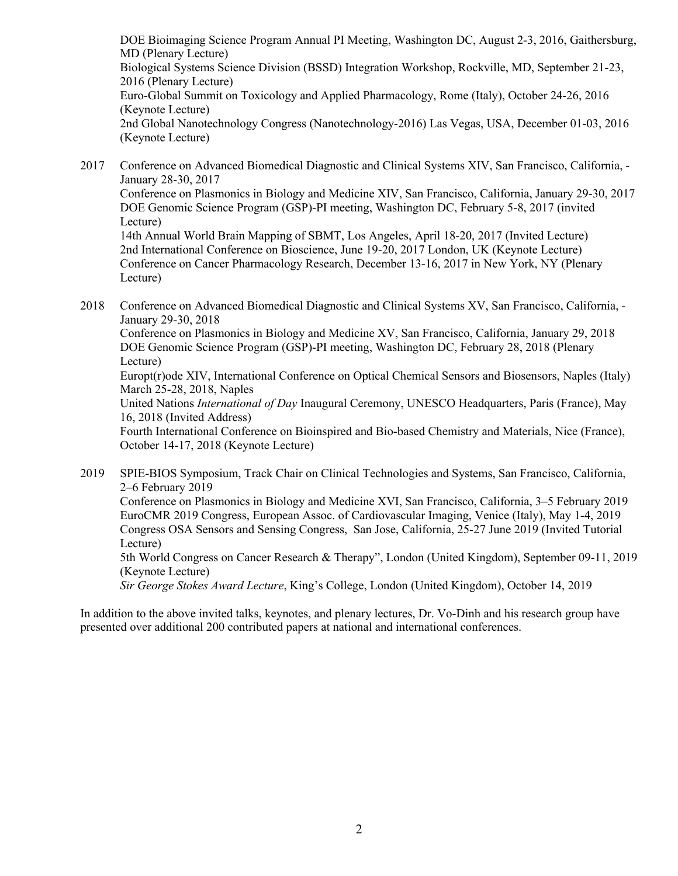DOE Bioimaging Science Program Annual PI Meeting, Washington DC, August 2-3, 2016, Gaithersburg, MD (Plenary Lecture) Biological Systems Science Division (BSSD) Integration Workshop, Rockville, MD, September 21-23, 2016 (Plenary Lecture) Euro-Global Summit on Toxicology and Applied Pharmacology, Rome (Italy), October 24-26, 2016 (Keynote Lecture) 2nd Global Nanotechnology Congress (Nanotechnology-2016) Las Vegas, USA, December 01-03, 2016 (Keynote Lecture)

- 2017 Conference on Advanced Biomedical Diagnostic and Clinical Systems XIV, San Francisco, California, January 28-30, 2017 Conference on Plasmonics in Biology and Medicine XIV, San Francisco, California, January 29-30, 2017 DOE Genomic Science Program (GSP)-PI meeting, Washington DC, February 5-8, 2017 (invited Lecture) 14th Annual World Brain Mapping of SBMT, Los Angeles, April 18-20, 2017 (Invited Lecture) 2nd International Conference on Bioscience, June 19-20, 2017 London, UK (Keynote Lecture) Conference on Cancer Pharmacology Research, December 13-16, 2017 in New York, NY (Plenary Lecture)
- 2018 Conference on Advanced Biomedical Diagnostic and Clinical Systems XV, San Francisco, California, January 29-30, 2018

Conference on Plasmonics in Biology and Medicine XV, San Francisco, California, January 29, 2018 DOE Genomic Science Program (GSP)-PI meeting, Washington DC, February 28, 2018 (Plenary Lecture)

Europt(r)ode XIV, International Conference on Optical Chemical Sensors and Biosensors, Naples (Italy) March 25-28, 2018, Naples

United Nations *International of Day* Inaugural Ceremony, UNESCO Headquarters, Paris (France), May 16, 2018 (Invited Address)

Fourth International Conference on Bioinspired and Bio-based Chemistry and Materials, Nice (France), October 14-17, 2018 (Keynote Lecture)

2019 SPIE-BIOS Symposium, Track Chair on Clinical Technologies and Systems, San Francisco, California, 2–6 February 2019

Conference on Plasmonics in Biology and Medicine XVI, San Francisco, California, 3–5 February 2019 EuroCMR 2019 Congress, European Assoc. of Cardiovascular Imaging, Venice (Italy), May 1-4, 2019 Congress OSA Sensors and Sensing Congress, San Jose, California, 25-27 June 2019 (Invited Tutorial Lecture)

5th World Congress on Cancer Research & Therapy", London (United Kingdom), September 09-11, 2019 (Keynote Lecture)

*Sir George Stokes Award Lecture*, King's College, London (United Kingdom), October 14, 2019

In addition to the above invited talks, keynotes, and plenary lectures, Dr. Vo-Dinh and his research group have presented over additional 200 contributed papers at national and international conferences.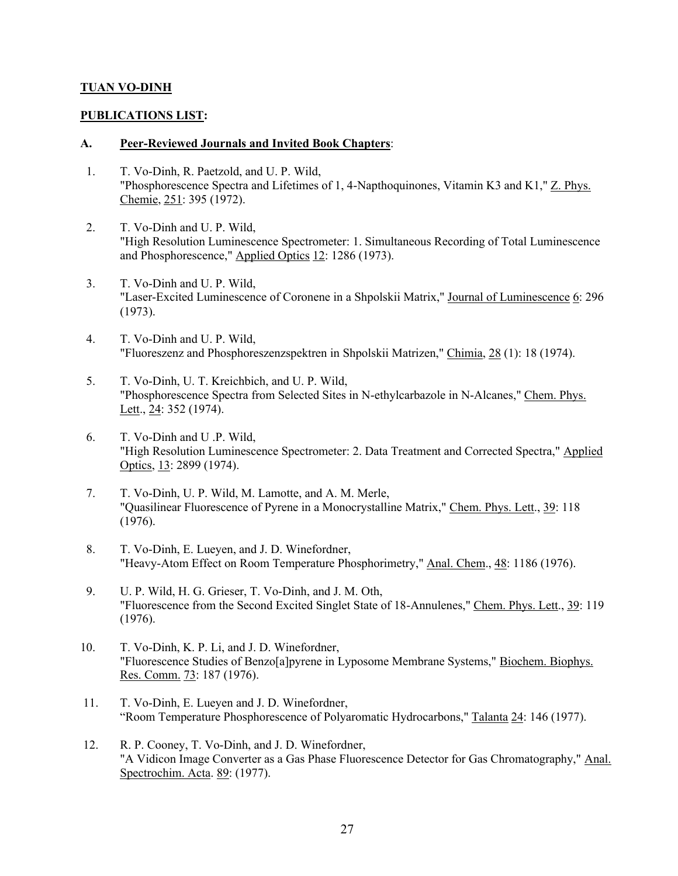## **TUAN VO-DINH**

### **PUBLICATIONS LIST:**

#### **A. Peer-Reviewed Journals and Invited Book Chapters**:

- 1. T. Vo-Dinh, R. Paetzold, and U. P. Wild, "Phosphorescence Spectra and Lifetimes of 1, 4-Napthoquinones, Vitamin K3 and K1," Z. Phys. Chemie, 251: 395 (1972).
- 2. T. Vo-Dinh and U. P. Wild, "High Resolution Luminescence Spectrometer: 1. Simultaneous Recording of Total Luminescence and Phosphorescence," Applied Optics 12: 1286 (1973).
- 3. T. Vo-Dinh and U. P. Wild, "Laser-Excited Luminescence of Coronene in a Shpolskii Matrix," Journal of Luminescence 6: 296 (1973).
- 4. T. Vo-Dinh and U. P. Wild, "Fluoreszenz and Phosphoreszenzspektren in Shpolskii Matrizen," Chimia, 28 (1): 18 (1974).
- 5. T. Vo-Dinh, U. T. Kreichbich, and U. P. Wild, "Phosphorescence Spectra from Selected Sites in N-ethylcarbazole in N-Alcanes," Chem. Phys. Lett., 24: 352 (1974).
- 6. T. Vo-Dinh and U .P. Wild, "High Resolution Luminescence Spectrometer: 2. Data Treatment and Corrected Spectra," Applied Optics, 13: 2899 (1974).
- 7. T. Vo-Dinh, U. P. Wild, M. Lamotte, and A. M. Merle, "Quasilinear Fluorescence of Pyrene in a Monocrystalline Matrix," Chem. Phys. Lett., 39: 118 (1976).
- 8. T. Vo-Dinh, E. Lueyen, and J. D. Winefordner, "Heavy-Atom Effect on Room Temperature Phosphorimetry," Anal. Chem., 48: 1186 (1976).
- 9. U. P. Wild, H. G. Grieser, T. Vo-Dinh, and J. M. Oth, "Fluorescence from the Second Excited Singlet State of 18-Annulenes," Chem. Phys. Lett., 39: 119 (1976).
- 10. T. Vo-Dinh, K. P. Li, and J. D. Winefordner, "Fluorescence Studies of Benzo[a]pyrene in Lyposome Membrane Systems," Biochem. Biophys. Res. Comm. 73: 187 (1976).
- 11. T. Vo-Dinh, E. Lueyen and J. D. Winefordner, "Room Temperature Phosphorescence of Polyaromatic Hydrocarbons," Talanta 24: 146 (1977).
- 12. R. P. Cooney, T. Vo-Dinh, and J. D. Winefordner, "A Vidicon Image Converter as a Gas Phase Fluorescence Detector for Gas Chromatography," Anal. Spectrochim. Acta. 89: (1977).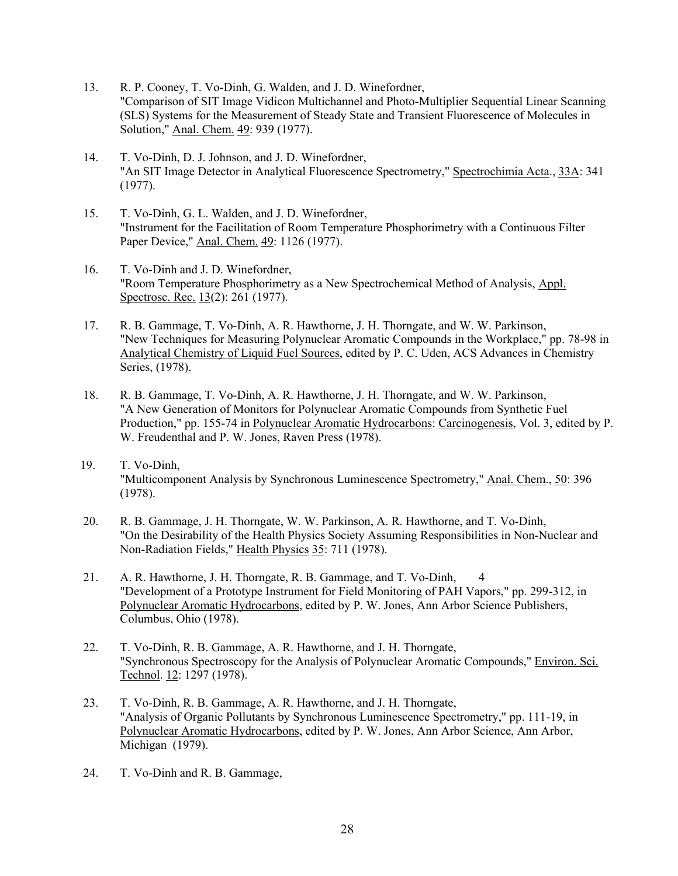- 13. R. P. Cooney, T. Vo-Dinh, G. Walden, and J. D. Winefordner, "Comparison of SIT Image Vidicon Multichannel and Photo-Multiplier Sequential Linear Scanning (SLS) Systems for the Measurement of Steady State and Transient Fluorescence of Molecules in Solution," Anal. Chem. 49: 939 (1977).
- 14. T. Vo-Dinh, D. J. Johnson, and J. D. Winefordner, "An SIT Image Detector in Analytical Fluorescence Spectrometry," Spectrochimia Acta., 33A: 341 (1977).
- 15. T. Vo-Dinh, G. L. Walden, and J. D. Winefordner, "Instrument for the Facilitation of Room Temperature Phosphorimetry with a Continuous Filter Paper Device," Anal. Chem. 49: 1126 (1977).
- 16. T. Vo-Dinh and J. D. Winefordner, "Room Temperature Phosphorimetry as a New Spectrochemical Method of Analysis, Appl. Spectrosc. Rec. 13(2): 261 (1977).
- 17. R. B. Gammage, T. Vo-Dinh, A. R. Hawthorne, J. H. Thorngate, and W. W. Parkinson, "New Techniques for Measuring Polynuclear Aromatic Compounds in the Workplace," pp. 78-98 in Analytical Chemistry of Liquid Fuel Sources, edited by P. C. Uden, ACS Advances in Chemistry Series, (1978).
- 18. R. B. Gammage, T. Vo-Dinh, A. R. Hawthorne, J. H. Thorngate, and W. W. Parkinson, "A New Generation of Monitors for Polynuclear Aromatic Compounds from Synthetic Fuel Production," pp. 155-74 in Polynuclear Aromatic Hydrocarbons: Carcinogenesis, Vol. 3, edited by P. W. Freudenthal and P. W. Jones, Raven Press (1978).
- 19. T. Vo-Dinh, "Multicomponent Analysis by Synchronous Luminescence Spectrometry," Anal. Chem., 50: 396 (1978).
- 20. R. B. Gammage, J. H. Thorngate, W. W. Parkinson, A. R. Hawthorne, and T. Vo-Dinh, "On the Desirability of the Health Physics Society Assuming Responsibilities in Non-Nuclear and Non-Radiation Fields," Health Physics 35: 711 (1978).
- 21. A. R. Hawthorne, J. H. Thorngate, R. B. Gammage, and T. Vo-Dinh, 4 "Development of a Prototype Instrument for Field Monitoring of PAH Vapors," pp. 299-312, in Polynuclear Aromatic Hydrocarbons, edited by P. W. Jones, Ann Arbor Science Publishers, Columbus, Ohio (1978).
- 22. T. Vo-Dinh, R. B. Gammage, A. R. Hawthorne, and J. H. Thorngate, "Synchronous Spectroscopy for the Analysis of Polynuclear Aromatic Compounds," Environ. Sci. Technol. 12: 1297 (1978).
- 23. T. Vo-Dinh, R. B. Gammage, A. R. Hawthorne, and J. H. Thorngate, "Analysis of Organic Pollutants by Synchronous Luminescence Spectrometry," pp. 111-19, in Polynuclear Aromatic Hydrocarbons, edited by P. W. Jones, Ann Arbor Science, Ann Arbor, Michigan (1979).
- 24. T. Vo-Dinh and R. B. Gammage,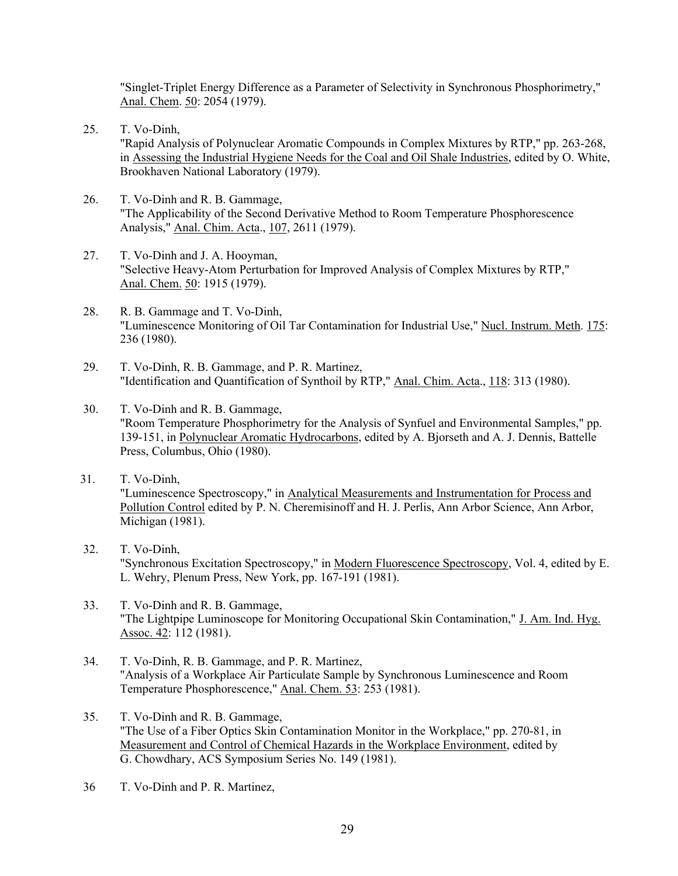"Singlet-Triplet Energy Difference as a Parameter of Selectivity in Synchronous Phosphorimetry," Anal. Chem. 50: 2054 (1979).

- 25. T. Vo-Dinh, "Rapid Analysis of Polynuclear Aromatic Compounds in Complex Mixtures by RTP," pp. 263-268, in Assessing the Industrial Hygiene Needs for the Coal and Oil Shale Industries, edited by O. White, Brookhaven National Laboratory (1979).
- 26. T. Vo-Dinh and R. B. Gammage, "The Applicability of the Second Derivative Method to Room Temperature Phosphorescence Analysis," Anal. Chim. Acta., 107, 2611 (1979).
- 27. T. Vo-Dinh and J. A. Hooyman, "Selective Heavy-Atom Perturbation for Improved Analysis of Complex Mixtures by RTP," Anal. Chem. 50: 1915 (1979).
- 28. R. B. Gammage and T. Vo-Dinh, "Luminescence Monitoring of Oil Tar Contamination for Industrial Use," Nucl. Instrum. Meth. 175: 236 (1980).
- 29. T. Vo-Dinh, R. B. Gammage, and P. R. Martinez, "Identification and Quantification of Synthoil by RTP," Anal. Chim. Acta., 118: 313 (1980).
- 30. T. Vo-Dinh and R. B. Gammage, "Room Temperature Phosphorimetry for the Analysis of Synfuel and Environmental Samples," pp. 139-151, in Polynuclear Aromatic Hydrocarbons, edited by A. Bjorseth and A. J. Dennis, Battelle Press, Columbus, Ohio (1980).
- 31. T. Vo-Dinh, "Luminescence Spectroscopy," in Analytical Measurements and Instrumentation for Process and Pollution Control edited by P. N. Cheremisinoff and H. J. Perlis, Ann Arbor Science, Ann Arbor, Michigan (1981).
- 32. T. Vo-Dinh, "Synchronous Excitation Spectroscopy," in Modern Fluorescence Spectroscopy, Vol. 4, edited by E. L. Wehry, Plenum Press, New York, pp. 167-191 (1981).
- 33. T. Vo-Dinh and R. B. Gammage, "The Lightpipe Luminoscope for Monitoring Occupational Skin Contamination," J. Am. Ind. Hyg. Assoc. 42: 112 (1981).
- 34. T. Vo-Dinh, R. B. Gammage, and P. R. Martinez, "Analysis of a Workplace Air Particulate Sample by Synchronous Luminescence and Room Temperature Phosphorescence," Anal. Chem. 53: 253 (1981).
- 35. T. Vo-Dinh and R. B. Gammage, "The Use of a Fiber Optics Skin Contamination Monitor in the Workplace," pp. 270-81, in Measurement and Control of Chemical Hazards in the Workplace Environment, edited by G. Chowdhary, ACS Symposium Series No. 149 (1981).
- 36 T. Vo-Dinh and P. R. Martinez,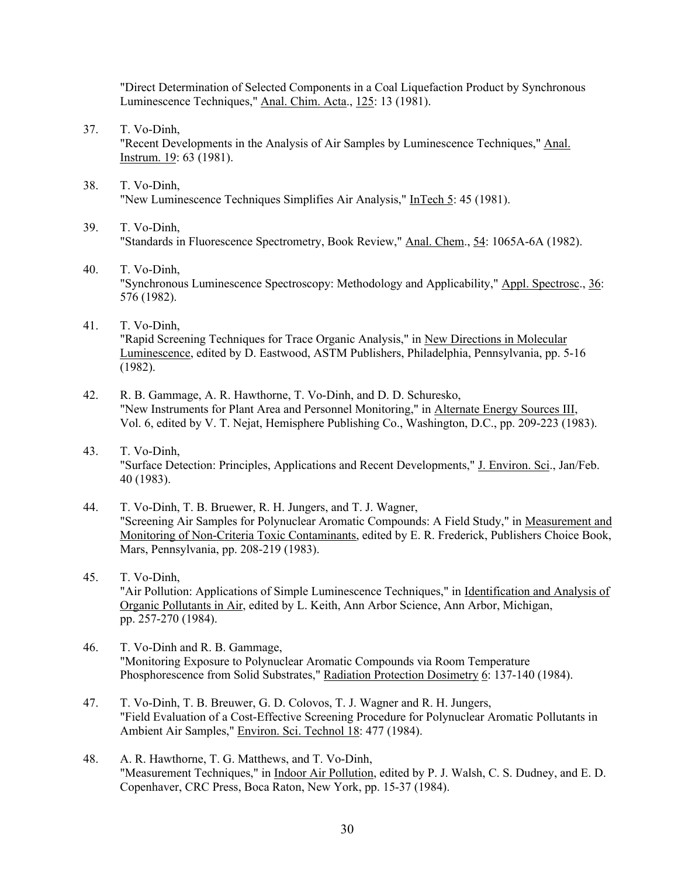"Direct Determination of Selected Components in a Coal Liquefaction Product by Synchronous Luminescence Techniques," Anal. Chim. Acta., 125: 13 (1981).

- 37. T. Vo-Dinh, "Recent Developments in the Analysis of Air Samples by Luminescence Techniques," Anal. Instrum. 19: 63 (1981).
- 38. T. Vo-Dinh, "New Luminescence Techniques Simplifies Air Analysis," InTech 5: 45 (1981).
- 39. T. Vo-Dinh, "Standards in Fluorescence Spectrometry, Book Review," Anal. Chem., 54: 1065A-6A (1982).
- 40. T. Vo-Dinh, "Synchronous Luminescence Spectroscopy: Methodology and Applicability," Appl. Spectrosc., 36: 576 (1982).
- 41. T. Vo-Dinh, "Rapid Screening Techniques for Trace Organic Analysis," in New Directions in Molecular Luminescence, edited by D. Eastwood, ASTM Publishers, Philadelphia, Pennsylvania, pp. 5-16 (1982).
- 42. R. B. Gammage, A. R. Hawthorne, T. Vo-Dinh, and D. D. Schuresko, "New Instruments for Plant Area and Personnel Monitoring," in Alternate Energy Sources III, Vol. 6, edited by V. T. Nejat, Hemisphere Publishing Co., Washington, D.C., pp. 209-223 (1983).
- 43. T. Vo-Dinh, "Surface Detection: Principles, Applications and Recent Developments," J. Environ. Sci., Jan/Feb. 40 (1983).
- 44. T. Vo-Dinh, T. B. Bruewer, R. H. Jungers, and T. J. Wagner, "Screening Air Samples for Polynuclear Aromatic Compounds: A Field Study," in Measurement and Monitoring of Non-Criteria Toxic Contaminants, edited by E. R. Frederick, Publishers Choice Book, Mars, Pennsylvania, pp. 208-219 (1983).
- 45. T. Vo-Dinh, "Air Pollution: Applications of Simple Luminescence Techniques," in Identification and Analysis of Organic Pollutants in Air, edited by L. Keith, Ann Arbor Science, Ann Arbor, Michigan, pp. 257-270 (1984).
- 46. T. Vo-Dinh and R. B. Gammage, "Monitoring Exposure to Polynuclear Aromatic Compounds via Room Temperature Phosphorescence from Solid Substrates," Radiation Protection Dosimetry 6: 137-140 (1984).
- 47. T. Vo-Dinh, T. B. Breuwer, G. D. Colovos, T. J. Wagner and R. H. Jungers, "Field Evaluation of a Cost-Effective Screening Procedure for Polynuclear Aromatic Pollutants in Ambient Air Samples," Environ. Sci. Technol 18: 477 (1984).
- 48. A. R. Hawthorne, T. G. Matthews, and T. Vo-Dinh, "Measurement Techniques," in Indoor Air Pollution, edited by P. J. Walsh, C. S. Dudney, and E. D. Copenhaver, CRC Press, Boca Raton, New York, pp. 15-37 (1984).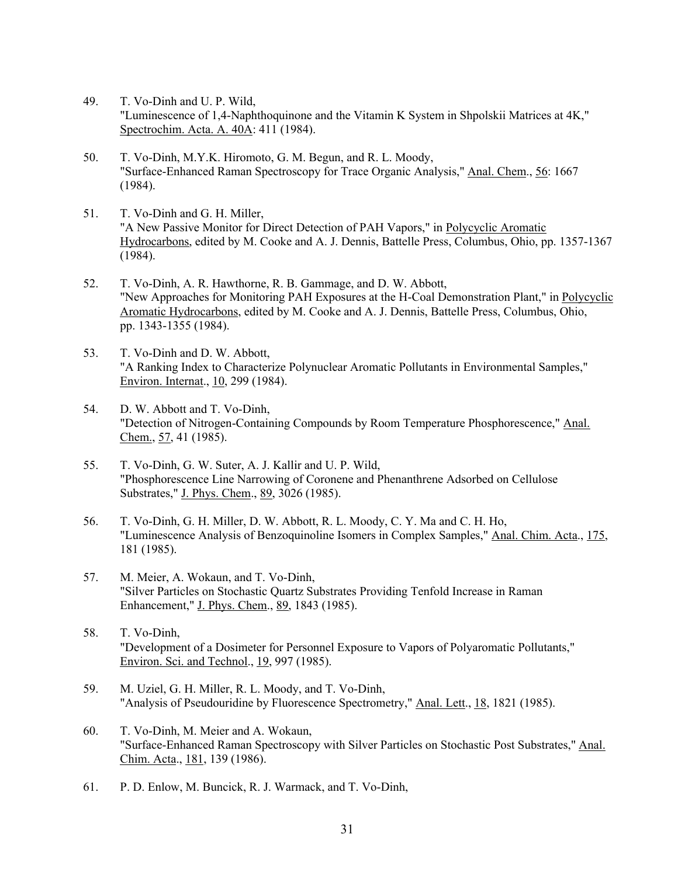- 49. T. Vo-Dinh and U. P. Wild, "Luminescence of 1,4-Naphthoquinone and the Vitamin K System in Shpolskii Matrices at 4K," Spectrochim. Acta. A. 40A: 411 (1984).
- 50. T. Vo-Dinh, M.Y.K. Hiromoto, G. M. Begun, and R. L. Moody, "Surface-Enhanced Raman Spectroscopy for Trace Organic Analysis," Anal. Chem., 56: 1667 (1984).
- 51. T. Vo-Dinh and G. H. Miller, "A New Passive Monitor for Direct Detection of PAH Vapors," in Polycyclic Aromatic Hydrocarbons, edited by M. Cooke and A. J. Dennis, Battelle Press, Columbus, Ohio, pp. 1357-1367 (1984).
- 52. T. Vo-Dinh, A. R. Hawthorne, R. B. Gammage, and D. W. Abbott, "New Approaches for Monitoring PAH Exposures at the H-Coal Demonstration Plant," in Polycyclic Aromatic Hydrocarbons, edited by M. Cooke and A. J. Dennis, Battelle Press, Columbus, Ohio, pp. 1343-1355 (1984).
- 53. T. Vo-Dinh and D. W. Abbott, "A Ranking Index to Characterize Polynuclear Aromatic Pollutants in Environmental Samples," Environ. Internat., 10, 299 (1984).
- 54. D. W. Abbott and T. Vo-Dinh, "Detection of Nitrogen-Containing Compounds by Room Temperature Phosphorescence," Anal. Chem., 57, 41 (1985).
- 55. T. Vo-Dinh, G. W. Suter, A. J. Kallir and U. P. Wild, "Phosphorescence Line Narrowing of Coronene and Phenanthrene Adsorbed on Cellulose Substrates," J. Phys. Chem., 89, 3026 (1985).
- 56. T. Vo-Dinh, G. H. Miller, D. W. Abbott, R. L. Moody, C. Y. Ma and C. H. Ho, "Luminescence Analysis of Benzoquinoline Isomers in Complex Samples," Anal. Chim. Acta., 175, 181 (1985).
- 57. M. Meier, A. Wokaun, and T. Vo-Dinh, "Silver Particles on Stochastic Quartz Substrates Providing Tenfold Increase in Raman Enhancement," J. Phys. Chem., 89, 1843 (1985).
- 58. T. Vo-Dinh, "Development of a Dosimeter for Personnel Exposure to Vapors of Polyaromatic Pollutants," Environ. Sci. and Technol., 19, 997 (1985).
- 59. M. Uziel, G. H. Miller, R. L. Moody, and T. Vo-Dinh, "Analysis of Pseudouridine by Fluorescence Spectrometry," Anal. Lett., 18, 1821 (1985).
- 60. T. Vo-Dinh, M. Meier and A. Wokaun, "Surface-Enhanced Raman Spectroscopy with Silver Particles on Stochastic Post Substrates," Anal. Chim. Acta., 181, 139 (1986).
- 61. P. D. Enlow, M. Buncick, R. J. Warmack, and T. Vo-Dinh,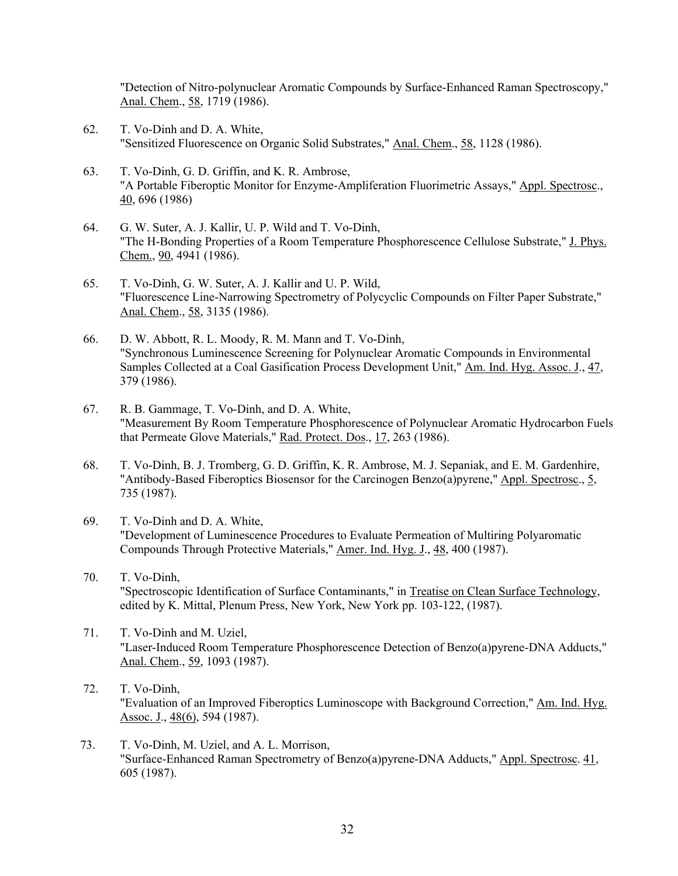"Detection of Nitro-polynuclear Aromatic Compounds by Surface-Enhanced Raman Spectroscopy," Anal. Chem., 58, 1719 (1986).

- 62. T. Vo-Dinh and D. A. White, "Sensitized Fluorescence on Organic Solid Substrates," Anal. Chem., 58, 1128 (1986).
- 63. T. Vo-Dinh, G. D. Griffin, and K. R. Ambrose, "A Portable Fiberoptic Monitor for Enzyme-Ampliferation Fluorimetric Assays," Appl. Spectrosc., 40, 696 (1986)
- 64. G. W. Suter, A. J. Kallir, U. P. Wild and T. Vo-Dinh, "The H-Bonding Properties of a Room Temperature Phosphorescence Cellulose Substrate," J. Phys. Chem., 90, 4941 (1986).
- 65. T. Vo-Dinh, G. W. Suter, A. J. Kallir and U. P. Wild, "Fluorescence Line-Narrowing Spectrometry of Polycyclic Compounds on Filter Paper Substrate," Anal. Chem., 58, 3135 (1986).
- 66. D. W. Abbott, R. L. Moody, R. M. Mann and T. Vo-Dinh, "Synchronous Luminescence Screening for Polynuclear Aromatic Compounds in Environmental Samples Collected at a Coal Gasification Process Development Unit," Am. Ind. Hyg. Assoc. J., 47, 379 (1986).
- 67. R. B. Gammage, T. Vo-Dinh, and D. A. White, "Measurement By Room Temperature Phosphorescence of Polynuclear Aromatic Hydrocarbon Fuels that Permeate Glove Materials," Rad. Protect. Dos., 17, 263 (1986).
- 68. T. Vo-Dinh, B. J. Tromberg, G. D. Griffin, K. R. Ambrose, M. J. Sepaniak, and E. M. Gardenhire, "Antibody-Based Fiberoptics Biosensor for the Carcinogen Benzo(a)pyrene," Appl. Spectrosc., 5, 735 (1987).
- 69. T. Vo-Dinh and D. A. White, "Development of Luminescence Procedures to Evaluate Permeation of Multiring Polyaromatic Compounds Through Protective Materials," Amer. Ind. Hyg. J., 48, 400 (1987).
- 70. T. Vo-Dinh, "Spectroscopic Identification of Surface Contaminants," in Treatise on Clean Surface Technology, edited by K. Mittal, Plenum Press, New York, New York pp. 103-122, (1987).
- 71. T. Vo-Dinh and M. Uziel, "Laser-Induced Room Temperature Phosphorescence Detection of Benzo(a)pyrene-DNA Adducts," Anal. Chem., 59, 1093 (1987).
- 72. T. Vo-Dinh, "Evaluation of an Improved Fiberoptics Luminoscope with Background Correction," Am. Ind. Hyg. Assoc. J., 48(6), 594 (1987).
- 73. T. Vo-Dinh, M. Uziel, and A. L. Morrison, "Surface-Enhanced Raman Spectrometry of Benzo(a)pyrene-DNA Adducts," Appl. Spectrosc. 41, 605 (1987).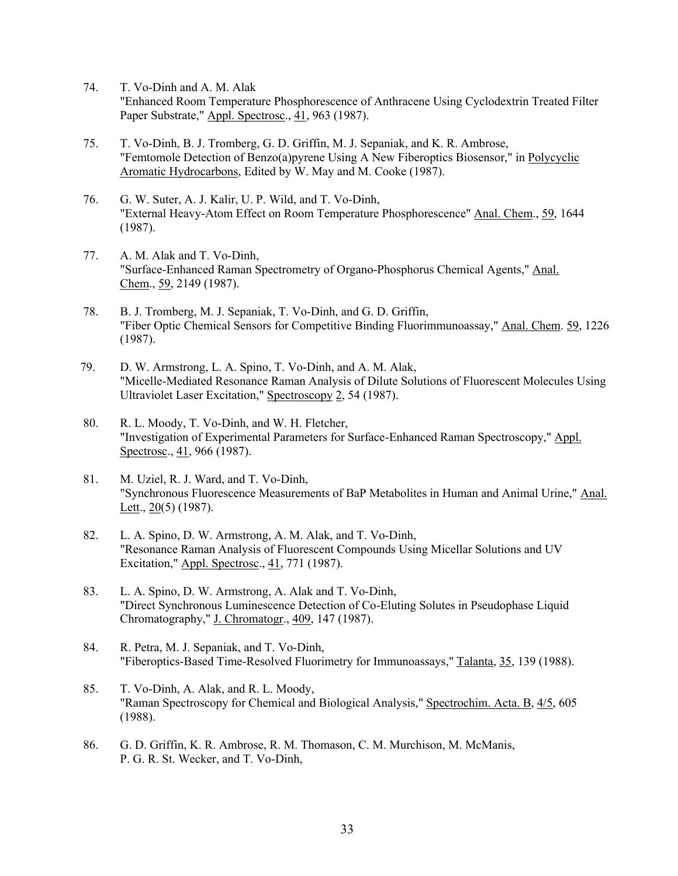- 74. T. Vo-Dinh and A. M. Alak "Enhanced Room Temperature Phosphorescence of Anthracene Using Cyclodextrin Treated Filter Paper Substrate," Appl. Spectrosc., 41, 963 (1987).
- 75. T. Vo-Dinh, B. J. Tromberg, G. D. Griffin, M. J. Sepaniak, and K. R. Ambrose, "Femtomole Detection of Benzo(a)pyrene Using A New Fiberoptics Biosensor," in Polycyclic Aromatic Hydrocarbons, Edited by W. May and M. Cooke (1987).
- 76. G. W. Suter, A. J. Kalir, U. P. Wild, and T. Vo-Dinh, "External Heavy-Atom Effect on Room Temperature Phosphorescence" Anal. Chem., 59, 1644 (1987).
- 77. A. M. Alak and T. Vo-Dinh, "Surface-Enhanced Raman Spectrometry of Organo-Phosphorus Chemical Agents," Anal. Chem., 59, 2149 (1987).
- 78. B. J. Tromberg, M. J. Sepaniak, T. Vo-Dinh, and G. D. Griffin, "Fiber Optic Chemical Sensors for Competitive Binding Fluorimmunoassay," Anal. Chem. 59, 1226 (1987).
- 79. D. W. Armstrong, L. A. Spino, T. Vo-Dinh, and A. M. Alak, "Micelle-Mediated Resonance Raman Analysis of Dilute Solutions of Fluorescent Molecules Using Ultraviolet Laser Excitation," Spectroscopy 2, 54 (1987).
- 80. R. L. Moody, T. Vo-Dinh, and W. H. Fletcher, "Investigation of Experimental Parameters for Surface-Enhanced Raman Spectroscopy," Appl. Spectrosc., 41, 966 (1987).
- 81. M. Uziel, R. J. Ward, and T. Vo-Dinh, "Synchronous Fluorescence Measurements of BaP Metabolites in Human and Animal Urine," Anal. Lett.,  $20(5)$  (1987).
- 82. L. A. Spino, D. W. Armstrong, A. M. Alak, and T. Vo-Dinh, "Resonance Raman Analysis of Fluorescent Compounds Using Micellar Solutions and UV Excitation," Appl. Spectrosc., 41, 771 (1987).
- 83. L. A. Spino, D. W. Armstrong, A. Alak and T. Vo-Dinh, "Direct Synchronous Luminescence Detection of Co-Eluting Solutes in Pseudophase Liquid Chromatography," J. Chromatogr., 409, 147 (1987).
- 84. R. Petra, M. J. Sepaniak, and T. Vo-Dinh, "Fiberoptics-Based Time-Resolved Fluorimetry for Immunoassays," Talanta, 35, 139 (1988).
- 85. T. Vo-Dinh, A. Alak, and R. L. Moody, "Raman Spectroscopy for Chemical and Biological Analysis," Spectrochim. Acta. B, 4/5, 605 (1988).
- 86. G. D. Griffin, K. R. Ambrose, R. M. Thomason, C. M. Murchison, M. McManis, P. G. R. St. Wecker, and T. Vo-Dinh,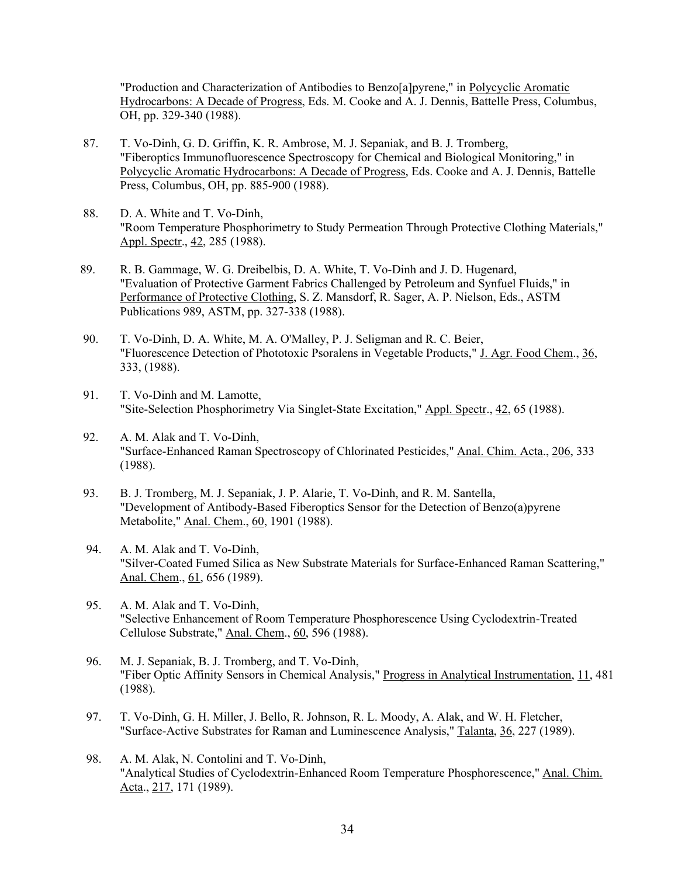"Production and Characterization of Antibodies to Benzo[a]pyrene," in Polycyclic Aromatic Hydrocarbons: A Decade of Progress, Eds. M. Cooke and A. J. Dennis, Battelle Press, Columbus, OH, pp. 329-340 (1988).

- 87. T. Vo-Dinh, G. D. Griffin, K. R. Ambrose, M. J. Sepaniak, and B. J. Tromberg, "Fiberoptics Immunofluorescence Spectroscopy for Chemical and Biological Monitoring," in Polycyclic Aromatic Hydrocarbons: A Decade of Progress, Eds. Cooke and A. J. Dennis, Battelle Press, Columbus, OH, pp. 885-900 (1988).
- 88. D. A. White and T. Vo-Dinh, "Room Temperature Phosphorimetry to Study Permeation Through Protective Clothing Materials," Appl. Spectr., 42, 285 (1988).
- 89. R. B. Gammage, W. G. Dreibelbis, D. A. White, T. Vo-Dinh and J. D. Hugenard, "Evaluation of Protective Garment Fabrics Challenged by Petroleum and Synfuel Fluids," in Performance of Protective Clothing, S. Z. Mansdorf, R. Sager, A. P. Nielson, Eds., ASTM Publications 989, ASTM, pp. 327-338 (1988).
- 90. T. Vo-Dinh, D. A. White, M. A. O'Malley, P. J. Seligman and R. C. Beier, "Fluorescence Detection of Phototoxic Psoralens in Vegetable Products," J. Agr. Food Chem., 36, 333, (1988).
- 91. T. Vo-Dinh and M. Lamotte, "Site-Selection Phosphorimetry Via Singlet-State Excitation," Appl. Spectr., 42, 65 (1988).
- 92. A. M. Alak and T. Vo-Dinh, "Surface-Enhanced Raman Spectroscopy of Chlorinated Pesticides," Anal. Chim. Acta., 206, 333 (1988).
- 93. B. J. Tromberg, M. J. Sepaniak, J. P. Alarie, T. Vo-Dinh, and R. M. Santella, "Development of Antibody-Based Fiberoptics Sensor for the Detection of Benzo(a)pyrene Metabolite," Anal. Chem., 60, 1901 (1988).
- 94. A. M. Alak and T. Vo-Dinh, "Silver-Coated Fumed Silica as New Substrate Materials for Surface-Enhanced Raman Scattering," Anal. Chem., 61, 656 (1989).
- 95. A. M. Alak and T. Vo-Dinh, "Selective Enhancement of Room Temperature Phosphorescence Using Cyclodextrin-Treated Cellulose Substrate," Anal. Chem., 60, 596 (1988).
- 96. M. J. Sepaniak, B. J. Tromberg, and T. Vo-Dinh, "Fiber Optic Affinity Sensors in Chemical Analysis," Progress in Analytical Instrumentation, 11, 481 (1988).
- 97. T. Vo-Dinh, G. H. Miller, J. Bello, R. Johnson, R. L. Moody, A. Alak, and W. H. Fletcher, "Surface-Active Substrates for Raman and Luminescence Analysis," Talanta, 36, 227 (1989).
- 98. A. M. Alak, N. Contolini and T. Vo-Dinh, "Analytical Studies of Cyclodextrin-Enhanced Room Temperature Phosphorescence," Anal. Chim. Acta., 217, 171 (1989).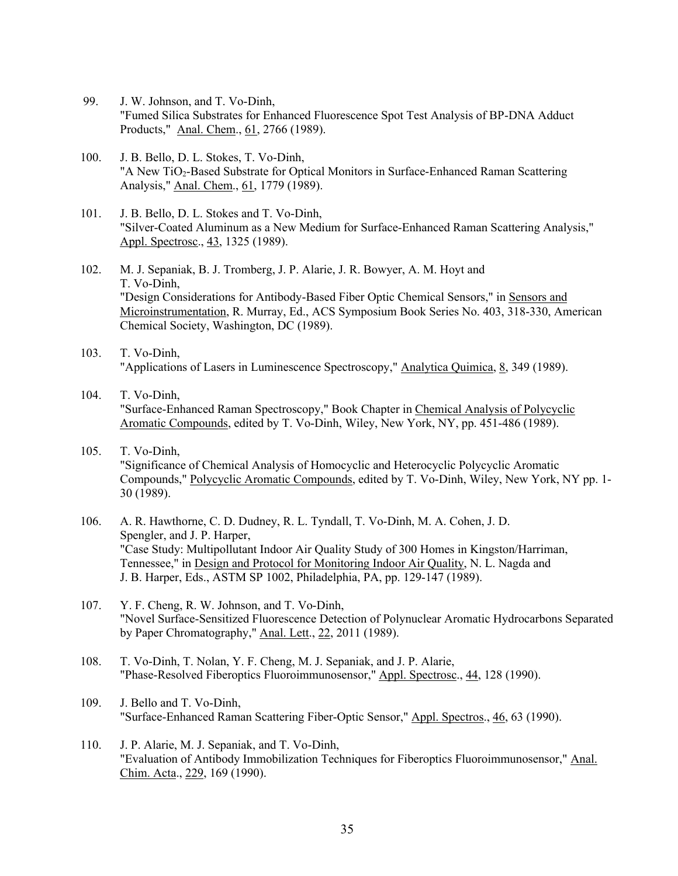- 99. J. W. Johnson, and T. Vo-Dinh, "Fumed Silica Substrates for Enhanced Fluorescence Spot Test Analysis of BP-DNA Adduct Products," Anal. Chem., 61, 2766 (1989).
- 100. J. B. Bello, D. L. Stokes, T. Vo-Dinh, "A New TiO<sub>2</sub>-Based Substrate for Optical Monitors in Surface-Enhanced Raman Scattering Analysis," Anal. Chem., 61, 1779 (1989).
- 101. J. B. Bello, D. L. Stokes and T. Vo-Dinh, "Silver-Coated Aluminum as a New Medium for Surface-Enhanced Raman Scattering Analysis," Appl. Spectrosc., 43, 1325 (1989).
- 102. M. J. Sepaniak, B. J. Tromberg, J. P. Alarie, J. R. Bowyer, A. M. Hoyt and T. Vo-Dinh, "Design Considerations for Antibody-Based Fiber Optic Chemical Sensors," in Sensors and Microinstrumentation, R. Murray, Ed., ACS Symposium Book Series No. 403, 318-330, American Chemical Society, Washington, DC (1989).
- 103. T. Vo-Dinh, "Applications of Lasers in Luminescence Spectroscopy," Analytica Quimica, 8, 349 (1989).
- 104. T. Vo-Dinh, "Surface-Enhanced Raman Spectroscopy," Book Chapter in Chemical Analysis of Polycyclic Aromatic Compounds, edited by T. Vo-Dinh, Wiley, New York, NY, pp. 451-486 (1989).
- 105. T. Vo-Dinh, "Significance of Chemical Analysis of Homocyclic and Heterocyclic Polycyclic Aromatic Compounds," Polycyclic Aromatic Compounds, edited by T. Vo-Dinh, Wiley, New York, NY pp. 1- 30 (1989).
- 106. A. R. Hawthorne, C. D. Dudney, R. L. Tyndall, T. Vo-Dinh, M. A. Cohen, J. D. Spengler, and J. P. Harper, "Case Study: Multipollutant Indoor Air Quality Study of 300 Homes in Kingston/Harriman, Tennessee," in Design and Protocol for Monitoring Indoor Air Quality, N. L. Nagda and J. B. Harper, Eds., ASTM SP 1002, Philadelphia, PA, pp. 129-147 (1989).
- 107. Y. F. Cheng, R. W. Johnson, and T. Vo-Dinh, "Novel Surface-Sensitized Fluorescence Detection of Polynuclear Aromatic Hydrocarbons Separated by Paper Chromatography," Anal. Lett., 22, 2011 (1989).
- 108. T. Vo-Dinh, T. Nolan, Y. F. Cheng, M. J. Sepaniak, and J. P. Alarie, "Phase-Resolved Fiberoptics Fluoroimmunosensor," Appl. Spectrosc., 44, 128 (1990).
- 109. J. Bello and T. Vo-Dinh, "Surface-Enhanced Raman Scattering Fiber-Optic Sensor," Appl. Spectros., 46, 63 (1990).
- 110. J. P. Alarie, M. J. Sepaniak, and T. Vo-Dinh, "Evaluation of Antibody Immobilization Techniques for Fiberoptics Fluoroimmunosensor," Anal. Chim. Acta., 229, 169 (1990).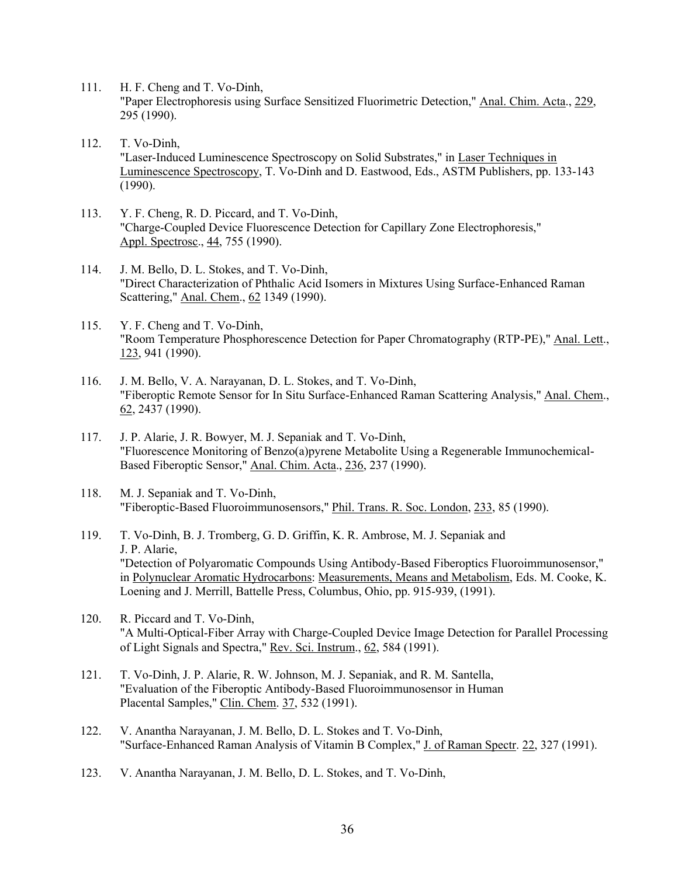- 111. H. F. Cheng and T. Vo-Dinh, "Paper Electrophoresis using Surface Sensitized Fluorimetric Detection," Anal. Chim. Acta., 229, 295 (1990).
- 112. T. Vo-Dinh, "Laser-Induced Luminescence Spectroscopy on Solid Substrates," in Laser Techniques in Luminescence Spectroscopy, T. Vo-Dinh and D. Eastwood, Eds., ASTM Publishers, pp. 133-143 (1990).
- 113. Y. F. Cheng, R. D. Piccard, and T. Vo-Dinh, "Charge-Coupled Device Fluorescence Detection for Capillary Zone Electrophoresis," Appl. Spectrosc., 44, 755 (1990).
- 114. J. M. Bello, D. L. Stokes, and T. Vo-Dinh, "Direct Characterization of Phthalic Acid Isomers in Mixtures Using Surface-Enhanced Raman Scattering," Anal. Chem., 62 1349 (1990).
- 115. Y. F. Cheng and T. Vo-Dinh, "Room Temperature Phosphorescence Detection for Paper Chromatography (RTP-PE)," Anal. Lett., 123, 941 (1990).
- 116. J. M. Bello, V. A. Narayanan, D. L. Stokes, and T. Vo-Dinh, "Fiberoptic Remote Sensor for In Situ Surface-Enhanced Raman Scattering Analysis," Anal. Chem., 62, 2437 (1990).
- 117. J. P. Alarie, J. R. Bowyer, M. J. Sepaniak and T. Vo-Dinh, "Fluorescence Monitoring of Benzo(a)pyrene Metabolite Using a Regenerable Immunochemical-Based Fiberoptic Sensor," Anal. Chim. Acta., 236, 237 (1990).
- 118. M. J. Sepaniak and T. Vo-Dinh, "Fiberoptic-Based Fluoroimmunosensors," Phil. Trans. R. Soc. London, 233, 85 (1990).
- 119. T. Vo-Dinh, B. J. Tromberg, G. D. Griffin, K. R. Ambrose, M. J. Sepaniak and J. P. Alarie, "Detection of Polyaromatic Compounds Using Antibody-Based Fiberoptics Fluoroimmunosensor," in Polynuclear Aromatic Hydrocarbons: Measurements, Means and Metabolism, Eds. M. Cooke, K. Loening and J. Merrill, Battelle Press, Columbus, Ohio, pp. 915-939, (1991).
- 120. R. Piccard and T. Vo-Dinh, "A Multi-Optical-Fiber Array with Charge-Coupled Device Image Detection for Parallel Processing of Light Signals and Spectra," Rev. Sci. Instrum., 62, 584 (1991).
- 121. T. Vo-Dinh, J. P. Alarie, R. W. Johnson, M. J. Sepaniak, and R. M. Santella, "Evaluation of the Fiberoptic Antibody-Based Fluoroimmunosensor in Human Placental Samples," Clin. Chem. 37, 532 (1991).
- 122. V. Anantha Narayanan, J. M. Bello, D. L. Stokes and T. Vo-Dinh, "Surface-Enhanced Raman Analysis of Vitamin B Complex," J. of Raman Spectr. 22, 327 (1991).
- 123. V. Anantha Narayanan, J. M. Bello, D. L. Stokes, and T. Vo-Dinh,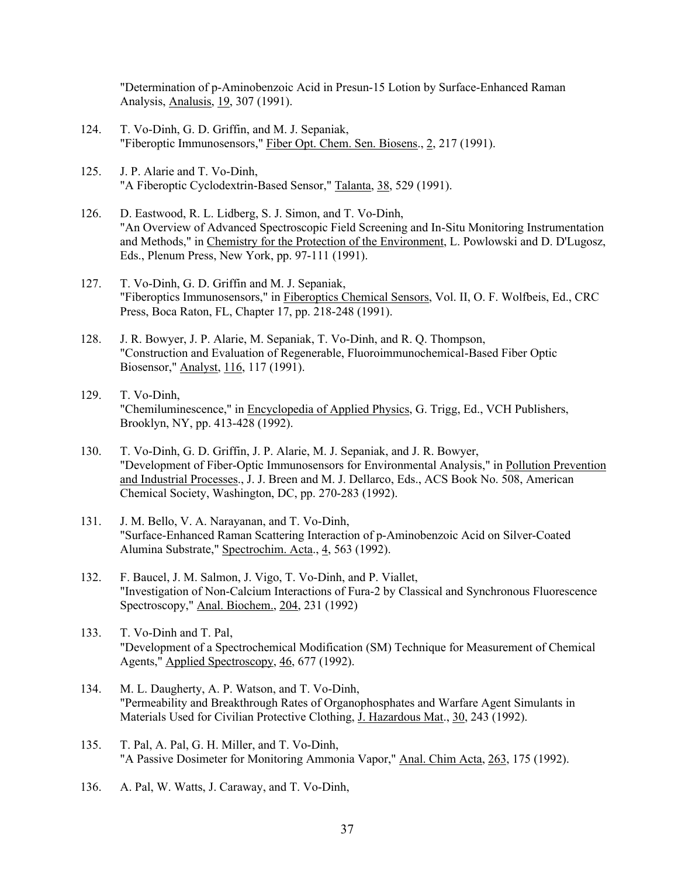"Determination of p-Aminobenzoic Acid in Presun-15 Lotion by Surface-Enhanced Raman Analysis, Analusis, 19, 307 (1991).

- 124. T. Vo-Dinh, G. D. Griffin, and M. J. Sepaniak, "Fiberoptic Immunosensors," Fiber Opt. Chem. Sen. Biosens., 2, 217 (1991).
- 125. J. P. Alarie and T. Vo-Dinh, "A Fiberoptic Cyclodextrin-Based Sensor," Talanta, 38, 529 (1991).
- 126. D. Eastwood, R. L. Lidberg, S. J. Simon, and T. Vo-Dinh, "An Overview of Advanced Spectroscopic Field Screening and In-Situ Monitoring Instrumentation and Methods," in Chemistry for the Protection of the Environment, L. Powlowski and D. D'Lugosz, Eds., Plenum Press, New York, pp. 97-111 (1991).
- 127. T. Vo-Dinh, G. D. Griffin and M. J. Sepaniak, "Fiberoptics Immunosensors," in Fiberoptics Chemical Sensors, Vol. II, O. F. Wolfbeis, Ed., CRC Press, Boca Raton, FL, Chapter 17, pp. 218-248 (1991).
- 128. J. R. Bowyer, J. P. Alarie, M. Sepaniak, T. Vo-Dinh, and R. Q. Thompson, "Construction and Evaluation of Regenerable, Fluoroimmunochemical-Based Fiber Optic Biosensor," Analyst, 116, 117 (1991).
- 129. T. Vo-Dinh, "Chemiluminescence," in Encyclopedia of Applied Physics, G. Trigg, Ed., VCH Publishers, Brooklyn, NY, pp. 413-428 (1992).
- 130. T. Vo-Dinh, G. D. Griffin, J. P. Alarie, M. J. Sepaniak, and J. R. Bowyer, "Development of Fiber-Optic Immunosensors for Environmental Analysis," in Pollution Prevention and Industrial Processes., J. J. Breen and M. J. Dellarco, Eds., ACS Book No. 508, American Chemical Society, Washington, DC, pp. 270-283 (1992).
- 131. J. M. Bello, V. A. Narayanan, and T. Vo-Dinh, "Surface-Enhanced Raman Scattering Interaction of p-Aminobenzoic Acid on Silver-Coated Alumina Substrate," Spectrochim. Acta., 4, 563 (1992).
- 132. F. Baucel, J. M. Salmon, J. Vigo, T. Vo-Dinh, and P. Viallet, "Investigation of Non-Calcium Interactions of Fura-2 by Classical and Synchronous Fluorescence Spectroscopy," Anal. Biochem., 204, 231 (1992)
- 133. T. Vo-Dinh and T. Pal, "Development of a Spectrochemical Modification (SM) Technique for Measurement of Chemical Agents," Applied Spectroscopy, 46, 677 (1992).
- 134. M. L. Daugherty, A. P. Watson, and T. Vo-Dinh, "Permeability and Breakthrough Rates of Organophosphates and Warfare Agent Simulants in Materials Used for Civilian Protective Clothing, J. Hazardous Mat., 30, 243 (1992).
- 135. T. Pal, A. Pal, G. H. Miller, and T. Vo-Dinh, "A Passive Dosimeter for Monitoring Ammonia Vapor," Anal. Chim Acta, 263, 175 (1992).
- 136. A. Pal, W. Watts, J. Caraway, and T. Vo-Dinh,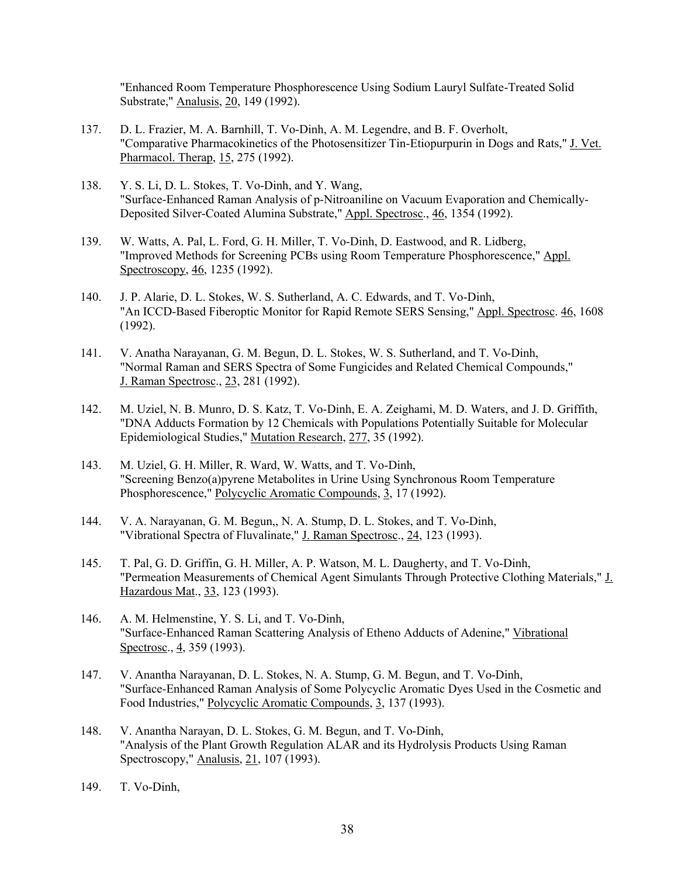"Enhanced Room Temperature Phosphorescence Using Sodium Lauryl Sulfate-Treated Solid Substrate," Analusis, 20, 149 (1992).

- 137. D. L. Frazier, M. A. Barnhill, T. Vo-Dinh, A. M. Legendre, and B. F. Overholt, "Comparative Pharmacokinetics of the Photosensitizer Tin-Etiopurpurin in Dogs and Rats," J. Vet. Pharmacol. Therap, 15, 275 (1992).
- 138. Y. S. Li, D. L. Stokes, T. Vo-Dinh, and Y. Wang, "Surface-Enhanced Raman Analysis of p-Nitroaniline on Vacuum Evaporation and Chemically-Deposited Silver-Coated Alumina Substrate," Appl. Spectrosc., 46, 1354 (1992).
- 139. W. Watts, A. Pal, L. Ford, G. H. Miller, T. Vo-Dinh, D. Eastwood, and R. Lidberg, "Improved Methods for Screening PCBs using Room Temperature Phosphorescence," Appl. Spectroscopy, 46, 1235 (1992).
- 140. J. P. Alarie, D. L. Stokes, W. S. Sutherland, A. C. Edwards, and T. Vo-Dinh, "An ICCD-Based Fiberoptic Monitor for Rapid Remote SERS Sensing," Appl. Spectrosc. 46, 1608 (1992).
- 141. V. Anatha Narayanan, G. M. Begun, D. L. Stokes, W. S. Sutherland, and T. Vo-Dinh, "Normal Raman and SERS Spectra of Some Fungicides and Related Chemical Compounds," J. Raman Spectrosc., 23, 281 (1992).
- 142. M. Uziel, N. B. Munro, D. S. Katz, T. Vo-Dinh, E. A. Zeighami, M. D. Waters, and J. D. Griffith, "DNA Adducts Formation by 12 Chemicals with Populations Potentially Suitable for Molecular Epidemiological Studies," Mutation Research, 277, 35 (1992).
- 143. M. Uziel, G. H. Miller, R. Ward, W. Watts, and T. Vo-Dinh, "Screening Benzo(a)pyrene Metabolites in Urine Using Synchronous Room Temperature Phosphorescence," Polycyclic Aromatic Compounds, 3, 17 (1992).
- 144. V. A. Narayanan, G. M. Begun,, N. A. Stump, D. L. Stokes, and T. Vo-Dinh, "Vibrational Spectra of Fluvalinate," J. Raman Spectrosc., 24, 123 (1993).
- 145. T. Pal, G. D. Griffin, G. H. Miller, A. P. Watson, M. L. Daugherty, and T. Vo-Dinh, "Permeation Measurements of Chemical Agent Simulants Through Protective Clothing Materials," J. Hazardous Mat., 33, 123 (1993).
- 146. A. M. Helmenstine, Y. S. Li, and T. Vo-Dinh, "Surface-Enhanced Raman Scattering Analysis of Etheno Adducts of Adenine," Vibrational Spectrosc., 4, 359 (1993).
- 147. V. Anantha Narayanan, D. L. Stokes, N. A. Stump, G. M. Begun, and T. Vo-Dinh, "Surface-Enhanced Raman Analysis of Some Polycyclic Aromatic Dyes Used in the Cosmetic and Food Industries," Polycyclic Aromatic Compounds, 3, 137 (1993).
- 148. V. Anantha Narayan, D. L. Stokes, G. M. Begun, and T. Vo-Dinh, "Analysis of the Plant Growth Regulation ALAR and its Hydrolysis Products Using Raman Spectroscopy," Analusis, 21, 107 (1993).
- 149. T. Vo-Dinh,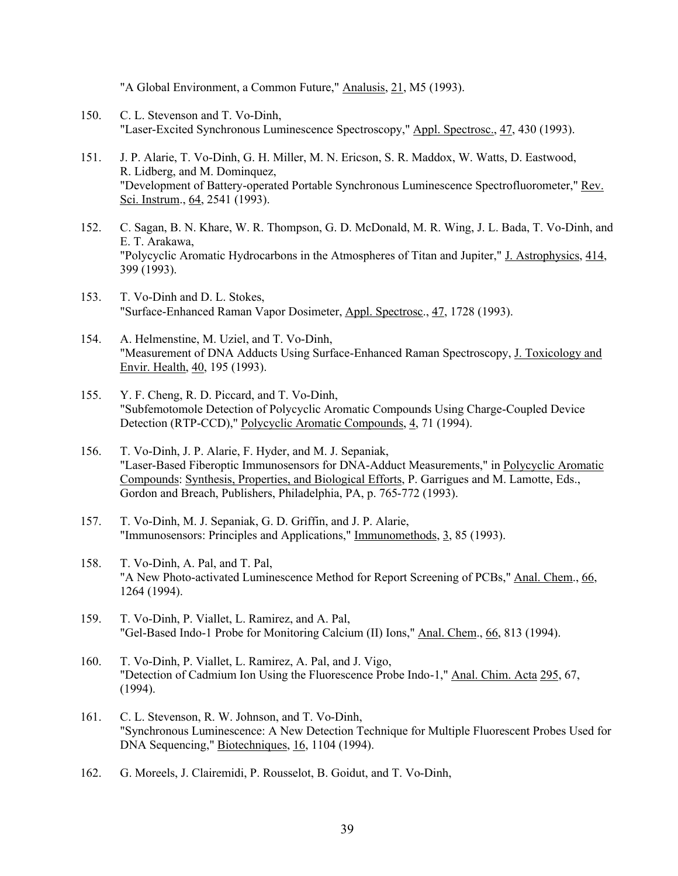"A Global Environment, a Common Future," Analusis, 21, M5 (1993).

- 150. C. L. Stevenson and T. Vo-Dinh, "Laser-Excited Synchronous Luminescence Spectroscopy," Appl. Spectrosc., 47, 430 (1993).
- 151. J. P. Alarie, T. Vo-Dinh, G. H. Miller, M. N. Ericson, S. R. Maddox, W. Watts, D. Eastwood, R. Lidberg, and M. Dominquez, "Development of Battery-operated Portable Synchronous Luminescence Spectrofluorometer," Rev. Sci. Instrum., 64, 2541 (1993).
- 152. C. Sagan, B. N. Khare, W. R. Thompson, G. D. McDonald, M. R. Wing, J. L. Bada, T. Vo-Dinh, and E. T. Arakawa, "Polycyclic Aromatic Hydrocarbons in the Atmospheres of Titan and Jupiter," J. Astrophysics, 414, 399 (1993).
- 153. T. Vo-Dinh and D. L. Stokes, "Surface-Enhanced Raman Vapor Dosimeter, Appl. Spectrosc., 47, 1728 (1993).
- 154. A. Helmenstine, M. Uziel, and T. Vo-Dinh, "Measurement of DNA Adducts Using Surface-Enhanced Raman Spectroscopy, J. Toxicology and Envir. Health, 40, 195 (1993).
- 155. Y. F. Cheng, R. D. Piccard, and T. Vo-Dinh, "Subfemotomole Detection of Polycyclic Aromatic Compounds Using Charge-Coupled Device Detection (RTP-CCD)," Polycyclic Aromatic Compounds, 4, 71 (1994).
- 156. T. Vo-Dinh, J. P. Alarie, F. Hyder, and M. J. Sepaniak, "Laser-Based Fiberoptic Immunosensors for DNA-Adduct Measurements," in Polycyclic Aromatic Compounds: Synthesis, Properties, and Biological Efforts, P. Garrigues and M. Lamotte, Eds., Gordon and Breach, Publishers, Philadelphia, PA, p. 765-772 (1993).
- 157. T. Vo-Dinh, M. J. Sepaniak, G. D. Griffin, and J. P. Alarie, "Immunosensors: Principles and Applications," Immunomethods, 3, 85 (1993).
- 158. T. Vo-Dinh, A. Pal, and T. Pal, "A New Photo-activated Luminescence Method for Report Screening of PCBs," Anal. Chem., 66, 1264 (1994).
- 159. T. Vo-Dinh, P. Viallet, L. Ramirez, and A. Pal, "Gel-Based Indo-1 Probe for Monitoring Calcium (II) Ions," Anal. Chem., 66, 813 (1994).
- 160. T. Vo-Dinh, P. Viallet, L. Ramirez, A. Pal, and J. Vigo, "Detection of Cadmium Ion Using the Fluorescence Probe Indo-1," Anal. Chim. Acta 295, 67, (1994).
- 161. C. L. Stevenson, R. W. Johnson, and T. Vo-Dinh, "Synchronous Luminescence: A New Detection Technique for Multiple Fluorescent Probes Used for DNA Sequencing," Biotechniques, 16, 1104 (1994).
- 162. G. Moreels, J. Clairemidi, P. Rousselot, B. Goidut, and T. Vo-Dinh,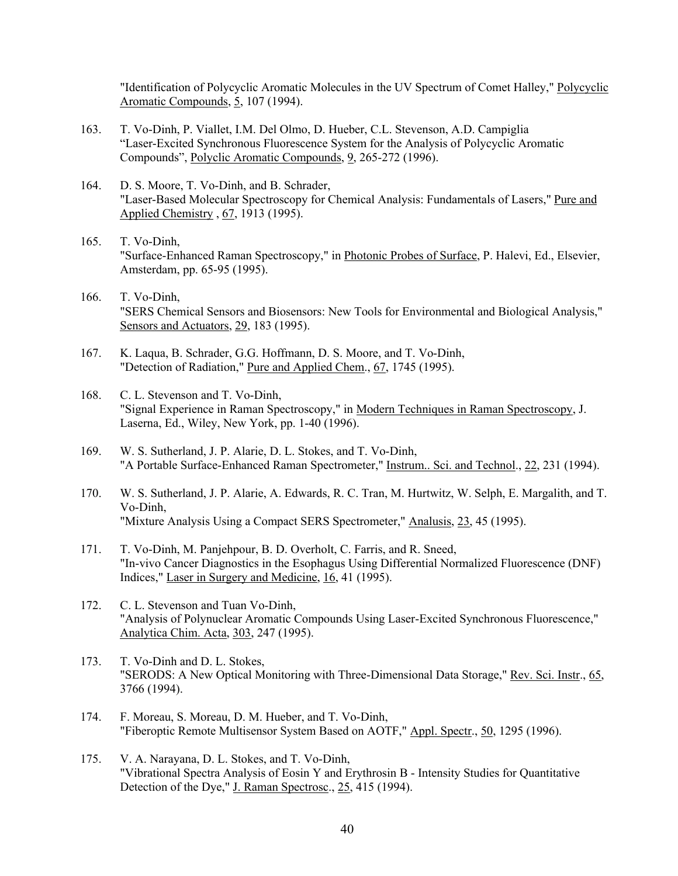"Identification of Polycyclic Aromatic Molecules in the UV Spectrum of Comet Halley," Polycyclic Aromatic Compounds, 5, 107 (1994).

- 163. T. Vo-Dinh, P. Viallet, I.M. Del Olmo, D. Hueber, C.L. Stevenson, A.D. Campiglia "Laser-Excited Synchronous Fluorescence System for the Analysis of Polycyclic Aromatic Compounds", Polyclic Aromatic Compounds, 9, 265-272 (1996).
- 164. D. S. Moore, T. Vo-Dinh, and B. Schrader, "Laser-Based Molecular Spectroscopy for Chemical Analysis: Fundamentals of Lasers," Pure and Applied Chemistry , 67, 1913 (1995).
- 165. T. Vo-Dinh, "Surface-Enhanced Raman Spectroscopy," in Photonic Probes of Surface, P. Halevi, Ed., Elsevier, Amsterdam, pp. 65-95 (1995).
- 166. T. Vo-Dinh, "SERS Chemical Sensors and Biosensors: New Tools for Environmental and Biological Analysis," Sensors and Actuators, 29, 183 (1995).
- 167. K. Laqua, B. Schrader, G.G. Hoffmann, D. S. Moore, and T. Vo-Dinh, "Detection of Radiation," Pure and Applied Chem., 67, 1745 (1995).
- 168. C. L. Stevenson and T. Vo-Dinh, "Signal Experience in Raman Spectroscopy," in Modern Techniques in Raman Spectroscopy, J. Laserna, Ed., Wiley, New York, pp. 1-40 (1996).
- 169. W. S. Sutherland, J. P. Alarie, D. L. Stokes, and T. Vo-Dinh, "A Portable Surface-Enhanced Raman Spectrometer," Instrum.. Sci. and Technol., 22, 231 (1994).
- 170. W. S. Sutherland, J. P. Alarie, A. Edwards, R. C. Tran, M. Hurtwitz, W. Selph, E. Margalith, and T. Vo-Dinh, "Mixture Analysis Using a Compact SERS Spectrometer," Analusis, 23, 45 (1995).
- 171. T. Vo-Dinh, M. Panjehpour, B. D. Overholt, C. Farris, and R. Sneed, "In-vivo Cancer Diagnostics in the Esophagus Using Differential Normalized Fluorescence (DNF) Indices," Laser in Surgery and Medicine, 16, 41 (1995).
- 172. C. L. Stevenson and Tuan Vo-Dinh, "Analysis of Polynuclear Aromatic Compounds Using Laser-Excited Synchronous Fluorescence," Analytica Chim. Acta, 303, 247 (1995).
- 173. T. Vo-Dinh and D. L. Stokes, "SERODS: A New Optical Monitoring with Three-Dimensional Data Storage," Rev. Sci. Instr., 65, 3766 (1994).
- 174. F. Moreau, S. Moreau, D. M. Hueber, and T. Vo-Dinh, "Fiberoptic Remote Multisensor System Based on AOTF," Appl. Spectr., 50, 1295 (1996).
- 175. V. A. Narayana, D. L. Stokes, and T. Vo-Dinh, "Vibrational Spectra Analysis of Eosin Y and Erythrosin B - Intensity Studies for Quantitative Detection of the Dye," J. Raman Spectrosc., 25, 415 (1994).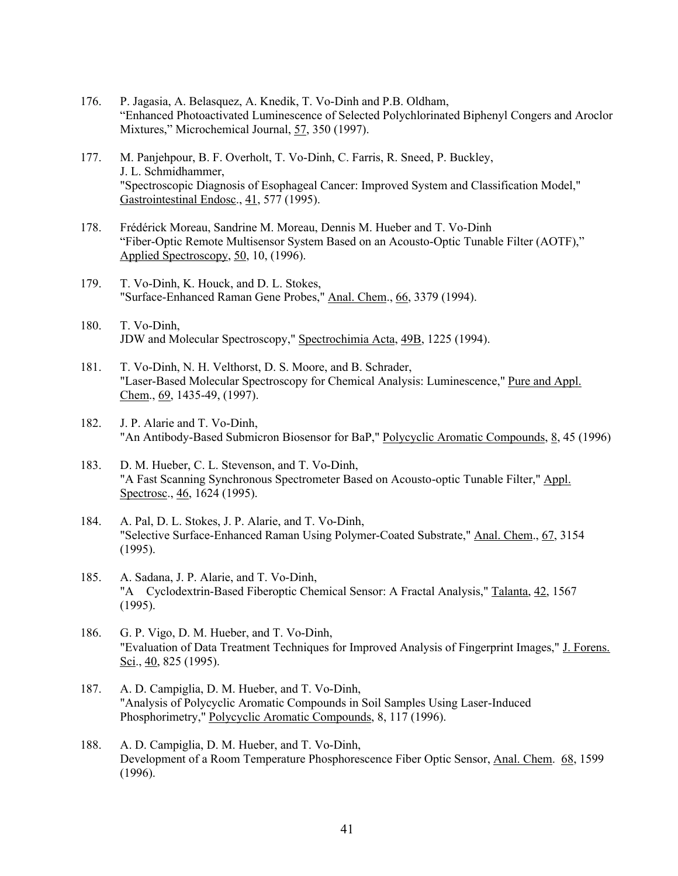- 176. P. Jagasia, A. Belasquez, A. Knedik, T. Vo-Dinh and P.B. Oldham, "Enhanced Photoactivated Luminescence of Selected Polychlorinated Biphenyl Congers and Aroclor Mixtures," Microchemical Journal, 57, 350 (1997).
- 177. M. Panjehpour, B. F. Overholt, T. Vo-Dinh, C. Farris, R. Sneed, P. Buckley, J. L. Schmidhammer, "Spectroscopic Diagnosis of Esophageal Cancer: Improved System and Classification Model," Gastrointestinal Endosc., 41, 577 (1995).
- 178. Frédérick Moreau, Sandrine M. Moreau, Dennis M. Hueber and T. Vo-Dinh "Fiber-Optic Remote Multisensor System Based on an Acousto-Optic Tunable Filter (AOTF)," Applied Spectroscopy, 50, 10, (1996).
- 179. T. Vo-Dinh, K. Houck, and D. L. Stokes, "Surface-Enhanced Raman Gene Probes," Anal. Chem., 66, 3379 (1994).
- 180. T. Vo-Dinh, JDW and Molecular Spectroscopy," Spectrochimia Acta, 49B, 1225 (1994).
- 181. T. Vo-Dinh, N. H. Velthorst, D. S. Moore, and B. Schrader, "Laser-Based Molecular Spectroscopy for Chemical Analysis: Luminescence," Pure and Appl. Chem., 69, 1435-49, (1997).
- 182. J. P. Alarie and T. Vo-Dinh, "An Antibody-Based Submicron Biosensor for BaP," Polycyclic Aromatic Compounds, 8, 45 (1996)
- 183. D. M. Hueber, C. L. Stevenson, and T. Vo-Dinh, "A Fast Scanning Synchronous Spectrometer Based on Acousto-optic Tunable Filter," Appl. Spectrosc., 46, 1624 (1995).
- 184. A. Pal, D. L. Stokes, J. P. Alarie, and T. Vo-Dinh, "Selective Surface-Enhanced Raman Using Polymer-Coated Substrate," Anal. Chem., 67, 3154 (1995).
- 185. A. Sadana, J. P. Alarie, and T. Vo-Dinh, "A Cyclodextrin-Based Fiberoptic Chemical Sensor: A Fractal Analysis," Talanta, 42, 1567 (1995).
- 186. G. P. Vigo, D. M. Hueber, and T. Vo-Dinh, "Evaluation of Data Treatment Techniques for Improved Analysis of Fingerprint Images," J. Forens. Sci., 40, 825 (1995).
- 187. A. D. Campiglia, D. M. Hueber, and T. Vo-Dinh, "Analysis of Polycyclic Aromatic Compounds in Soil Samples Using Laser-Induced Phosphorimetry," Polycyclic Aromatic Compounds, 8, 117 (1996).
- 188. A. D. Campiglia, D. M. Hueber, and T. Vo-Dinh, Development of a Room Temperature Phosphorescence Fiber Optic Sensor, Anal. Chem. 68, 1599 (1996).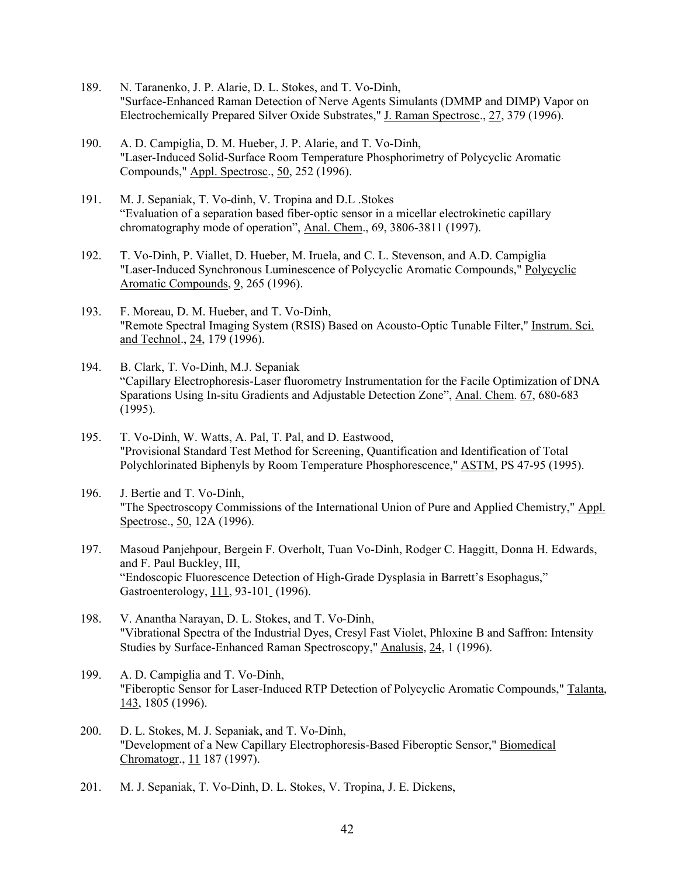- 189. N. Taranenko, J. P. Alarie, D. L. Stokes, and T. Vo-Dinh, "Surface-Enhanced Raman Detection of Nerve Agents Simulants (DMMP and DIMP) Vapor on Electrochemically Prepared Silver Oxide Substrates," J. Raman Spectrosc., 27, 379 (1996).
- 190. A. D. Campiglia, D. M. Hueber, J. P. Alarie, and T. Vo-Dinh, "Laser-Induced Solid-Surface Room Temperature Phosphorimetry of Polycyclic Aromatic Compounds," Appl. Spectrosc., 50, 252 (1996).
- 191. M. J. Sepaniak, T. Vo-dinh, V. Tropina and D.L .Stokes "Evaluation of a separation based fiber-optic sensor in a micellar electrokinetic capillary chromatography mode of operation", Anal. Chem., 69, 3806-3811 (1997).
- 192. T. Vo-Dinh, P. Viallet, D. Hueber, M. Iruela, and C. L. Stevenson, and A.D. Campiglia "Laser-Induced Synchronous Luminescence of Polycyclic Aromatic Compounds," Polycyclic Aromatic Compounds, 9, 265 (1996).
- 193. F. Moreau, D. M. Hueber, and T. Vo-Dinh, "Remote Spectral Imaging System (RSIS) Based on Acousto-Optic Tunable Filter," Instrum. Sci. and Technol., 24, 179 (1996).
- 194. B. Clark, T. Vo-Dinh, M.J. Sepaniak "Capillary Electrophoresis-Laser fluorometry Instrumentation for the Facile Optimization of DNA Sparations Using In-situ Gradients and Adjustable Detection Zone", Anal. Chem. 67, 680-683 (1995).
- 195. T. Vo-Dinh, W. Watts, A. Pal, T. Pal, and D. Eastwood, "Provisional Standard Test Method for Screening, Quantification and Identification of Total Polychlorinated Biphenyls by Room Temperature Phosphorescence," ASTM, PS 47-95 (1995).
- 196. J. Bertie and T. Vo-Dinh, "The Spectroscopy Commissions of the International Union of Pure and Applied Chemistry," Appl. Spectrosc., 50, 12A (1996).
- 197. Masoud Panjehpour, Bergein F. Overholt, Tuan Vo-Dinh, Rodger C. Haggitt, Donna H. Edwards, and F. Paul Buckley, III, "Endoscopic Fluorescence Detection of High-Grade Dysplasia in Barrett's Esophagus," Gastroenterology, 111, 93-101 (1996).
- 198. V. Anantha Narayan, D. L. Stokes, and T. Vo-Dinh, "Vibrational Spectra of the Industrial Dyes, Cresyl Fast Violet, Phloxine B and Saffron: Intensity Studies by Surface-Enhanced Raman Spectroscopy," Analusis, 24, 1 (1996).
- 199. A. D. Campiglia and T. Vo-Dinh, "Fiberoptic Sensor for Laser-Induced RTP Detection of Polycyclic Aromatic Compounds," Talanta, 143, 1805 (1996).
- 200. D. L. Stokes, M. J. Sepaniak, and T. Vo-Dinh, "Development of a New Capillary Electrophoresis-Based Fiberoptic Sensor," Biomedical Chromatogr., 11 187 (1997).
- 201. M. J. Sepaniak, T. Vo-Dinh, D. L. Stokes, V. Tropina, J. E. Dickens,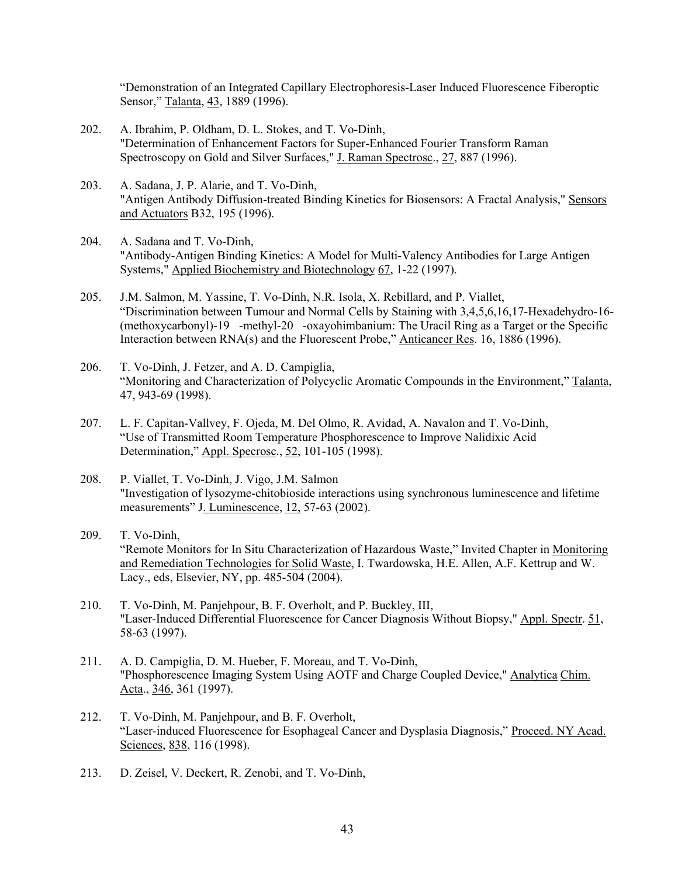"Demonstration of an Integrated Capillary Electrophoresis-Laser Induced Fluorescence Fiberoptic Sensor," Talanta, 43, 1889 (1996).

- 202. A. Ibrahim, P. Oldham, D. L. Stokes, and T. Vo-Dinh, "Determination of Enhancement Factors for Super-Enhanced Fourier Transform Raman Spectroscopy on Gold and Silver Surfaces," J. Raman Spectrosc., 27, 887 (1996).
- 203. A. Sadana, J. P. Alarie, and T. Vo-Dinh, "Antigen Antibody Diffusion-treated Binding Kinetics for Biosensors: A Fractal Analysis," Sensors and Actuators B32, 195 (1996).
- 204. A. Sadana and T. Vo-Dinh, "Antibody-Antigen Binding Kinetics: A Model for Multi-Valency Antibodies for Large Antigen Systems," Applied Biochemistry and Biotechnology 67, 1-22 (1997).
- 205. J.M. Salmon, M. Yassine, T. Vo-Dinh, N.R. Isola, X. Rebillard, and P. Viallet, "Discrimination between Tumour and Normal Cells by Staining with 3,4,5,6,16,17-Hexadehydro-16- (methoxycarbonyl)-19-methyl-20-oxayohimbanium: The Uracil Ring as a Target or the Specific Interaction between RNA(s) and the Fluorescent Probe," Anticancer Res. 16, 1886 (1996).
- 206. T. Vo-Dinh, J. Fetzer, and A. D. Campiglia, "Monitoring and Characterization of Polycyclic Aromatic Compounds in the Environment," Talanta, 47, 943-69 (1998).
- 207. L. F. Capitan-Vallvey, F. Ojeda, M. Del Olmo, R. Avidad, A. Navalon and T. Vo-Dinh, "Use of Transmitted Room Temperature Phosphorescence to Improve Nalidixic Acid Determination," Appl. Specrosc., 52, 101-105 (1998).
- 208. P. Viallet, T. Vo-Dinh, J. Vigo, J.M. Salmon "Investigation of lysozyme-chitobioside interactions using synchronous luminescence and lifetime measurements" J. Luminescence, 12, 57-63 (2002).
- 209. T. Vo-Dinh, "Remote Monitors for In Situ Characterization of Hazardous Waste," Invited Chapter in Monitoring and Remediation Technologies for Solid Waste, I. Twardowska, H.E. Allen, A.F. Kettrup and W. Lacy., eds, Elsevier, NY, pp. 485-504 (2004).
- 210. T. Vo-Dinh, M. Panjehpour, B. F. Overholt, and P. Buckley, III, "Laser-Induced Differential Fluorescence for Cancer Diagnosis Without Biopsy," Appl. Spectr. 51, 58-63 (1997).
- 211. A. D. Campiglia, D. M. Hueber, F. Moreau, and T. Vo-Dinh, "Phosphorescence Imaging System Using AOTF and Charge Coupled Device," Analytica Chim. Acta., 346, 361 (1997).
- 212. T. Vo-Dinh, M. Panjehpour, and B. F. Overholt, "Laser-induced Fluorescence for Esophageal Cancer and Dysplasia Diagnosis," Proceed. NY Acad. Sciences, 838, 116 (1998).
- 213. D. Zeisel, V. Deckert, R. Zenobi, and T. Vo-Dinh,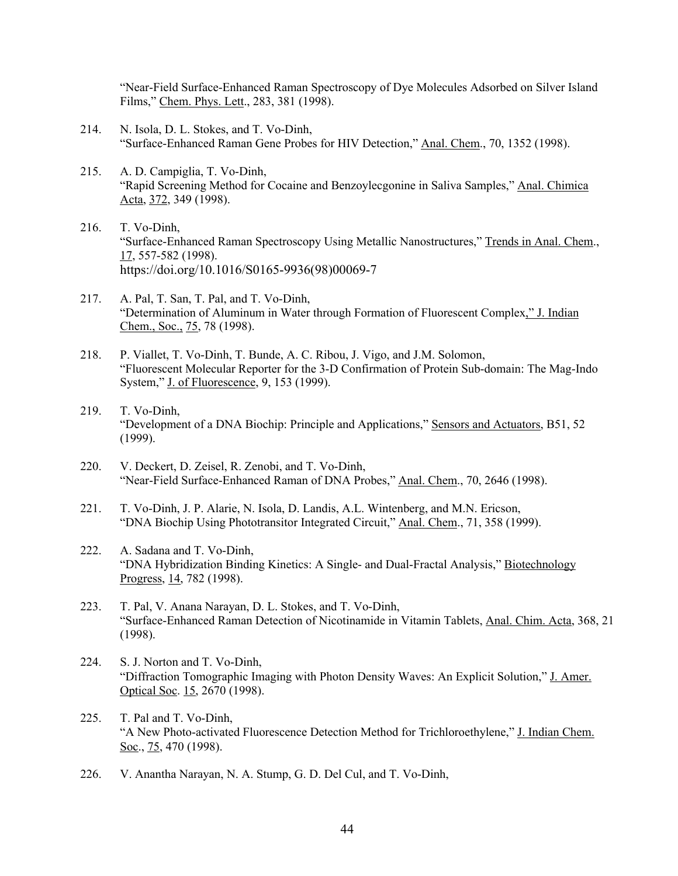"Near-Field Surface-Enhanced Raman Spectroscopy of Dye Molecules Adsorbed on Silver Island Films," Chem. Phys. Lett., 283, 381 (1998).

- 214. N. Isola, D. L. Stokes, and T. Vo-Dinh, "Surface-Enhanced Raman Gene Probes for HIV Detection," Anal. Chem., 70, 1352 (1998).
- 215. A. D. Campiglia, T. Vo-Dinh, "Rapid Screening Method for Cocaine and Benzoylecgonine in Saliva Samples," Anal. Chimica Acta, 372, 349 (1998).
- 216. T. Vo-Dinh, "Surface-Enhanced Raman Spectroscopy Using Metallic Nanostructures," Trends in Anal. Chem., 17, 557-582 (1998). https://doi.org/10.1016/S0165-9936(98)00069-7
- 217. A. Pal, T. San, T. Pal, and T. Vo-Dinh, "Determination of Aluminum in Water through Formation of Fluorescent Complex," J. Indian Chem., Soc., 75, 78 (1998).
- 218. P. Viallet, T. Vo-Dinh, T. Bunde, A. C. Ribou, J. Vigo, and J.M. Solomon, "Fluorescent Molecular Reporter for the 3-D Confirmation of Protein Sub-domain: The Mag-Indo System," J. of Fluorescence, 9, 153 (1999).
- 219. T. Vo-Dinh, "Development of a DNA Biochip: Principle and Applications," Sensors and Actuators, B51, 52 (1999).
- 220. V. Deckert, D. Zeisel, R. Zenobi, and T. Vo-Dinh, "Near-Field Surface-Enhanced Raman of DNA Probes," Anal. Chem., 70, 2646 (1998).
- 221. T. Vo-Dinh, J. P. Alarie, N. Isola, D. Landis, A.L. Wintenberg, and M.N. Ericson, "DNA Biochip Using Phototransitor Integrated Circuit," Anal. Chem., 71, 358 (1999).
- 222. A. Sadana and T. Vo-Dinh, "DNA Hybridization Binding Kinetics: A Single- and Dual-Fractal Analysis," Biotechnology Progress, 14, 782 (1998).
- 223. T. Pal, V. Anana Narayan, D. L. Stokes, and T. Vo-Dinh, "Surface-Enhanced Raman Detection of Nicotinamide in Vitamin Tablets, Anal. Chim. Acta, 368, 21 (1998).
- 224. S. J. Norton and T. Vo-Dinh, "Diffraction Tomographic Imaging with Photon Density Waves: An Explicit Solution," J. Amer. Optical Soc. 15, 2670 (1998).
- 225. T. Pal and T. Vo-Dinh, "A New Photo-activated Fluorescence Detection Method for Trichloroethylene," J. Indian Chem. Soc., 75, 470 (1998).
- 226. V. Anantha Narayan, N. A. Stump, G. D. Del Cul, and T. Vo-Dinh,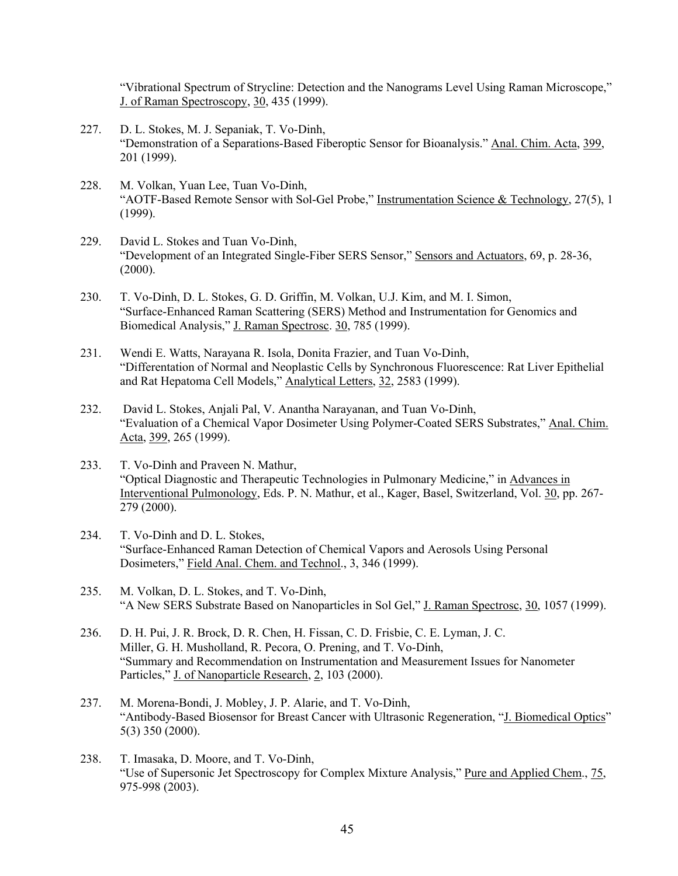"Vibrational Spectrum of Strycline: Detection and the Nanograms Level Using Raman Microscope," J. of Raman Spectroscopy, 30, 435 (1999).

- 227. D. L. Stokes, M. J. Sepaniak, T. Vo-Dinh, "Demonstration of a Separations-Based Fiberoptic Sensor for Bioanalysis." Anal. Chim. Acta, 399, 201 (1999).
- 228. M. Volkan, Yuan Lee, Tuan Vo-Dinh, "AOTF-Based Remote Sensor with Sol-Gel Probe," Instrumentation Science & Technology, 27(5), 1 (1999).
- 229. David L. Stokes and Tuan Vo-Dinh, "Development of an Integrated Single-Fiber SERS Sensor," Sensors and Actuators, 69, p. 28-36,  $(2000).$
- 230. T. Vo-Dinh, D. L. Stokes, G. D. Griffin, M. Volkan, U.J. Kim, and M. I. Simon, "Surface-Enhanced Raman Scattering (SERS) Method and Instrumentation for Genomics and Biomedical Analysis," J. Raman Spectrosc. 30, 785 (1999).
- 231. Wendi E. Watts, Narayana R. Isola, Donita Frazier, and Tuan Vo-Dinh, "Differentation of Normal and Neoplastic Cells by Synchronous Fluorescence: Rat Liver Epithelial and Rat Hepatoma Cell Models," Analytical Letters, 32, 2583 (1999).
- 232. David L. Stokes, Anjali Pal, V. Anantha Narayanan, and Tuan Vo-Dinh, "Evaluation of a Chemical Vapor Dosimeter Using Polymer-Coated SERS Substrates," Anal. Chim. Acta, 399, 265 (1999).
- 233. T. Vo-Dinh and Praveen N. Mathur, "Optical Diagnostic and Therapeutic Technologies in Pulmonary Medicine," in Advances in Interventional Pulmonology, Eds. P. N. Mathur, et al., Kager, Basel, Switzerland, Vol. 30, pp. 267- 279 (2000).
- 234. T. Vo-Dinh and D. L. Stokes, "Surface-Enhanced Raman Detection of Chemical Vapors and Aerosols Using Personal Dosimeters," Field Anal. Chem. and Technol., 3, 346 (1999).
- 235. M. Volkan, D. L. Stokes, and T. Vo-Dinh, "A New SERS Substrate Based on Nanoparticles in Sol Gel," J. Raman Spectrosc, 30, 1057 (1999).
- 236. D. H. Pui, J. R. Brock, D. R. Chen, H. Fissan, C. D. Frisbie, C. E. Lyman, J. C. Miller, G. H. Musholland, R. Pecora, O. Prening, and T. Vo-Dinh, "Summary and Recommendation on Instrumentation and Measurement Issues for Nanometer Particles," J. of Nanoparticle Research, 2, 103 (2000).
- 237. M. Morena-Bondi, J. Mobley, J. P. Alarie, and T. Vo-Dinh, "Antibody-Based Biosensor for Breast Cancer with Ultrasonic Regeneration, "J. Biomedical Optics" 5(3) 350 (2000).
- 238. T. Imasaka, D. Moore, and T. Vo-Dinh, "Use of Supersonic Jet Spectroscopy for Complex Mixture Analysis," Pure and Applied Chem., 75, 975-998 (2003).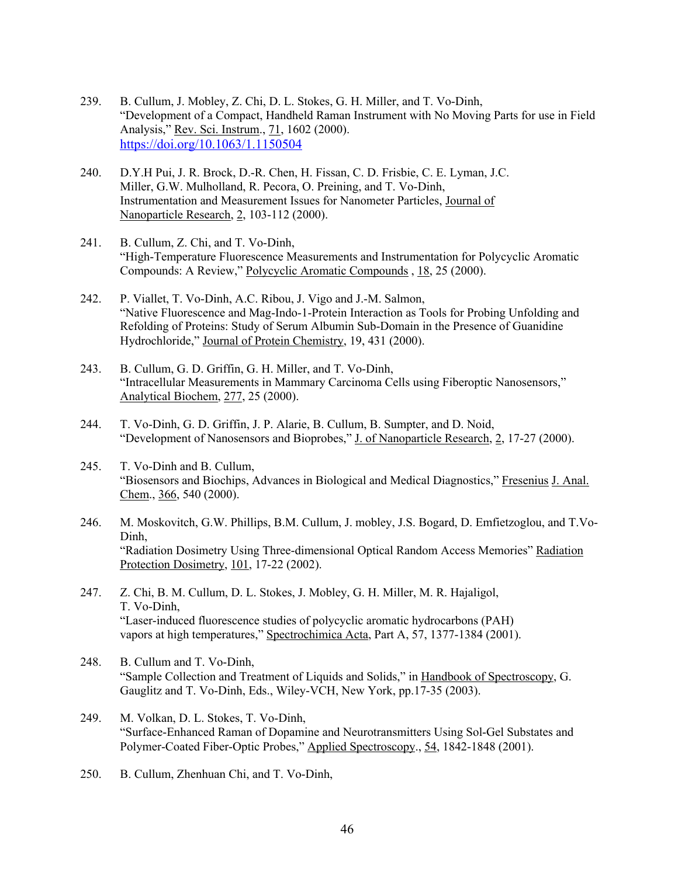- 239. B. Cullum, J. Mobley, Z. Chi, D. L. Stokes, G. H. Miller, and T. Vo-Dinh, "Development of a Compact, Handheld Raman Instrument with No Moving Parts for use in Field Analysis," Rev. Sci. Instrum., 71, 1602 (2000). https://doi.org/10.1063/1.1150504
- 240. D.Y.H Pui, J. R. Brock, D.-R. Chen, H. Fissan, C. D. Frisbie, C. E. Lyman, J.C. Miller, G.W. Mulholland, R. Pecora, O. Preining, and T. Vo-Dinh, Instrumentation and Measurement Issues for Nanometer Particles, Journal of Nanoparticle Research, 2, 103-112 (2000).
- 241. B. Cullum, Z. Chi, and T. Vo-Dinh, "High-Temperature Fluorescence Measurements and Instrumentation for Polycyclic Aromatic Compounds: A Review," Polycyclic Aromatic Compounds , 18, 25 (2000).
- 242. P. Viallet, T. Vo-Dinh, A.C. Ribou, J. Vigo and J.-M. Salmon, "Native Fluorescence and Mag-Indo-1-Protein Interaction as Tools for Probing Unfolding and Refolding of Proteins: Study of Serum Albumin Sub-Domain in the Presence of Guanidine Hydrochloride," Journal of Protein Chemistry, 19, 431 (2000).
- 243. B. Cullum, G. D. Griffin, G. H. Miller, and T. Vo-Dinh, "Intracellular Measurements in Mammary Carcinoma Cells using Fiberoptic Nanosensors," Analytical Biochem, 277, 25 (2000).
- 244. T. Vo-Dinh, G. D. Griffin, J. P. Alarie, B. Cullum, B. Sumpter, and D. Noid, "Development of Nanosensors and Bioprobes," J. of Nanoparticle Research, 2, 17-27 (2000).
- 245. T. Vo-Dinh and B. Cullum, "Biosensors and Biochips, Advances in Biological and Medical Diagnostics," Fresenius J. Anal. Chem., 366, 540 (2000).
- 246. M. Moskovitch, G.W. Phillips, B.M. Cullum, J. mobley, J.S. Bogard, D. Emfietzoglou, and T.Vo-Dinh, "Radiation Dosimetry Using Three-dimensional Optical Random Access Memories" Radiation Protection Dosimetry, 101, 17-22 (2002).
- 247. Z. Chi, B. M. Cullum, D. L. Stokes, J. Mobley, G. H. Miller, M. R. Hajaligol, T. Vo-Dinh, "Laser-induced fluorescence studies of polycyclic aromatic hydrocarbons (PAH) vapors at high temperatures," Spectrochimica Acta, Part A, 57, 1377-1384 (2001).
- 248. B. Cullum and T. Vo-Dinh, "Sample Collection and Treatment of Liquids and Solids," in Handbook of Spectroscopy, G. Gauglitz and T. Vo-Dinh, Eds., Wiley-VCH, New York, pp.17-35 (2003).
- 249. M. Volkan, D. L. Stokes, T. Vo-Dinh, "Surface-Enhanced Raman of Dopamine and Neurotransmitters Using Sol-Gel Substates and Polymer-Coated Fiber-Optic Probes," Applied Spectroscopy., 54, 1842-1848 (2001).
- 250. B. Cullum, Zhenhuan Chi, and T. Vo-Dinh,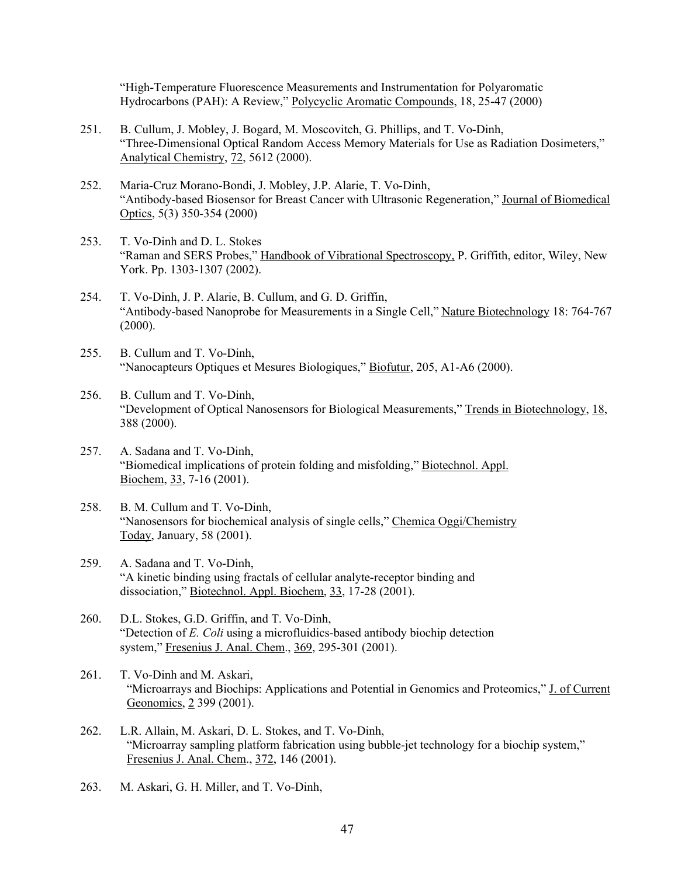"High-Temperature Fluorescence Measurements and Instrumentation for Polyaromatic Hydrocarbons (PAH): A Review," Polycyclic Aromatic Compounds, 18, 25-47 (2000)

- 251. B. Cullum, J. Mobley, J. Bogard, M. Moscovitch, G. Phillips, and T. Vo-Dinh, "Three-Dimensional Optical Random Access Memory Materials for Use as Radiation Dosimeters," Analytical Chemistry, 72, 5612 (2000).
- 252. Maria-Cruz Morano-Bondi, J. Mobley, J.P. Alarie, T. Vo-Dinh, "Antibody-based Biosensor for Breast Cancer with Ultrasonic Regeneration," Journal of Biomedical Optics, 5(3) 350-354 (2000)
- 253. T. Vo-Dinh and D. L. Stokes "Raman and SERS Probes," Handbook of Vibrational Spectroscopy, P. Griffith, editor, Wiley, New York. Pp. 1303-1307 (2002).
- 254. T. Vo-Dinh, J. P. Alarie, B. Cullum, and G. D. Griffin, "Antibody-based Nanoprobe for Measurements in a Single Cell," Nature Biotechnology 18: 764-767  $(2000).$
- 255. B. Cullum and T. Vo-Dinh, "Nanocapteurs Optiques et Mesures Biologiques," Biofutur, 205, A1-A6 (2000).
- 256. B. Cullum and T. Vo-Dinh, "Development of Optical Nanosensors for Biological Measurements," Trends in Biotechnology, 18, 388 (2000).
- 257. A. Sadana and T. Vo-Dinh, "Biomedical implications of protein folding and misfolding," Biotechnol. Appl. Biochem, 33, 7-16 (2001).
- 258. B. M. Cullum and T. Vo-Dinh, "Nanosensors for biochemical analysis of single cells," Chemica Oggi/Chemistry Today, January, 58 (2001).
- 259. A. Sadana and T. Vo-Dinh, "A kinetic binding using fractals of cellular analyte-receptor binding and dissociation," Biotechnol. Appl. Biochem, 33, 17-28 (2001).
- 260. D.L. Stokes, G.D. Griffin, and T. Vo-Dinh, "Detection of *E. Coli* using a microfluidics-based antibody biochip detection system," Fresenius J. Anal. Chem., 369, 295-301 (2001).
- 261. T. Vo-Dinh and M. Askari, "Microarrays and Biochips: Applications and Potential in Genomics and Proteomics," J. of Current Geonomics, 2 399 (2001).
- 262. L.R. Allain, M. Askari, D. L. Stokes, and T. Vo-Dinh, "Microarray sampling platform fabrication using bubble-jet technology for a biochip system," Fresenius J. Anal. Chem., 372, 146 (2001).
- 263. M. Askari, G. H. Miller, and T. Vo-Dinh,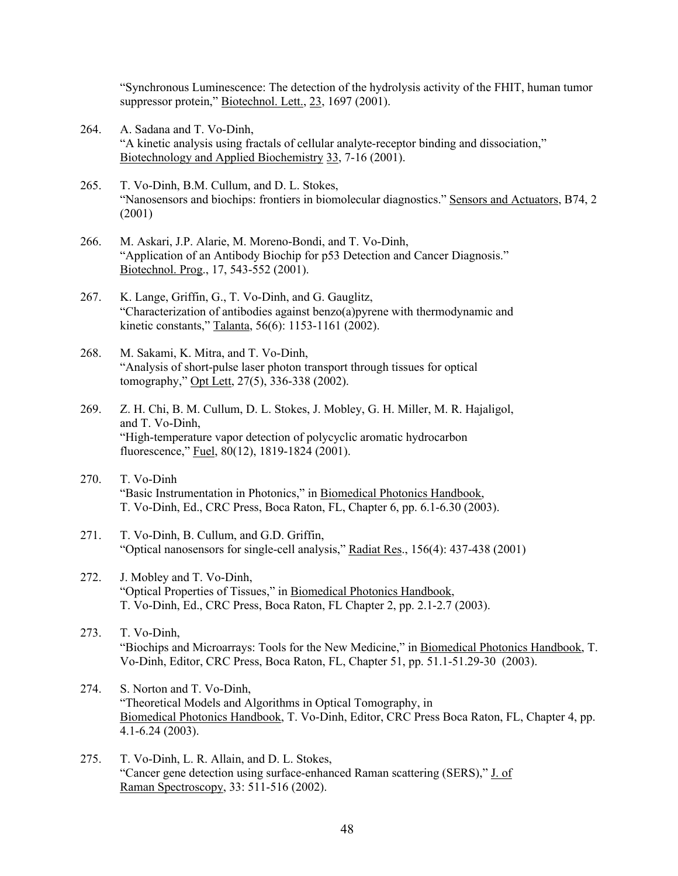"Synchronous Luminescence: The detection of the hydrolysis activity of the FHIT, human tumor suppressor protein," Biotechnol. Lett., 23, 1697 (2001).

- 264. A. Sadana and T. Vo-Dinh, "A kinetic analysis using fractals of cellular analyte-receptor binding and dissociation," Biotechnology and Applied Biochemistry 33, 7-16 (2001).
- 265. T. Vo-Dinh, B.M. Cullum, and D. L. Stokes, "Nanosensors and biochips: frontiers in biomolecular diagnostics." Sensors and Actuators, B74, 2 (2001)
- 266. M. Askari, J.P. Alarie, M. Moreno-Bondi, and T. Vo-Dinh, "Application of an Antibody Biochip for p53 Detection and Cancer Diagnosis." Biotechnol. Prog., 17, 543-552 (2001).
- 267. K. Lange, Griffin, G., T. Vo-Dinh, and G. Gauglitz, "Characterization of antibodies against benzo(a)pyrene with thermodynamic and kinetic constants," Talanta, 56(6): 1153-1161 (2002).
- 268. M. Sakami, K. Mitra, and T. Vo-Dinh, "Analysis of short-pulse laser photon transport through tissues for optical tomography," Opt Lett, 27(5), 336-338 (2002).
- 269. Z. H. Chi, B. M. Cullum, D. L. Stokes, J. Mobley, G. H. Miller, M. R. Hajaligol, and T. Vo-Dinh, "High-temperature vapor detection of polycyclic aromatic hydrocarbon fluorescence," Fuel, 80(12), 1819-1824 (2001).
- 270. T. Vo-Dinh "Basic Instrumentation in Photonics," in Biomedical Photonics Handbook, T. Vo-Dinh, Ed., CRC Press, Boca Raton, FL, Chapter 6, pp. 6.1-6.30 (2003).
- 271. T. Vo-Dinh, B. Cullum, and G.D. Griffin, "Optical nanosensors for single-cell analysis," Radiat Res., 156(4): 437-438 (2001)
- 272. J. Mobley and T. Vo-Dinh, "Optical Properties of Tissues," in Biomedical Photonics Handbook, T. Vo-Dinh, Ed., CRC Press, Boca Raton, FL Chapter 2, pp. 2.1-2.7 (2003).
- 273. T. Vo-Dinh, "Biochips and Microarrays: Tools for the New Medicine," in Biomedical Photonics Handbook, T. Vo-Dinh, Editor, CRC Press, Boca Raton, FL, Chapter 51, pp. 51.1-51.29-30 (2003).
- 274. S. Norton and T. Vo-Dinh, "Theoretical Models and Algorithms in Optical Tomography, in Biomedical Photonics Handbook, T. Vo-Dinh, Editor, CRC Press Boca Raton, FL, Chapter 4, pp. 4.1-6.24 (2003).
- 275. T. Vo-Dinh, L. R. Allain, and D. L. Stokes, "Cancer gene detection using surface-enhanced Raman scattering (SERS)," J. of Raman Spectroscopy, 33: 511-516 (2002).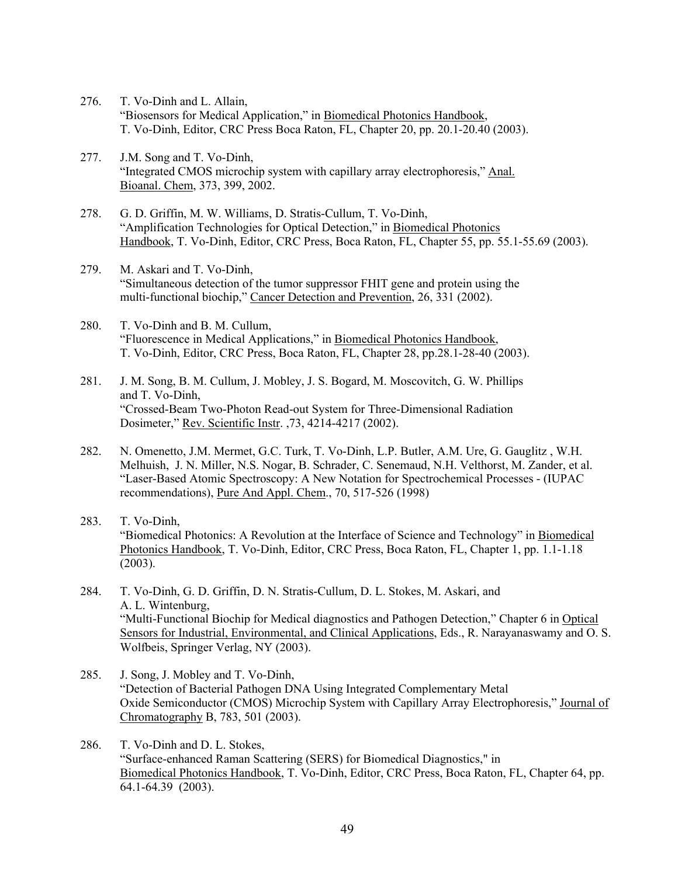- 276. T. Vo-Dinh and L. Allain, "Biosensors for Medical Application," in Biomedical Photonics Handbook, T. Vo-Dinh, Editor, CRC Press Boca Raton, FL, Chapter 20, pp. 20.1-20.40 (2003).
- 277. J.M. Song and T. Vo-Dinh, "Integrated CMOS microchip system with capillary array electrophoresis," Anal. Bioanal. Chem, 373, 399, 2002.
- 278. G. D. Griffin, M. W. Williams, D. Stratis-Cullum, T. Vo-Dinh, "Amplification Technologies for Optical Detection," in Biomedical Photonics Handbook, T. Vo-Dinh, Editor, CRC Press, Boca Raton, FL, Chapter 55, pp. 55.1-55.69 (2003).
- 279. M. Askari and T. Vo-Dinh, "Simultaneous detection of the tumor suppressor FHIT gene and protein using the multi-functional biochip," Cancer Detection and Prevention, 26, 331 (2002).
- 280. T. Vo-Dinh and B. M. Cullum, "Fluorescence in Medical Applications," in **Biomedical Photonics Handbook**, T. Vo-Dinh, Editor, CRC Press, Boca Raton, FL, Chapter 28, pp.28.1-28-40 (2003).
- 281. J. M. Song, B. M. Cullum, J. Mobley, J. S. Bogard, M. Moscovitch, G. W. Phillips and T. Vo-Dinh, "Crossed-Beam Two-Photon Read-out System for Three-Dimensional Radiation Dosimeter," Rev. Scientific Instr. ,73, 4214-4217 (2002).
- 282. N. Omenetto, J.M. Mermet, G.C. Turk, T. Vo-Dinh, L.P. Butler, A.M. Ure, G. Gauglitz , W.H. Melhuish, J. N. Miller, N.S. Nogar, B. Schrader, C. Senemaud, N.H. Velthorst, M. Zander, et al. "Laser-Based Atomic Spectroscopy: A New Notation for Spectrochemical Processes - (IUPAC recommendations), Pure And Appl. Chem., 70, 517-526 (1998)
- 283. T. Vo-Dinh, "Biomedical Photonics: A Revolution at the Interface of Science and Technology" in Biomedical Photonics Handbook, T. Vo-Dinh, Editor, CRC Press, Boca Raton, FL, Chapter 1, pp. 1.1-1.18 (2003).
- 284. T. Vo-Dinh, G. D. Griffin, D. N. Stratis-Cullum, D. L. Stokes, M. Askari, and A. L. Wintenburg, "Multi-Functional Biochip for Medical diagnostics and Pathogen Detection," Chapter 6 in Optical Sensors for Industrial, Environmental, and Clinical Applications, Eds., R. Narayanaswamy and O. S. Wolfbeis, Springer Verlag, NY (2003).
- 285. J. Song, J. Mobley and T. Vo-Dinh, "Detection of Bacterial Pathogen DNA Using Integrated Complementary Metal Oxide Semiconductor (CMOS) Microchip System with Capillary Array Electrophoresis," Journal of Chromatography B, 783, 501 (2003).
- 286. T. Vo-Dinh and D. L. Stokes, "Surface-enhanced Raman Scattering (SERS) for Biomedical Diagnostics," in Biomedical Photonics Handbook, T. Vo-Dinh, Editor, CRC Press, Boca Raton, FL, Chapter 64, pp. 64.1-64.39 (2003).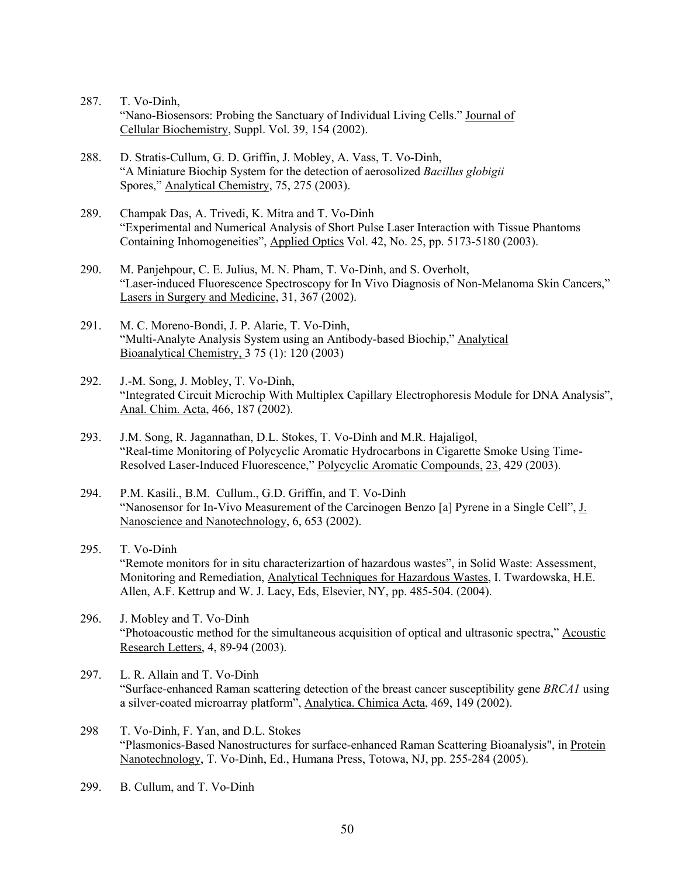- 287. T. Vo-Dinh, "Nano-Biosensors: Probing the Sanctuary of Individual Living Cells." Journal of Cellular Biochemistry, Suppl. Vol. 39, 154 (2002).
- 288. D. Stratis-Cullum, G. D. Griffin, J. Mobley, A. Vass, T. Vo-Dinh, "A Miniature Biochip System for the detection of aerosolized *Bacillus globigii*  Spores," Analytical Chemistry, 75, 275 (2003).
- 289. Champak Das, A. Trivedi, K. Mitra and T. Vo-Dinh "Experimental and Numerical Analysis of Short Pulse Laser Interaction with Tissue Phantoms Containing Inhomogeneities", Applied Optics Vol. 42, No. 25, pp. 5173-5180 (2003).
- 290. M. Panjehpour, C. E. Julius, M. N. Pham, T. Vo-Dinh, and S. Overholt, "Laser-induced Fluorescence Spectroscopy for In Vivo Diagnosis of Non-Melanoma Skin Cancers," Lasers in Surgery and Medicine, 31, 367 (2002).
- 291. M. C. Moreno-Bondi, J. P. Alarie, T. Vo-Dinh, "Multi-Analyte Analysis System using an Antibody-based Biochip," Analytical Bioanalytical Chemistry, 3 75 (1): 120 (2003)
- 292. J.-M. Song, J. Mobley, T. Vo-Dinh, "Integrated Circuit Microchip With Multiplex Capillary Electrophoresis Module for DNA Analysis", Anal. Chim. Acta, 466, 187 (2002).
- 293. J.M. Song, R. Jagannathan, D.L. Stokes, T. Vo-Dinh and M.R. Hajaligol, "Real-time Monitoring of Polycyclic Aromatic Hydrocarbons in Cigarette Smoke Using Time-Resolved Laser-Induced Fluorescence," Polycyclic Aromatic Compounds, 23, 429 (2003).
- 294. P.M. Kasili., B.M. Cullum., G.D. Griffin, and T. Vo-Dinh "Nanosensor for In-Vivo Measurement of the Carcinogen Benzo [a] Pyrene in a Single Cell", J. Nanoscience and Nanotechnology, 6, 653 (2002).
- 295. T. Vo-Dinh "Remote monitors for in situ characterizartion of hazardous wastes", in Solid Waste: Assessment, Monitoring and Remediation, Analytical Techniques for Hazardous Wastes, I. Twardowska, H.E. Allen, A.F. Kettrup and W. J. Lacy, Eds, Elsevier, NY, pp. 485-504. (2004).
- 296. J. Mobley and T. Vo-Dinh "Photoacoustic method for the simultaneous acquisition of optical and ultrasonic spectra," Acoustic Research Letters, 4, 89-94 (2003).
- 297. L. R. Allain and T. Vo-Dinh "Surface-enhanced Raman scattering detection of the breast cancer susceptibility gene *BRCA1* using a silver-coated microarray platform", Analytica. Chimica Acta, 469, 149 (2002).
- 298 T. Vo-Dinh, F. Yan, and D.L. Stokes "Plasmonics-Based Nanostructures for surface-enhanced Raman Scattering Bioanalysis", in Protein Nanotechnology, T. Vo-Dinh, Ed., Humana Press, Totowa, NJ, pp. 255-284 (2005).
- 299. B. Cullum, and T. Vo-Dinh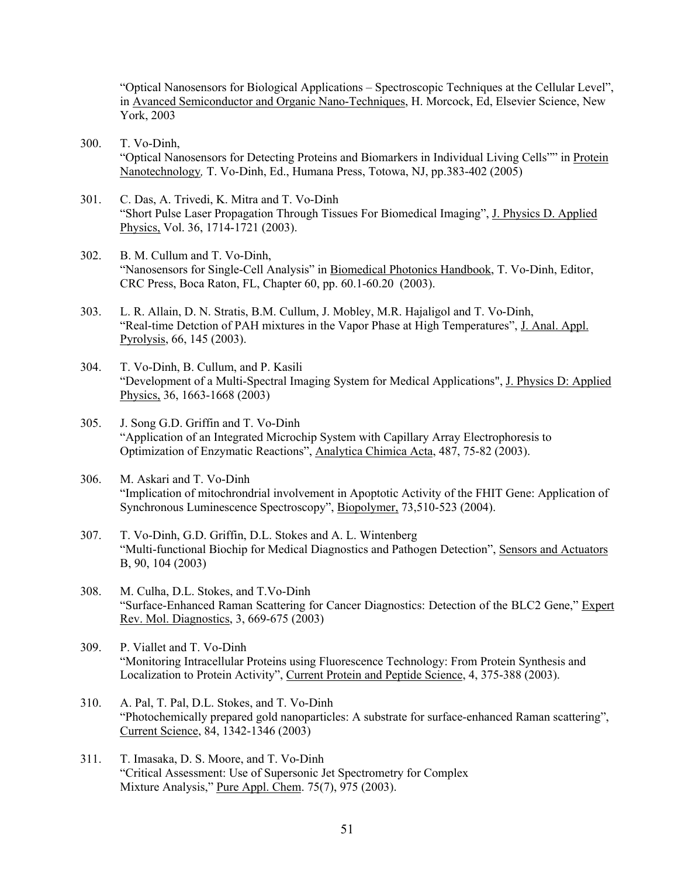"Optical Nanosensors for Biological Applications – Spectroscopic Techniques at the Cellular Level", in Avanced Semiconductor and Organic Nano-Techniques, H. Morcock, Ed, Elsevier Science, New York, 2003

- 300. T. Vo-Dinh, "Optical Nanosensors for Detecting Proteins and Biomarkers in Individual Living Cells"" in Protein Nanotechnology*,* T. Vo-Dinh, Ed., Humana Press, Totowa, NJ, pp.383-402 (2005)
- 301. C. Das, A. Trivedi, K. Mitra and T. Vo-Dinh "Short Pulse Laser Propagation Through Tissues For Biomedical Imaging", J. Physics D. Applied Physics, Vol. 36, 1714-1721 (2003).
- 302. B. M. Cullum and T. Vo-Dinh, "Nanosensors for Single-Cell Analysis" in Biomedical Photonics Handbook, T. Vo-Dinh, Editor, CRC Press, Boca Raton, FL, Chapter 60, pp. 60.1-60.20 (2003).
- 303. L. R. Allain, D. N. Stratis, B.M. Cullum, J. Mobley, M.R. Hajaligol and T. Vo-Dinh, "Real-time Detction of PAH mixtures in the Vapor Phase at High Temperatures", J. Anal. Appl. Pyrolysis, 66, 145 (2003).
- 304. T. Vo-Dinh, B. Cullum, and P. Kasili "Development of a Multi-Spectral Imaging System for Medical Applications", J. Physics D: Applied Physics, 36, 1663-1668 (2003)
- 305. J. Song G.D. Griffin and T. Vo-Dinh "Application of an Integrated Microchip System with Capillary Array Electrophoresis to Optimization of Enzymatic Reactions", Analytica Chimica Acta, 487, 75-82 (2003).
- 306. M. Askari and T. Vo-Dinh "Implication of mitochrondrial involvement in Apoptotic Activity of the FHIT Gene: Application of Synchronous Luminescence Spectroscopy", Biopolymer, 73,510-523 (2004).
- 307. T. Vo-Dinh, G.D. Griffin, D.L. Stokes and A. L. Wintenberg "Multi-functional Biochip for Medical Diagnostics and Pathogen Detection", Sensors and Actuators B, 90, 104 (2003)
- 308. M. Culha, D.L. Stokes, and T.Vo-Dinh "Surface-Enhanced Raman Scattering for Cancer Diagnostics: Detection of the BLC2 Gene," Expert Rev. Mol. Diagnostics, 3, 669-675 (2003)
- 309. P. Viallet and T. Vo-Dinh "Monitoring Intracellular Proteins using Fluorescence Technology: From Protein Synthesis and Localization to Protein Activity", Current Protein and Peptide Science, 4, 375-388 (2003).
- 310. A. Pal, T. Pal, D.L. Stokes, and T. Vo-Dinh "Photochemically prepared gold nanoparticles: A substrate for surface-enhanced Raman scattering", Current Science, 84, 1342-1346 (2003)
- 311. T. Imasaka, D. S. Moore, and T. Vo-Dinh "Critical Assessment: Use of Supersonic Jet Spectrometry for Complex Mixture Analysis," Pure Appl. Chem. 75(7), 975 (2003).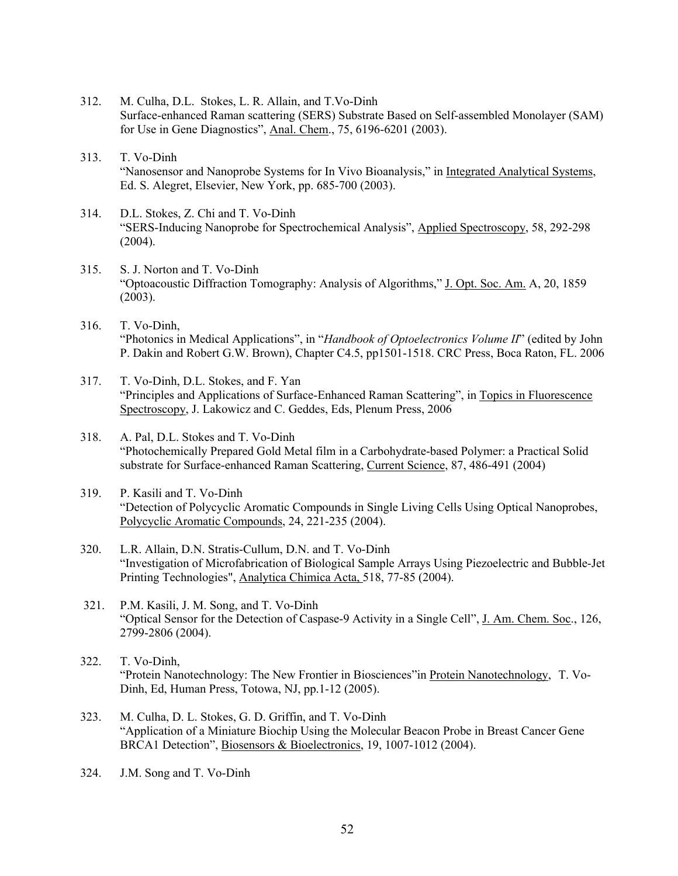- 312. M. Culha, D.L. Stokes, L. R. Allain, and T.Vo-Dinh Surface-enhanced Raman scattering (SERS) Substrate Based on Self-assembled Monolayer (SAM) for Use in Gene Diagnostics", Anal. Chem., 75, 6196-6201 (2003).
- 313. T. Vo-Dinh "Nanosensor and Nanoprobe Systems for In Vivo Bioanalysis," in Integrated Analytical Systems, Ed. S. Alegret, Elsevier, New York, pp. 685-700 (2003).
- 314. D.L. Stokes, Z. Chi and T. Vo-Dinh "SERS-Inducing Nanoprobe for Spectrochemical Analysis", Applied Spectroscopy, 58, 292-298  $(2004).$
- 315. S. J. Norton and T. Vo-Dinh "Optoacoustic Diffraction Tomography: Analysis of Algorithms," J. Opt. Soc. Am. A, 20, 1859 (2003).
- 316. T. Vo-Dinh, "Photonics in Medical Applications", in "*Handbook of Optoelectronics Volume II*" (edited by John P. Dakin and Robert G.W. Brown), Chapter C4.5, pp1501-1518. CRC Press, Boca Raton, FL. 2006
- 317. T. Vo-Dinh, D.L. Stokes, and F. Yan "Principles and Applications of Surface-Enhanced Raman Scattering", in Topics in Fluorescence Spectroscopy, J. Lakowicz and C. Geddes, Eds, Plenum Press, 2006
- 318. A. Pal, D.L. Stokes and T. Vo-Dinh "Photochemically Prepared Gold Metal film in a Carbohydrate-based Polymer: a Practical Solid substrate for Surface-enhanced Raman Scattering, Current Science, 87, 486-491 (2004)
- 319. P. Kasili and T. Vo-Dinh "Detection of Polycyclic Aromatic Compounds in Single Living Cells Using Optical Nanoprobes, Polycyclic Aromatic Compounds, 24, 221-235 (2004).
- 320. L.R. Allain, D.N. Stratis-Cullum, D.N. and T. Vo-Dinh "Investigation of Microfabrication of Biological Sample Arrays Using Piezoelectric and Bubble-Jet Printing Technologies", Analytica Chimica Acta, 518, 77-85 (2004).
- 321. P.M. Kasili, J. M. Song, and T. Vo-Dinh "Optical Sensor for the Detection of Caspase-9 Activity in a Single Cell", J. Am. Chem. Soc., 126, 2799-2806 (2004).
- 322. T. Vo-Dinh, "Protein Nanotechnology: The New Frontier in Biosciences" in Protein Nanotechnology, T. Vo-Dinh, Ed, Human Press, Totowa, NJ, pp.1-12 (2005).
- 323. M. Culha, D. L. Stokes, G. D. Griffin, and T. Vo-Dinh "Application of a Miniature Biochip Using the Molecular Beacon Probe in Breast Cancer Gene BRCA1 Detection", Biosensors & Bioelectronics, 19, 1007-1012 (2004).
- 324. J.M. Song and T. Vo-Dinh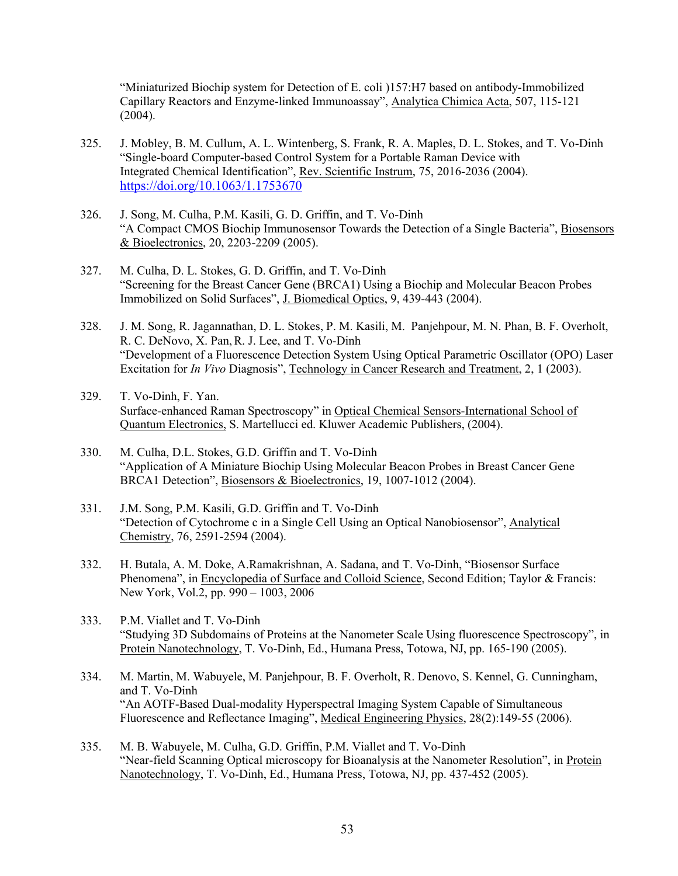"Miniaturized Biochip system for Detection of E. coli )157:H7 based on antibody-Immobilized Capillary Reactors and Enzyme-linked Immunoassay", Analytica Chimica Acta, 507, 115-121 (2004).

- 325. J. Mobley, B. M. Cullum, A. L. Wintenberg, S. Frank, R. A. Maples, D. L. Stokes, and T. Vo-Dinh "Single-board Computer-based Control System for a Portable Raman Device with Integrated Chemical Identification", Rev. Scientific Instrum, 75, 2016-2036 (2004). https://doi.org/10.1063/1.1753670
- 326. J. Song, M. Culha, P.M. Kasili, G. D. Griffin, and T. Vo-Dinh "A Compact CMOS Biochip Immunosensor Towards the Detection of a Single Bacteria", Biosensors & Bioelectronics, 20, 2203-2209 (2005).
- 327. M. Culha, D. L. Stokes, G. D. Griffin, and T. Vo-Dinh "Screening for the Breast Cancer Gene (BRCA1) Using a Biochip and Molecular Beacon Probes Immobilized on Solid Surfaces", J. Biomedical Optics, 9, 439-443 (2004).
- 328. J. M. Song, R. Jagannathan, D. L. Stokes, P. M. Kasili, M. Panjehpour, M. N. Phan, B. F. Overholt, R. C. DeNovo, X. Pan,R. J. Lee, and T. Vo-Dinh "Development of a Fluorescence Detection System Using Optical Parametric Oscillator (OPO) Laser Excitation for *In Vivo* Diagnosis", Technology in Cancer Research and Treatment, 2, 1 (2003).
- 329. T. Vo-Dinh, F. Yan. Surface-enhanced Raman Spectroscopy" in Optical Chemical Sensors-International School of Quantum Electronics, S. Martellucci ed. Kluwer Academic Publishers, (2004).
- 330. M. Culha, D.L. Stokes, G.D. Griffin and T. Vo-Dinh "Application of A Miniature Biochip Using Molecular Beacon Probes in Breast Cancer Gene BRCA1 Detection", Biosensors & Bioelectronics, 19, 1007-1012 (2004).
- 331. J.M. Song, P.M. Kasili, G.D. Griffin and T. Vo-Dinh "Detection of Cytochrome c in a Single Cell Using an Optical Nanobiosensor", Analytical Chemistry, 76, 2591-2594 (2004).
- 332. H. Butala, A. M. Doke, A.Ramakrishnan, A. Sadana, and T. Vo-Dinh, "Biosensor Surface Phenomena", in Encyclopedia of Surface and Colloid Science, Second Edition; Taylor & Francis: New York, Vol.2, pp. 990 – 1003, 2006
- 333. P.M. Viallet and T. Vo-Dinh "Studying 3D Subdomains of Proteins at the Nanometer Scale Using fluorescence Spectroscopy", in Protein Nanotechnology, T. Vo-Dinh, Ed., Humana Press, Totowa, NJ, pp. 165-190 (2005).
- 334. M. Martin, M. Wabuyele, M. Panjehpour, B. F. Overholt, R. Denovo, S. Kennel, G. Cunningham, and T. Vo-Dinh "An AOTF-Based Dual-modality Hyperspectral Imaging System Capable of Simultaneous Fluorescence and Reflectance Imaging", Medical Engineering Physics, 28(2):149-55 (2006).
- 335. M. B. Wabuyele, M. Culha, G.D. Griffin, P.M. Viallet and T. Vo-Dinh "Near-field Scanning Optical microscopy for Bioanalysis at the Nanometer Resolution", in Protein Nanotechnology, T. Vo-Dinh, Ed., Humana Press, Totowa, NJ, pp. 437-452 (2005).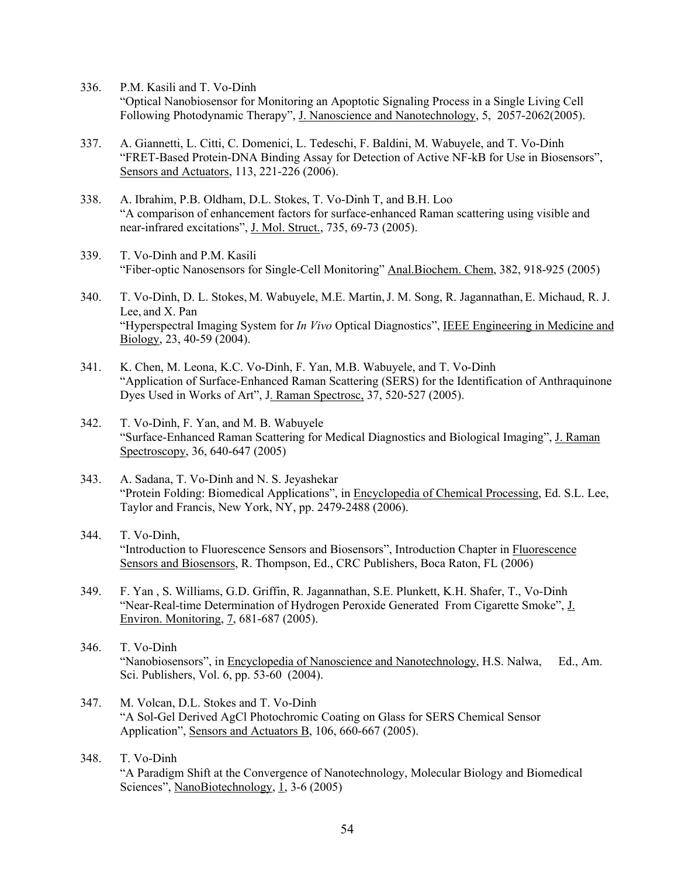336. P.M. Kasili and T. Vo-Dinh

"Optical Nanobiosensor for Monitoring an Apoptotic Signaling Process in a Single Living Cell Following Photodynamic Therapy", J. Nanoscience and Nanotechnology, 5, 2057-2062(2005).

- 337. A. Giannetti, L. Citti, C. Domenici, L. Tedeschi, F. Baldini, M. Wabuyele, and T. Vo-Dinh "FRET-Based Protein-DNA Binding Assay for Detection of Active NF-kB for Use in Biosensors", Sensors and Actuators, 113, 221-226 (2006).
- 338. A. Ibrahim, P.B. Oldham, D.L. Stokes, T. Vo-Dinh T, and B.H. Loo "A comparison of enhancement factors for surface-enhanced Raman scattering using visible and near-infrared excitations", J. Mol. Struct., 735, 69-73 (2005).
- 339. T. Vo-Dinh and P.M. Kasili "Fiber-optic Nanosensors for Single-Cell Monitoring" Anal.Biochem. Chem, 382, 918-925 (2005)
- 340. T. Vo-Dinh, D. L. Stokes, M. Wabuyele, M.E. Martin,J. M. Song, R. Jagannathan, E. Michaud, R. J. Lee, and X. Pan "Hyperspectral Imaging System for *In Vivo* Optical Diagnostics", IEEE Engineering in Medicine and Biology, 23, 40-59 (2004).
- 341. K. Chen, M. Leona, K.C. Vo-Dinh, F. Yan, M.B. Wabuyele, and T. Vo-Dinh "Application of Surface-Enhanced Raman Scattering (SERS) for the Identification of Anthraquinone Dyes Used in Works of Art", J. Raman Spectrosc, 37, 520-527 (2005).
- 342. T. Vo-Dinh, F. Yan, and M. B. Wabuyele "Surface-Enhanced Raman Scattering for Medical Diagnostics and Biological Imaging", J. Raman Spectroscopy, 36, 640-647 (2005)
- 343. A. Sadana, T. Vo-Dinh and N. S. Jeyashekar "Protein Folding: Biomedical Applications", in Encyclopedia of Chemical Processing, Ed. S.L. Lee, Taylor and Francis, New York, NY, pp. 2479-2488 (2006).
- 344. T. Vo-Dinh, "Introduction to Fluorescence Sensors and Biosensors", Introduction Chapter in Fluorescence Sensors and Biosensors, R. Thompson, Ed., CRC Publishers, Boca Raton, FL (2006)
- 349. F. Yan , S. Williams, G.D. Griffin, R. Jagannathan, S.E. Plunkett, K.H. Shafer, T., Vo-Dinh "Near-Real-time Determination of Hydrogen Peroxide Generated From Cigarette Smoke", J. Environ. Monitoring, 7, 681-687 (2005).
- 346. T. Vo-Dinh "Nanobiosensors", in Encyclopedia of Nanoscience and Nanotechnology, H.S. Nalwa, Ed., Am. Sci. Publishers, Vol. 6, pp. 53-60 (2004).
- 347. M. Volcan, D.L. Stokes and T. Vo-Dinh "A Sol-Gel Derived AgCl Photochromic Coating on Glass for SERS Chemical Sensor Application", Sensors and Actuators B, 106, 660-667 (2005).
- 348. T. Vo-Dinh "A Paradigm Shift at the Convergence of Nanotechnology, Molecular Biology and Biomedical Sciences", NanoBiotechnology, 1, 3-6 (2005)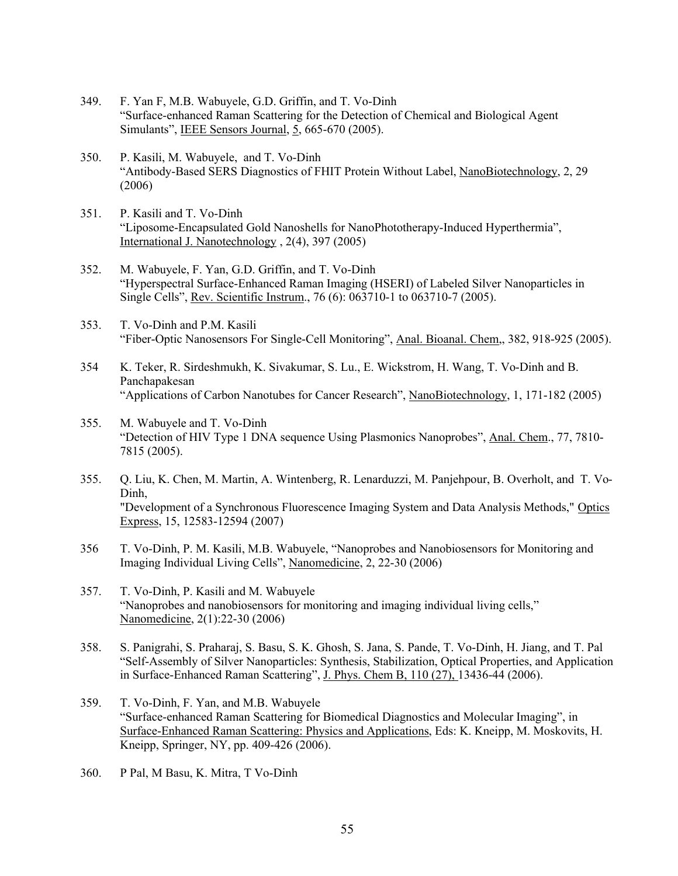- 349. F. Yan F, M.B. Wabuyele, G.D. Griffin, and T. Vo-Dinh "Surface-enhanced Raman Scattering for the Detection of Chemical and Biological Agent Simulants", IEEE Sensors Journal, 5, 665-670 (2005).
- 350. P. Kasili, M. Wabuyele, and T. Vo-Dinh "Antibody-Based SERS Diagnostics of FHIT Protein Without Label, NanoBiotechnology, 2, 29 (2006)
- 351. P. Kasili and T. Vo-Dinh "Liposome-Encapsulated Gold Nanoshells for NanoPhototherapy-Induced Hyperthermia", International J. Nanotechnology , 2(4), 397 (2005)
- 352. M. Wabuyele, F. Yan, G.D. Griffin, and T. Vo-Dinh "Hyperspectral Surface-Enhanced Raman Imaging (HSERI) of Labeled Silver Nanoparticles in Single Cells", Rev. Scientific Instrum., 76 (6): 063710-1 to 063710-7 (2005).
- 353. T. Vo-Dinh and P.M. Kasili "Fiber-Optic Nanosensors For Single-Cell Monitoring", Anal. Bioanal. Chem,, 382, 918-925 (2005).
- 354 K. Teker, R. Sirdeshmukh, K. Sivakumar, S. Lu., E. Wickstrom, H. Wang, T. Vo-Dinh and B. Panchapakesan "Applications of Carbon Nanotubes for Cancer Research", NanoBiotechnology, 1, 171-182 (2005)
- 355. M. Wabuyele and T. Vo-Dinh "Detection of HIV Type 1 DNA sequence Using Plasmonics Nanoprobes", Anal. Chem., 77, 7810-7815 (2005).
- 355. Q. Liu, K. Chen, M. Martin, A. Wintenberg, R. Lenarduzzi, M. Panjehpour, B. Overholt, and T. Vo-Dinh, "Development of a Synchronous Fluorescence Imaging System and Data Analysis Methods," Optics Express, 15, 12583-12594 (2007)
- 356 T. Vo-Dinh, P. M. Kasili, M.B. Wabuyele, "Nanoprobes and Nanobiosensors for Monitoring and Imaging Individual Living Cells", Nanomedicine, 2, 22-30 (2006)
- 357. T. Vo-Dinh, P. Kasili and M. Wabuyele "Nanoprobes and nanobiosensors for monitoring and imaging individual living cells," Nanomedicine, 2(1):22-30 (2006)
- 358. S. Panigrahi, S. Praharaj, S. Basu, S. K. Ghosh, S. Jana, S. Pande, T. Vo-Dinh, H. Jiang, and T. Pal "Self-Assembly of Silver Nanoparticles: Synthesis, Stabilization, Optical Properties, and Application in Surface-Enhanced Raman Scattering", J. Phys. Chem B, 110 (27), 13436-44 (2006).
- 359. T. Vo-Dinh, F. Yan, and M.B. Wabuyele "Surface-enhanced Raman Scattering for Biomedical Diagnostics and Molecular Imaging", in Surface-Enhanced Raman Scattering: Physics and Applications, Eds: K. Kneipp, M. Moskovits, H. Kneipp, Springer, NY, pp. 409-426 (2006).
- 360. P Pal, M Basu, K. Mitra, T Vo-Dinh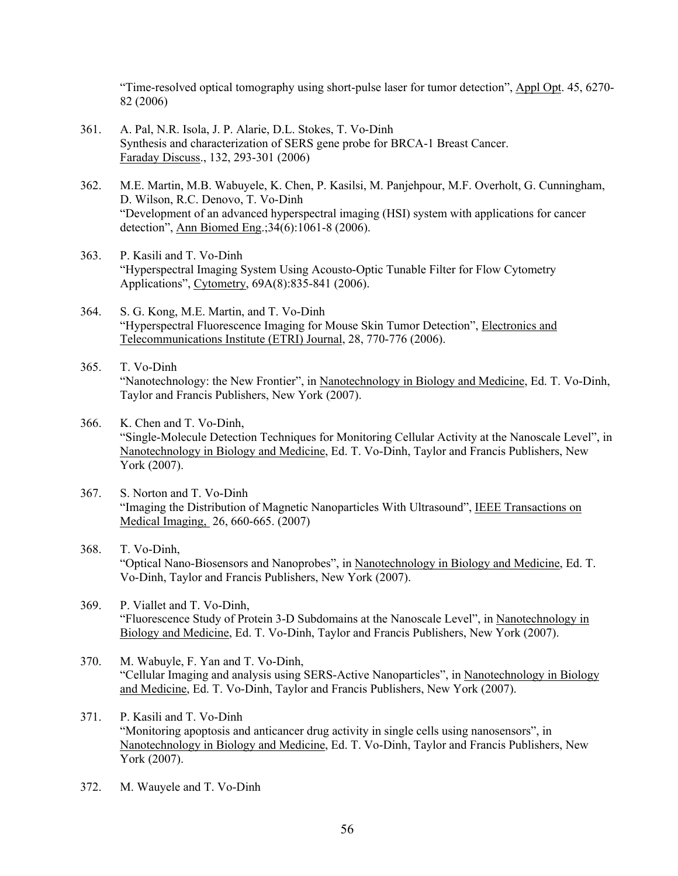"Time-resolved optical tomography using short-pulse laser for tumor detection", Appl Opt. 45, 6270- 82 (2006)

- 361. A. Pal, N.R. Isola, J. P. Alarie, D.L. Stokes, T. Vo-Dinh Synthesis and characterization of SERS gene probe for BRCA-1 Breast Cancer. Faraday Discuss., 132, 293-301 (2006)
- 362. M.E. Martin, M.B. Wabuyele, K. Chen, P. Kasilsi, M. Panjehpour, M.F. Overholt, G. Cunningham, D. Wilson, R.C. Denovo, T. Vo-Dinh "Development of an advanced hyperspectral imaging (HSI) system with applications for cancer detection", Ann Biomed Eng.;34(6):1061-8 (2006).
- 363. P. Kasili and T. Vo-Dinh "Hyperspectral Imaging System Using Acousto-Optic Tunable Filter for Flow Cytometry Applications", Cytometry, 69A(8):835-841 (2006).
- 364. S. G. Kong, M.E. Martin, and T. Vo-Dinh "Hyperspectral Fluorescence Imaging for Mouse Skin Tumor Detection", Electronics and Telecommunications Institute (ETRI) Journal, 28, 770-776 (2006).
- 365. T. Vo-Dinh "Nanotechnology: the New Frontier", in Nanotechnology in Biology and Medicine, Ed. T. Vo-Dinh, Taylor and Francis Publishers, New York (2007).
- 366. K. Chen and T. Vo-Dinh, "Single-Molecule Detection Techniques for Monitoring Cellular Activity at the Nanoscale Level", in Nanotechnology in Biology and Medicine, Ed. T. Vo-Dinh, Taylor and Francis Publishers, New York (2007).
- 367. S. Norton and T. Vo-Dinh "Imaging the Distribution of Magnetic Nanoparticles With Ultrasound", IEEE Transactions on Medical Imaging, 26, 660-665. (2007)
- 368. T. Vo-Dinh, "Optical Nano-Biosensors and Nanoprobes", in Nanotechnology in Biology and Medicine, Ed. T. Vo-Dinh, Taylor and Francis Publishers, New York (2007).
- 369. P. Viallet and T. Vo-Dinh, "Fluorescence Study of Protein 3-D Subdomains at the Nanoscale Level", in Nanotechnology in Biology and Medicine, Ed. T. Vo-Dinh, Taylor and Francis Publishers, New York (2007).
- 370. M. Wabuyle, F. Yan and T. Vo-Dinh, "Cellular Imaging and analysis using SERS-Active Nanoparticles", in Nanotechnology in Biology and Medicine, Ed. T. Vo-Dinh, Taylor and Francis Publishers, New York (2007).
- 371. P. Kasili and T. Vo-Dinh "Monitoring apoptosis and anticancer drug activity in single cells using nanosensors", in Nanotechnology in Biology and Medicine, Ed. T. Vo-Dinh, Taylor and Francis Publishers, New York (2007).
- 372. M. Wauyele and T. Vo-Dinh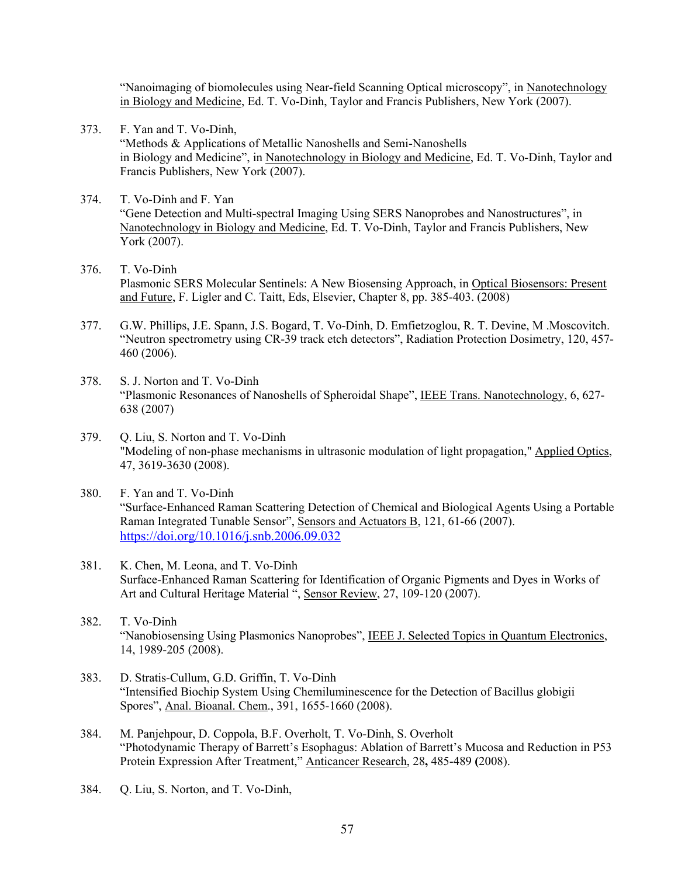"Nanoimaging of biomolecules using Near-field Scanning Optical microscopy", in Nanotechnology in Biology and Medicine, Ed. T. Vo-Dinh, Taylor and Francis Publishers, New York (2007).

- 373. F. Yan and T. Vo-Dinh, "Methods & Applications of Metallic Nanoshells and Semi-Nanoshells in Biology and Medicine", in Nanotechnology in Biology and Medicine, Ed. T. Vo-Dinh, Taylor and Francis Publishers, New York (2007).
- 374. T. Vo-Dinh and F. Yan "Gene Detection and Multi-spectral Imaging Using SERS Nanoprobes and Nanostructures", in Nanotechnology in Biology and Medicine, Ed. T. Vo-Dinh, Taylor and Francis Publishers, New York (2007).
- 376. T. Vo-Dinh Plasmonic SERS Molecular Sentinels: A New Biosensing Approach, in Optical Biosensors: Present and Future, F. Ligler and C. Taitt, Eds, Elsevier, Chapter 8, pp. 385-403. (2008)
- 377. G.W. Phillips, J.E. Spann, J.S. Bogard, T. Vo-Dinh, D. Emfietzoglou, R. T. Devine, M .Moscovitch. "Neutron spectrometry using CR-39 track etch detectors", Radiation Protection Dosimetry, 120, 457- 460 (2006).
- 378. S. J. Norton and T. Vo-Dinh "Plasmonic Resonances of Nanoshells of Spheroidal Shape", IEEE Trans. Nanotechnology, 6, 627- 638 (2007)
- 379. Q. Liu, S. Norton and T. Vo-Dinh "Modeling of non-phase mechanisms in ultrasonic modulation of light propagation," Applied Optics, 47, 3619-3630 (2008).
- 380. F. Yan and T. Vo-Dinh "Surface-Enhanced Raman Scattering Detection of Chemical and Biological Agents Using a Portable Raman Integrated Tunable Sensor", Sensors and Actuators B, 121, 61-66 (2007). https://doi.org/10.1016/j.snb.2006.09.032
- 381. K. Chen, M. Leona, and T. Vo-Dinh Surface-Enhanced Raman Scattering for Identification of Organic Pigments and Dyes in Works of Art and Cultural Heritage Material ", Sensor Review, 27, 109-120 (2007).
- 382. T. Vo-Dinh "Nanobiosensing Using Plasmonics Nanoprobes", IEEE J. Selected Topics in Quantum Electronics, 14, 1989-205 (2008).
- 383. D. Stratis-Cullum, G.D. Griffin, T. Vo-Dinh "Intensified Biochip System Using Chemiluminescence for the Detection of Bacillus globigii Spores", Anal. Bioanal. Chem., 391, 1655-1660 (2008).
- 384. M. Panjehpour, D. Coppola, B.F. Overholt, T. Vo-Dinh, S. Overholt "Photodynamic Therapy of Barrett's Esophagus: Ablation of Barrett's Mucosa and Reduction in P53 Protein Expression After Treatment," Anticancer Research, 28**,** 485-489 **(**2008).
- 384. Q. Liu, S. Norton, and T. Vo-Dinh,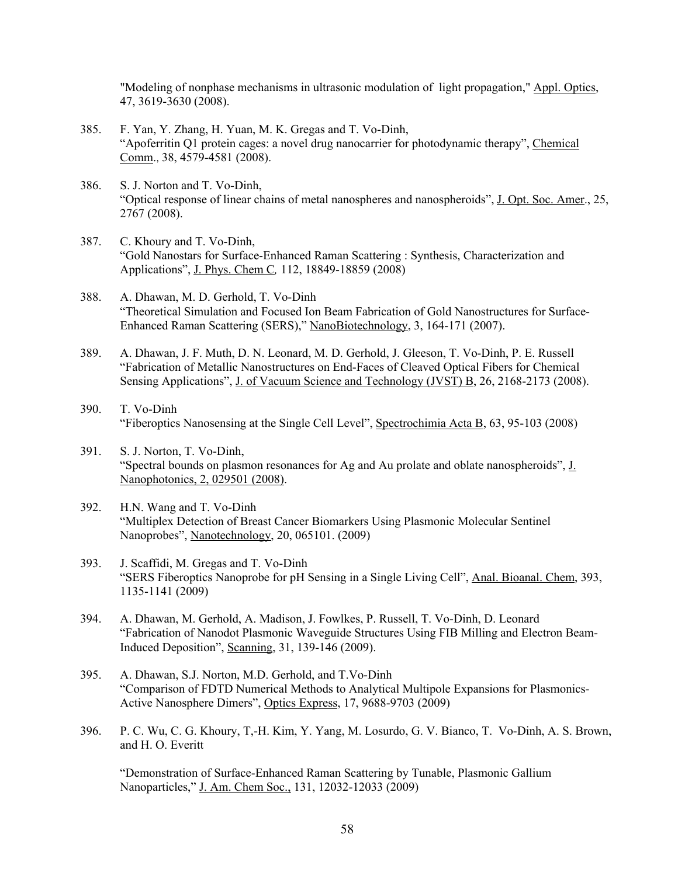"Modeling of nonphase mechanisms in ultrasonic modulation of light propagation," Appl. Optics, 47, 3619-3630 (2008).

- 385. F. Yan, Y. Zhang, H. Yuan, M. K. Gregas and T. Vo-Dinh, "Apoferritin Q1 protein cages: a novel drug nanocarrier for photodynamic therapy", Chemical Comm., 38, 4579-4581 (2008).
- 386. S. J. Norton and T. Vo-Dinh, "Optical response of linear chains of metal nanospheres and nanospheroids", J. Opt. Soc. Amer., 25, 2767 (2008).
- 387. C. Khoury and T. Vo-Dinh, "Gold Nanostars for Surface-Enhanced Raman Scattering : Synthesis, Characterization and Applications", J. Phys. Chem C*,* 112, 18849-18859 (2008)
- 388. A. Dhawan, M. D. Gerhold, T. Vo-Dinh "Theoretical Simulation and Focused Ion Beam Fabrication of Gold Nanostructures for Surface-Enhanced Raman Scattering (SERS)," NanoBiotechnology, 3, 164-171 (2007).
- 389. A. Dhawan, J. F. Muth, D. N. Leonard, M. D. Gerhold, J. Gleeson, T. Vo-Dinh, P. E. Russell "Fabrication of Metallic Nanostructures on End-Faces of Cleaved Optical Fibers for Chemical Sensing Applications", J. of Vacuum Science and Technology (JVST) B, 26, 2168-2173 (2008).
- 390. T. Vo-Dinh "Fiberoptics Nanosensing at the Single Cell Level", Spectrochimia Acta B, 63, 95-103 (2008)
- 391. S. J. Norton, T. Vo-Dinh, "Spectral bounds on plasmon resonances for Ag and Au prolate and oblate nanospheroids", J. Nanophotonics, 2, 029501 (2008).
- 392. H.N. Wang and T. Vo-Dinh "Multiplex Detection of Breast Cancer Biomarkers Using Plasmonic Molecular Sentinel Nanoprobes", Nanotechnology, 20, 065101. (2009)
- 393. J. Scaffidi, M. Gregas and T. Vo-Dinh "SERS Fiberoptics Nanoprobe for pH Sensing in a Single Living Cell", Anal. Bioanal. Chem, 393, 1135-1141 (2009)
- 394. A. Dhawan, M. Gerhold, A. Madison, J. Fowlkes, P. Russell, T. Vo-Dinh, D. Leonard "Fabrication of Nanodot Plasmonic Waveguide Structures Using FIB Milling and Electron Beam-Induced Deposition", Scanning, 31, 139-146 (2009).
- 395. A. Dhawan, S.J. Norton, M.D. Gerhold, and T.Vo-Dinh "Comparison of FDTD Numerical Methods to Analytical Multipole Expansions for Plasmonics-Active Nanosphere Dimers", Optics Express, 17, 9688-9703 (2009)
- 396. P. C. Wu, C. G. Khoury, T,-H. Kim, Y. Yang, M. Losurdo, G. V. Bianco, T. Vo-Dinh, A. S. Brown, and H. O. Everitt

"Demonstration of Surface-Enhanced Raman Scattering by Tunable, Plasmonic Gallium Nanoparticles," J. Am. Chem Soc., 131, 12032-12033 (2009)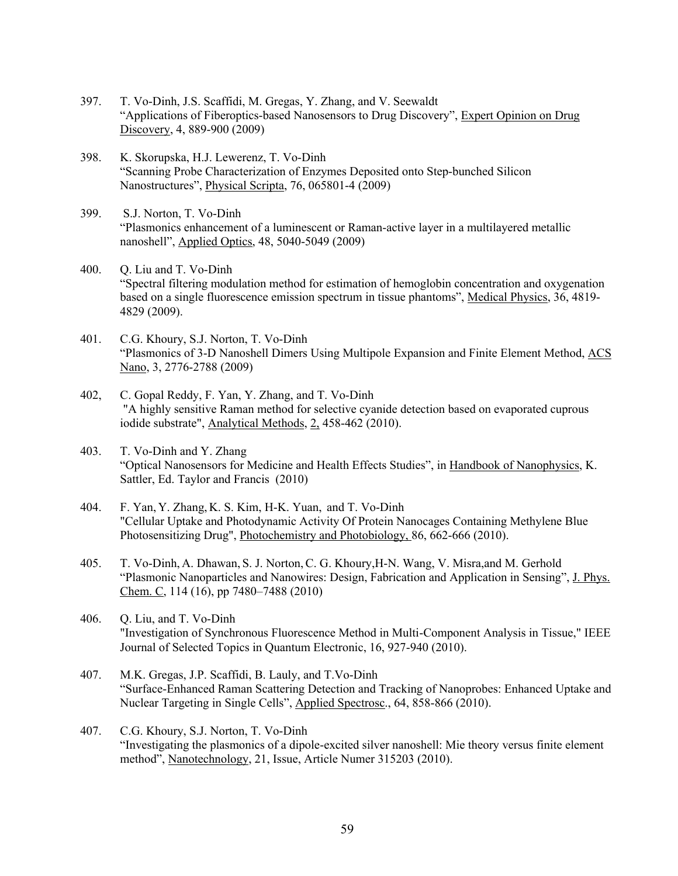- 397. T. Vo-Dinh, J.S. Scaffidi, M. Gregas, Y. Zhang, and V. Seewaldt "Applications of Fiberoptics-based Nanosensors to Drug Discovery", Expert Opinion on Drug Discovery, 4, 889-900 (2009)
- 398. K. Skorupska, H.J. Lewerenz, T. Vo-Dinh "Scanning Probe Characterization of Enzymes Deposited onto Step-bunched Silicon Nanostructures", Physical Scripta, 76, 065801-4 (2009)
- 399. S.J. Norton, T. Vo-Dinh "Plasmonics enhancement of a luminescent or Raman-active layer in a multilayered metallic nanoshell", Applied Optics, 48, 5040-5049 (2009)
- 400. Q. Liu and T. Vo-Dinh "Spectral filtering modulation method for estimation of hemoglobin concentration and oxygenation based on a single fluorescence emission spectrum in tissue phantoms", Medical Physics, 36, 4819- 4829 (2009).
- 401. C.G. Khoury, S.J. Norton, T. Vo-Dinh "Plasmonics of 3-D Nanoshell Dimers Using Multipole Expansion and Finite Element Method, ACS Nano, 3, 2776-2788 (2009)
- 402, C. Gopal Reddy, F. Yan, Y. Zhang, and T. Vo-Dinh "A highly sensitive Raman method for selective cyanide detection based on evaporated cuprous iodide substrate", Analytical Methods, 2, 458-462 (2010).
- 403. T. Vo-Dinh and Y. Zhang "Optical Nanosensors for Medicine and Health Effects Studies", in Handbook of Nanophysics, K. Sattler, Ed. Taylor and Francis (2010)
- 404. F. Yan, Y. Zhang, K. S. Kim, H-K. Yuan, and T. Vo-Dinh "Cellular Uptake and Photodynamic Activity Of Protein Nanocages Containing Methylene Blue Photosensitizing Drug", Photochemistry and Photobiology, 86, 662-666 (2010).
- 405. T. Vo-Dinh, A. Dhawan, S. J. Norton,C. G. Khoury,H-N. Wang, V. Misra,and M. Gerhold "Plasmonic Nanoparticles and Nanowires: Design, Fabrication and Application in Sensing", J. Phys. Chem. C, 114 (16), pp 7480–7488 (2010)
- 406. Q. Liu, and T. Vo-Dinh "Investigation of Synchronous Fluorescence Method in Multi-Component Analysis in Tissue," IEEE Journal of Selected Topics in Quantum Electronic, 16, 927-940 (2010).
- 407. M.K. Gregas, J.P. Scaffidi, B. Lauly, and T.Vo-Dinh "Surface-Enhanced Raman Scattering Detection and Tracking of Nanoprobes: Enhanced Uptake and Nuclear Targeting in Single Cells", Applied Spectrosc., 64, 858-866 (2010).
- 407. C.G. Khoury, S.J. Norton, T. Vo-Dinh "Investigating the plasmonics of a dipole-excited silver nanoshell: Mie theory versus finite element method", Nanotechnology, 21, Issue, Article Numer 315203 (2010).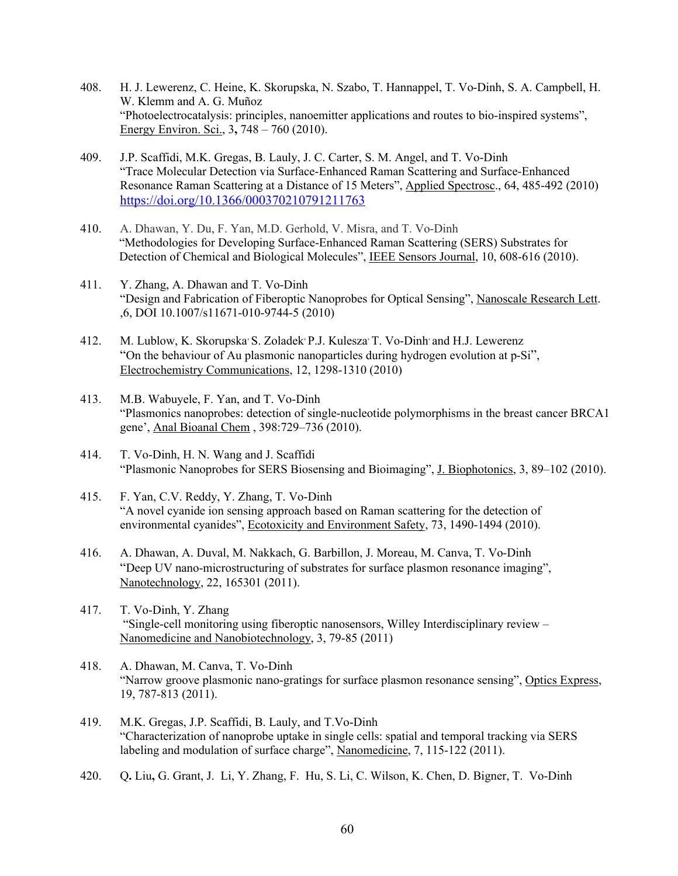- 408. H. J. Lewerenz, C. Heine, K. Skorupska, N. Szabo, T. Hannappel, T. Vo-Dinh, S. A. Campbell, H. W. Klemm and A. G. Muñoz "Photoelectrocatalysis: principles, nanoemitter applications and routes to bio-inspired systems", Energy Environ. Sci., 3**,** 748 – 760 (2010).
- 409. J.P. Scaffidi, M.K. Gregas, B. Lauly, J. C. Carter, S. M. Angel, and T. Vo-Dinh "Trace Molecular Detection via Surface-Enhanced Raman Scattering and Surface-Enhanced Resonance Raman Scattering at a Distance of 15 Meters", Applied Spectrosc., 64, 485-492 (2010) https://doi.org/10.1366/000370210791211763
- 410. A. Dhawan, Y. Du, F. Yan, M.D. Gerhold, V. Misra, and T. Vo-Dinh "Methodologies for Developing Surface-Enhanced Raman Scattering (SERS) Substrates for Detection of Chemical and Biological Molecules", IEEE Sensors Journal, 10, 608-616 (2010).
- 411. Y. Zhang, A. Dhawan and T. Vo-Dinh "Design and Fabrication of Fiberoptic Nanoprobes for Optical Sensing", Nanoscale Research Lett. ,6, DOI 10.1007/s11671-010-9744-5 (2010)
- 412. M. Lublow, K. Skorupska<sup>,</sup> S. Zoladek<sup>,</sup> P.J. Kulesza<sup>,</sup> T. Vo-Dinh<sup>,</sup> and H.J. Lewerenz "On the behaviour of Au plasmonic nanoparticles during hydrogen evolution at p-Si", Electrochemistry Communications, 12, 1298-1310 (2010)
- 413. M.B. Wabuyele, F. Yan, and T. Vo-Dinh "Plasmonics nanoprobes: detection of single-nucleotide polymorphisms in the breast cancer BRCA1 gene', Anal Bioanal Chem , 398:729–736 (2010).
- 414. T. Vo-Dinh, H. N. Wang and J. Scaffidi "Plasmonic Nanoprobes for SERS Biosensing and Bioimaging", J. Biophotonics, 3, 89–102 (2010).
- 415. F. Yan, C.V. Reddy, Y. Zhang, T. Vo-Dinh "A novel cyanide ion sensing approach based on Raman scattering for the detection of environmental cyanides", Ecotoxicity and Environment Safety, 73, 1490-1494 (2010).
- 416. A. Dhawan, A. Duval, M. Nakkach, G. Barbillon, J. Moreau, M. Canva, T. Vo-Dinh "Deep UV nano-microstructuring of substrates for surface plasmon resonance imaging", Nanotechnology, 22, 165301 (2011).
- 417. T. Vo-Dinh, Y. Zhang "Single-cell monitoring using fiberoptic nanosensors, Willey Interdisciplinary review – Nanomedicine and Nanobiotechnology, 3, 79-85 (2011)
- 418. A. Dhawan, M. Canva, T. Vo-Dinh "Narrow groove plasmonic nano-gratings for surface plasmon resonance sensing", Optics Express, 19, 787-813 (2011).
- 419. M.K. Gregas, J.P. Scaffidi, B. Lauly, and T.Vo-Dinh "Characterization of nanoprobe uptake in single cells: spatial and temporal tracking via SERS labeling and modulation of surface charge", Nanomedicine, 7, 115-122 (2011).
- 420. Q**.** Liu**,** G. Grant, J. Li, Y. Zhang, F. Hu, S. Li, C. Wilson, K. Chen, D. Bigner, T. Vo-Dinh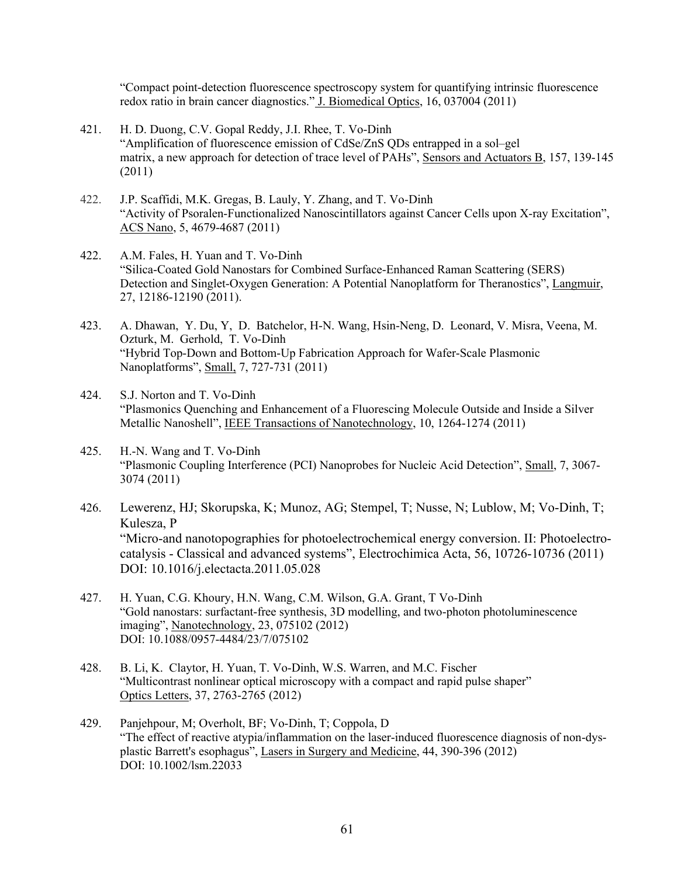"Compact point-detection fluorescence spectroscopy system for quantifying intrinsic fluorescence redox ratio in brain cancer diagnostics." J. Biomedical Optics, 16, 037004 (2011)

- 421. H. D. Duong, C.V. Gopal Reddy, J.I. Rhee, T. Vo-Dinh "Amplification of fluorescence emission of CdSe/ZnS QDs entrapped in a sol–gel matrix, a new approach for detection of trace level of PAHs", Sensors and Actuators B, 157, 139-145 (2011)
- 422. J.P. Scaffidi, M.K. Gregas, B. Lauly, Y. Zhang, and T. Vo-Dinh "Activity of Psoralen-Functionalized Nanoscintillators against Cancer Cells upon X-ray Excitation", ACS Nano, 5, 4679-4687 (2011)
- 422. A.M. Fales, H. Yuan and T. Vo-Dinh "Silica-Coated Gold Nanostars for Combined Surface-Enhanced Raman Scattering (SERS) Detection and Singlet-Oxygen Generation: A Potential Nanoplatform for Theranostics", Langmuir, 27, 12186-12190 (2011).
- 423. A. Dhawan, Y. Du, Y, D. Batchelor, H-N. Wang, Hsin-Neng, D. Leonard, V. Misra, Veena, M. Ozturk, M. Gerhold, T. Vo-Dinh "Hybrid Top-Down and Bottom-Up Fabrication Approach for Wafer-Scale Plasmonic Nanoplatforms", Small, 7, 727-731 (2011)
- 424. S.J. Norton and T. Vo-Dinh "Plasmonics Quenching and Enhancement of a Fluorescing Molecule Outside and Inside a Silver Metallic Nanoshell", IEEE Transactions of Nanotechnology, 10, 1264-1274 (2011)
- 425. H.-N. Wang and T. Vo-Dinh "Plasmonic Coupling Interference (PCI) Nanoprobes for Nucleic Acid Detection", Small, 7, 3067- 3074 (2011)
- 426. Lewerenz, HJ; Skorupska, K; Munoz, AG; Stempel, T; Nusse, N; Lublow, M; Vo-Dinh, T; Kulesza, P "Micro-and nanotopographies for photoelectrochemical energy conversion. II: Photoelectrocatalysis - Classical and advanced systems", Electrochimica Acta, 56, 10726-10736 (2011) DOI: 10.1016/j.electacta.2011.05.028
- 427. H. Yuan, C.G. Khoury, H.N. Wang, C.M. Wilson, G.A. Grant, T Vo-Dinh "Gold nanostars: surfactant-free synthesis, 3D modelling, and two-photon photoluminescence imaging", Nanotechnology, 23, 075102 (2012) DOI: 10.1088/0957-4484/23/7/075102
- 428. B. Li, K. Claytor, H. Yuan, T. Vo-Dinh, W.S. Warren, and M.C. Fischer "Multicontrast nonlinear optical microscopy with a compact and rapid pulse shaper" Optics Letters, 37, 2763-2765 (2012)
- 429. Panjehpour, M; Overholt, BF; Vo-Dinh, T; Coppola, D "The effect of reactive atypia/inflammation on the laser-induced fluorescence diagnosis of non-dysplastic Barrett's esophagus", Lasers in Surgery and Medicine, 44, 390-396 (2012) DOI: 10.1002/lsm.22033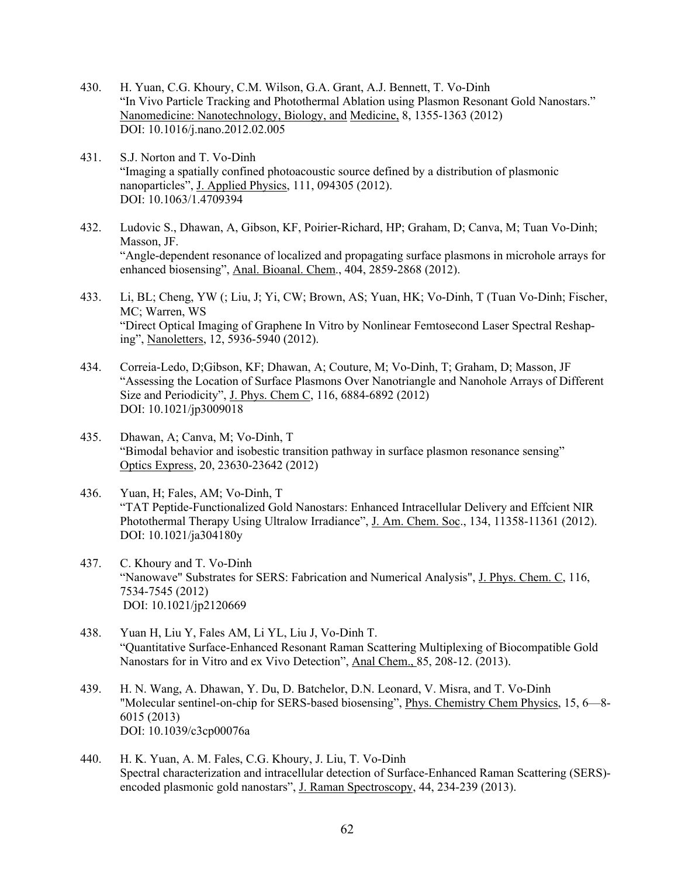- 430. H. Yuan, C.G. Khoury, C.M. Wilson, G.A. Grant, A.J. Bennett, T. Vo-Dinh "In Vivo Particle Tracking and Photothermal Ablation using Plasmon Resonant Gold Nanostars." Nanomedicine: Nanotechnology, Biology, and Medicine, 8, 1355-1363 (2012) DOI: 10.1016/j.nano.2012.02.005
- 431. S.J. Norton and T. Vo-Dinh "Imaging a spatially confined photoacoustic source defined by a distribution of plasmonic nanoparticles", J. Applied Physics, 111, 094305 (2012). DOI: 10.1063/1.4709394
- 432. Ludovic S., Dhawan, A, Gibson, KF, Poirier-Richard, HP; Graham, D; Canva, M; Tuan Vo-Dinh; Masson, JF. "Angle-dependent resonance of localized and propagating surface plasmons in microhole arrays for enhanced biosensing", Anal. Bioanal. Chem., 404, 2859-2868 (2012).
- 433. Li, BL; Cheng, YW (; Liu, J; Yi, CW; Brown, AS; Yuan, HK; Vo-Dinh, T (Tuan Vo-Dinh; Fischer, MC; Warren, WS "Direct Optical Imaging of Graphene In Vitro by Nonlinear Femtosecond Laser Spectral Reshaping", Nanoletters, 12, 5936-5940 (2012).
- 434. Correia-Ledo, D;Gibson, KF; Dhawan, A; Couture, M; Vo-Dinh, T; Graham, D; Masson, JF "Assessing the Location of Surface Plasmons Over Nanotriangle and Nanohole Arrays of Different Size and Periodicity", J. Phys. Chem C, 116, 6884-6892 (2012) DOI: 10.1021/jp3009018
- 435. Dhawan, A; Canva, M; Vo-Dinh, T "Bimodal behavior and isobestic transition pathway in surface plasmon resonance sensing" Optics Express, 20, 23630-23642 (2012)
- 436. Yuan, H; Fales, AM; Vo-Dinh, T "TAT Peptide-Functionalized Gold Nanostars: Enhanced Intracellular Delivery and Effcient NIR Photothermal Therapy Using Ultralow Irradiance", J. Am. Chem. Soc., 134, 11358-11361 (2012). DOI: 10.1021/ja304180y
- 437. C. Khoury and T. Vo-Dinh "Nanowave" Substrates for SERS: Fabrication and Numerical Analysis", J. Phys. Chem. C, 116, 7534-7545 (2012) DOI: 10.1021/jp2120669
- 438. Yuan H, Liu Y, Fales AM, Li YL, Liu J, Vo-Dinh T. "Quantitative Surface-Enhanced Resonant Raman Scattering Multiplexing of Biocompatible Gold Nanostars for in Vitro and ex Vivo Detection", Anal Chem., 85, 208-12. (2013).
- 439. H. N. Wang, A. Dhawan, Y. Du, D. Batchelor, D.N. Leonard, V. Misra, and T. Vo-Dinh "Molecular sentinel-on-chip for SERS-based biosensing", Phys. Chemistry Chem Physics, 15, 6—8- 6015 (2013) DOI: 10.1039/c3cp00076a
- 440. H. K. Yuan, A. M. Fales, C.G. Khoury, J. Liu, T. Vo-Dinh Spectral characterization and intracellular detection of Surface-Enhanced Raman Scattering (SERS) encoded plasmonic gold nanostars", J. Raman Spectroscopy, 44, 234-239 (2013).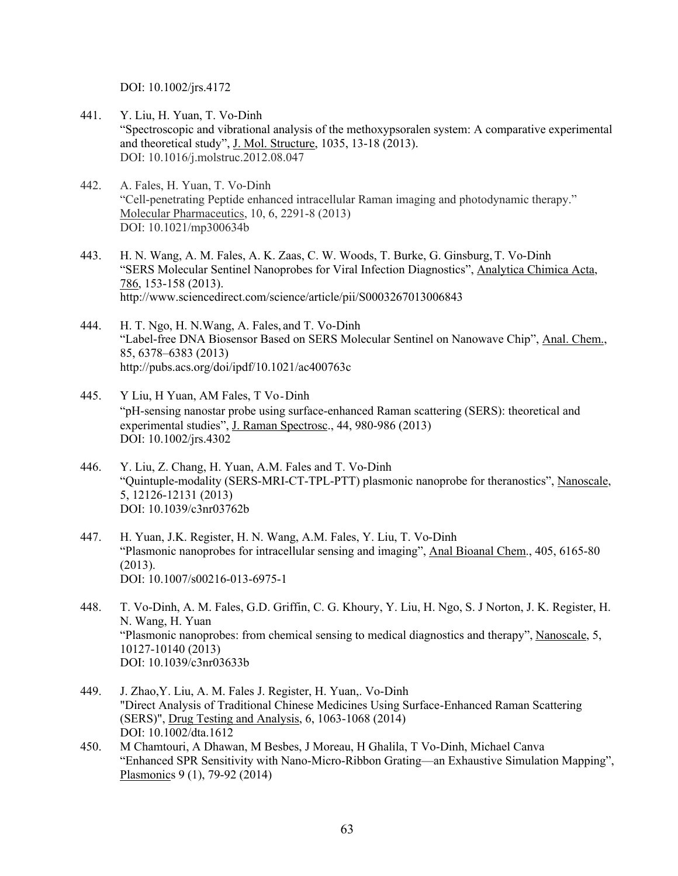DOI: 10.1002/jrs.4172

- 441. Y. Liu, H. Yuan, T. Vo-Dinh "Spectroscopic and vibrational analysis of the methoxypsoralen system: A comparative experimental and theoretical study", J. Mol. Structure, 1035, 13-18 (2013). DOI: 10.1016/j.molstruc.2012.08.047
- 442. A. Fales, H. Yuan, T. Vo-Dinh "Cell-penetrating Peptide enhanced intracellular Raman imaging and photodynamic therapy." Molecular Pharmaceutics, 10, 6, 2291-8 (2013) DOI: 10.1021/mp300634b
- 443. H. N. Wang, A. M. Fales, A. K. Zaas, C. W. Woods, T. Burke, G. Ginsburg, T. Vo-Dinh "SERS Molecular Sentinel Nanoprobes for Viral Infection Diagnostics", Analytica Chimica Acta, 786, 153-158 (2013). http://www.sciencedirect.com/science/article/pii/S0003267013006843
- 444. H. T. Ngo, H. N.Wang, A. Fales, and T. Vo-Dinh "Label-free DNA Biosensor Based on SERS Molecular Sentinel on Nanowave Chip", Anal. Chem., 85, 6378–6383 (2013) http://pubs.acs.org/doi/ipdf/10.1021/ac400763c
- 445. Y Liu, H Yuan, AM Fales, T Vo-Dinh "pH-sensing nanostar probe using surface-enhanced Raman scattering (SERS): theoretical and experimental studies", J. Raman Spectrosc., 44, 980-986 (2013) DOI: 10.1002/jrs.4302
- 446. Y. Liu, Z. Chang, H. Yuan, A.M. Fales and T. Vo-Dinh "Quintuple-modality (SERS-MRI-CT-TPL-PTT) plasmonic nanoprobe for theranostics", Nanoscale, 5, 12126-12131 (2013) DOI: 10.1039/c3nr03762b
- 447. H. Yuan, J.K. Register, H. N. Wang, A.M. Fales, Y. Liu, T. Vo-Dinh "Plasmonic nanoprobes for intracellular sensing and imaging", Anal Bioanal Chem., 405, 6165-80 (2013). DOI: 10.1007/s00216-013-6975-1
- 448. T. Vo-Dinh, A. M. Fales, G.D. Griffin, C. G. Khoury, Y. Liu, H. Ngo, S. J Norton, J. K. Register, H. N. Wang, H. Yuan "Plasmonic nanoprobes: from chemical sensing to medical diagnostics and therapy", Nanoscale, 5, 10127-10140 (2013) DOI: 10.1039/c3nr03633b
- 449. J. Zhao,Y. Liu, A. M. Fales J. Register, H. Yuan,. Vo-Dinh "Direct Analysis of Traditional Chinese Medicines Using Surface-Enhanced Raman Scattering (SERS)", Drug Testing and Analysis, 6, 1063-1068 (2014) DOI: 10.1002/dta.1612
- 450. M Chamtouri, A Dhawan, M Besbes, J Moreau, H Ghalila, T Vo-Dinh, Michael Canva "Enhanced SPR Sensitivity with Nano-Micro-Ribbon Grating—an Exhaustive Simulation Mapping", Plasmonics 9 (1), 79-92 (2014)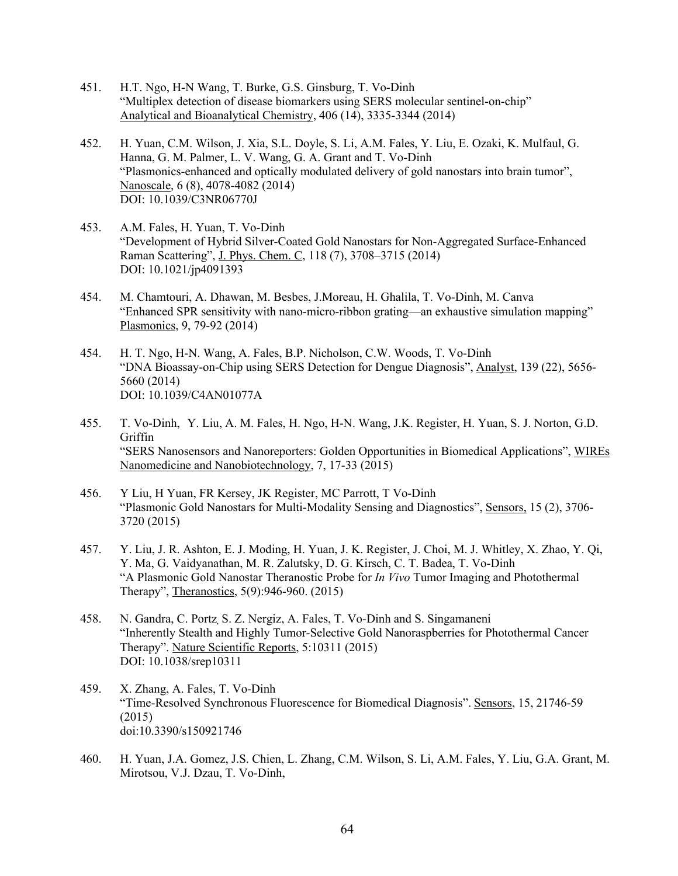- 451. H.T. Ngo, H-N Wang, T. Burke, G.S. Ginsburg, T. Vo-Dinh "Multiplex detection of disease biomarkers using SERS molecular sentinel-on-chip" Analytical and Bioanalytical Chemistry, 406 (14), 3335-3344 (2014)
- 452. H. Yuan, C.M. Wilson, J. Xia, S.L. Doyle, S. Li, A.M. Fales, Y. Liu, E. Ozaki, K. Mulfaul, G. Hanna, G. M. Palmer, L. V. Wang, G. A. Grant and T. Vo-Dinh "Plasmonics-enhanced and optically modulated delivery of gold nanostars into brain tumor", Nanoscale, 6 (8), 4078-4082 (2014) DOI: 10.1039/C3NR06770J
- 453. A.M. Fales, H. Yuan, T. Vo-Dinh "Development of Hybrid Silver-Coated Gold Nanostars for Non-Aggregated Surface-Enhanced Raman Scattering", J. Phys. Chem. C, 118 (7), 3708–3715 (2014) DOI: 10.1021/jp4091393
- 454. M. Chamtouri, A. Dhawan, M. Besbes, J.Moreau, H. Ghalila, T. Vo-Dinh, M. Canva "Enhanced SPR sensitivity with nano-micro-ribbon grating—an exhaustive simulation mapping" Plasmonics, 9, 79-92 (2014)
- 454. H. T. Ngo, H-N. Wang, A. Fales, B.P. Nicholson, C.W. Woods, T. Vo-Dinh "DNA Bioassay-on-Chip using SERS Detection for Dengue Diagnosis", Analyst, 139 (22), 5656- 5660 (2014) DOI: 10.1039/C4AN01077A
- 455. T. Vo-Dinh, Y. Liu, A. M. Fales, H. Ngo, H-N. Wang, J.K. Register, H. Yuan, S. J. Norton, G.D. Griffin "SERS Nanosensors and Nanoreporters: Golden Opportunities in Biomedical Applications", WIREs Nanomedicine and Nanobiotechnology, 7, 17-33 (2015)
- 456. Y Liu, H Yuan, FR Kersey, JK Register, MC Parrott, T Vo-Dinh "Plasmonic Gold Nanostars for Multi-Modality Sensing and Diagnostics", Sensors, 15 (2), 3706- 3720 (2015)
- 457. Y. Liu, J. R. Ashton, E. J. Moding, H. Yuan, J. K. Register, J. Choi, M. J. Whitley, X. Zhao, Y. Qi, Y. Ma, G. Vaidyanathan, M. R. Zalutsky, D. G. Kirsch, C. T. Badea, T. Vo-Dinh "A Plasmonic Gold Nanostar Theranostic Probe for *In Vivo* Tumor Imaging and Photothermal Therapy", Theranostics, 5(9):946-960. (2015)
- 458. N. Gandra, C. Portz, S. Z. Nergiz, A. Fales, T. Vo-Dinh and S. Singamaneni "Inherently Stealth and Highly Tumor-Selective Gold Nanoraspberries for Photothermal Cancer Therapy". Nature Scientific Reports, 5:10311 (2015) DOI: 10.1038/srep10311
- 459. X. Zhang, A. Fales, T. Vo-Dinh "Time-Resolved Synchronous Fluorescence for Biomedical Diagnosis". Sensors, 15, 21746-59 (2015) doi:10.3390/s150921746
- 460. H. Yuan, J.A. Gomez, J.S. Chien, L. Zhang, C.M. Wilson, S. Li, A.M. Fales, Y. Liu, G.A. Grant, M. Mirotsou, V.J. Dzau, T. Vo-Dinh,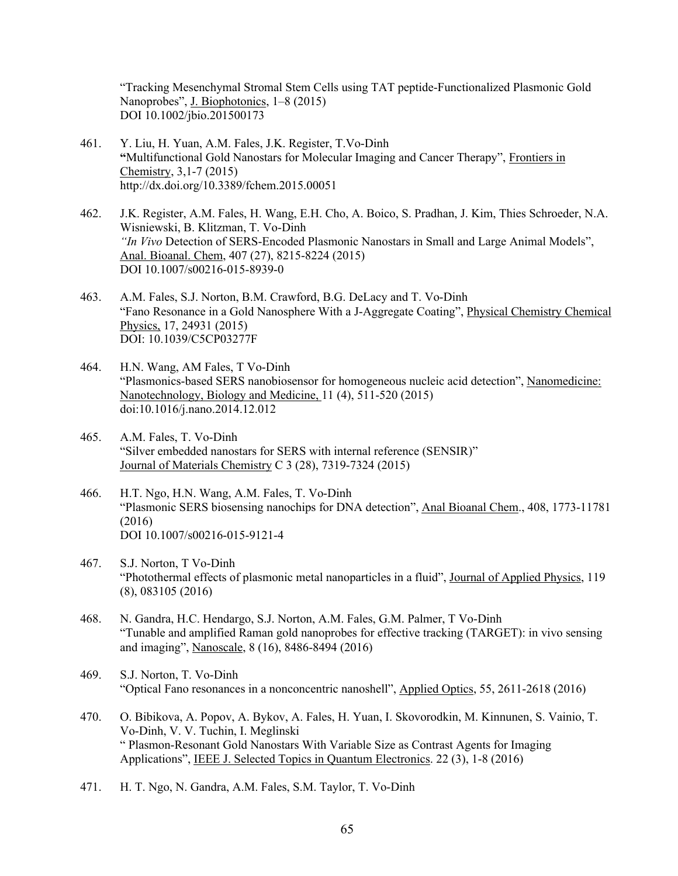"Tracking Mesenchymal Stromal Stem Cells using TAT peptide-Functionalized Plasmonic Gold Nanoprobes", J. Biophotonics, 1–8 (2015) DOI 10.1002/jbio.201500173

- 461. Y. Liu, H. Yuan, A.M. Fales, J.K. Register, T.Vo-Dinh **"**Multifunctional Gold Nanostars for Molecular Imaging and Cancer Therapy", Frontiers in Chemistry, 3,1-7 (2015) http://dx.doi.org/10.3389/fchem.2015.00051
- 462. J.K. Register, A.M. Fales, H. Wang, E.H. Cho, A. Boico, S. Pradhan, J. Kim, Thies Schroeder, N.A. Wisniewski, B. Klitzman, T. Vo-Dinh *"In Vivo* Detection of SERS-Encoded Plasmonic Nanostars in Small and Large Animal Models", Anal. Bioanal. Chem, 407 (27), 8215-8224 (2015) DOI 10.1007/s00216-015-8939-0
- 463. A.M. Fales, S.J. Norton, B.M. Crawford, B.G. DeLacy and T. Vo-Dinh "Fano Resonance in a Gold Nanosphere With a J-Aggregate Coating", Physical Chemistry Chemical Physics, 17, 24931 (2015) DOI: 10.1039/C5CP03277F
- 464. H.N. Wang, AM Fales, T Vo-Dinh "Plasmonics-based SERS nanobiosensor for homogeneous nucleic acid detection", Nanomedicine: Nanotechnology, Biology and Medicine, 11 (4), 511-520 (2015) doi:10.1016/j.nano.2014.12.012
- 465. A.M. Fales, T. Vo-Dinh "Silver embedded nanostars for SERS with internal reference (SENSIR)" Journal of Materials Chemistry C 3 (28), 7319-7324 (2015)
- 466. H.T. Ngo, H.N. Wang, A.M. Fales, T. Vo-Dinh "Plasmonic SERS biosensing nanochips for DNA detection", Anal Bioanal Chem., 408, 1773-11781 (2016) DOI 10.1007/s00216-015-9121-4
- 467. S.J. Norton, T Vo-Dinh "Photothermal effects of plasmonic metal nanoparticles in a fluid", Journal of Applied Physics, 119 (8), 083105 (2016)
- 468. N. Gandra, H.C. Hendargo, S.J. Norton, A.M. Fales, G.M. Palmer, T Vo-Dinh "Tunable and amplified Raman gold nanoprobes for effective tracking (TARGET): in vivo sensing and imaging", Nanoscale, 8 (16), 8486-8494 (2016)
- 469. S.J. Norton, T. Vo-Dinh "Optical Fano resonances in a nonconcentric nanoshell", Applied Optics, 55, 2611-2618 (2016)
- 470. O. Bibikova, A. Popov, A. Bykov, A. Fales, H. Yuan, I. Skovorodkin, M. Kinnunen, S. Vainio, T. Vo-Dinh, V. V. Tuchin, I. Meglinski " Plasmon-Resonant Gold Nanostars With Variable Size as Contrast Agents for Imaging Applications", IEEE J. Selected Topics in Quantum Electronics. 22 (3), 1-8 (2016)
- 471. H. T. Ngo, N. Gandra, A.M. Fales, S.M. Taylor, T. Vo-Dinh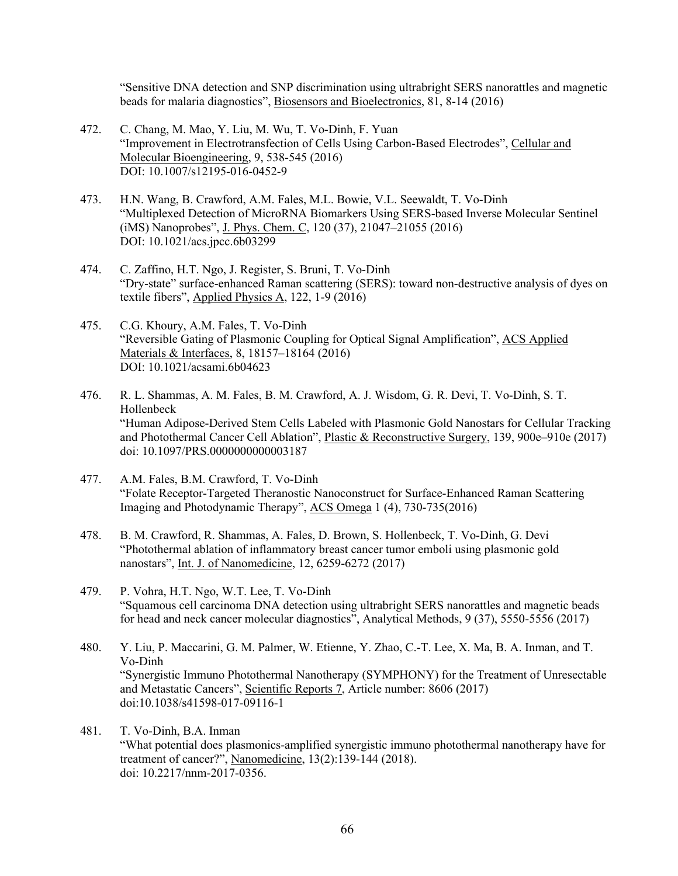"Sensitive DNA detection and SNP discrimination using ultrabright SERS nanorattles and magnetic beads for malaria diagnostics", Biosensors and Bioelectronics, 81, 8-14 (2016)

- 472. C. Chang, M. Mao, Y. Liu, M. Wu, T. Vo-Dinh, F. Yuan "Improvement in Electrotransfection of Cells Using Carbon-Based Electrodes", Cellular and Molecular Bioengineering, 9, 538-545 (2016) DOI: 10.1007/s12195-016-0452-9
- 473. H.N. Wang, B. Crawford, A.M. Fales, M.L. Bowie, V.L. Seewaldt, T. Vo-Dinh "Multiplexed Detection of MicroRNA Biomarkers Using SERS-based Inverse Molecular Sentinel (iMS) Nanoprobes", J. Phys. Chem. C, 120 (37), 21047–21055 (2016) DOI: 10.1021/acs.jpcc.6b03299
- 474. C. Zaffino, H.T. Ngo, J. Register, S. Bruni, T. Vo-Dinh "Dry-state" surface-enhanced Raman scattering (SERS): toward non-destructive analysis of dyes on textile fibers", Applied Physics A, 122, 1-9 (2016)
- 475. C.G. Khoury, A.M. Fales, T. Vo-Dinh "Reversible Gating of Plasmonic Coupling for Optical Signal Amplification", ACS Applied Materials & Interfaces, 8, 18157–18164 (2016) DOI: 10.1021/acsami.6b04623
- 476. R. L. Shammas, A. M. Fales, B. M. Crawford, A. J. Wisdom, G. R. Devi, T. Vo-Dinh, S. T. Hollenbeck "Human Adipose-Derived Stem Cells Labeled with Plasmonic Gold Nanostars for Cellular Tracking and Photothermal Cancer Cell Ablation", Plastic & Reconstructive Surgery, 139, 900e–910e (2017) doi: 10.1097/PRS.0000000000003187
- 477. A.M. Fales, B.M. Crawford, T. Vo-Dinh "Folate Receptor-Targeted Theranostic Nanoconstruct for Surface-Enhanced Raman Scattering Imaging and Photodynamic Therapy", ACS Omega 1 (4), 730-735(2016)
- 478. B. M. Crawford, R. Shammas, A. Fales, D. Brown, S. Hollenbeck, T. Vo-Dinh, G. Devi "Photothermal ablation of inflammatory breast cancer tumor emboli using plasmonic gold nanostars", Int. J. of Nanomedicine, 12, 6259-6272 (2017)
- 479. P. Vohra, H.T. Ngo, W.T. Lee, T. Vo-Dinh "Squamous cell carcinoma DNA detection using ultrabright SERS nanorattles and magnetic beads for head and neck cancer molecular diagnostics", Analytical Methods, 9 (37), 5550-5556 (2017)
- 480. Y. Liu, P. Maccarini, G. M. Palmer, W. Etienne, Y. Zhao, C.-T. Lee, X. Ma, B. A. Inman, and T. Vo-Dinh "Synergistic Immuno Photothermal Nanotherapy (SYMPHONY) for the Treatment of Unresectable and Metastatic Cancers", Scientific Reports 7, Article number: 8606 (2017) doi:10.1038/s41598-017-09116-1
- 481. T. Vo-Dinh, B.A. Inman "What potential does plasmonics-amplified synergistic immuno photothermal nanotherapy have for treatment of cancer?", Nanomedicine, 13(2):139-144 (2018). doi: 10.2217/nnm-2017-0356.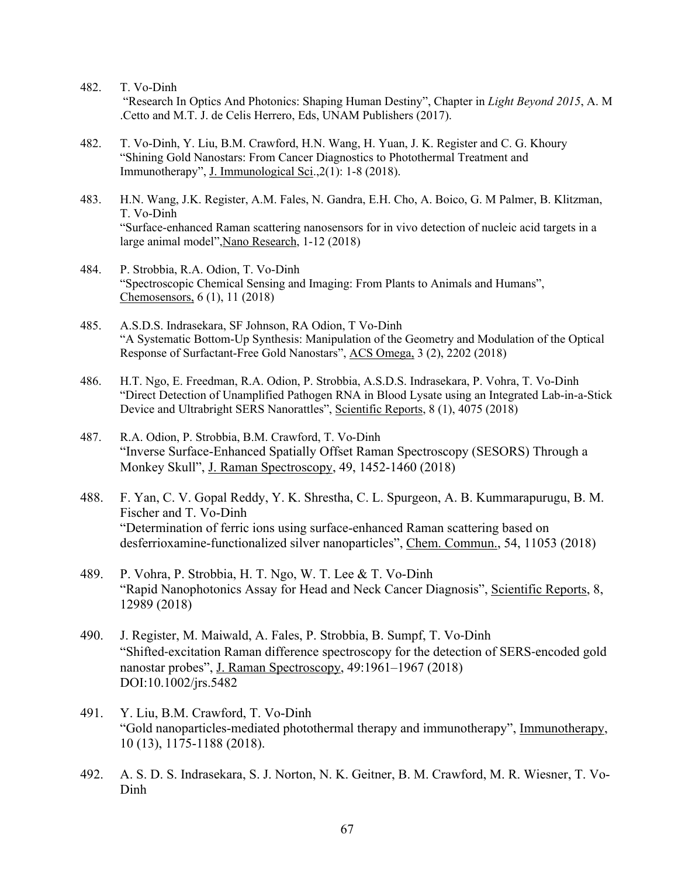- 482. T. Vo-Dinh "Research In Optics And Photonics: Shaping Human Destiny", Chapter in *Light Beyond 2015*, A. M .Cetto and M.T. J. de Celis Herrero, Eds, UNAM Publishers (2017).
- 482. T. Vo-Dinh, Y. Liu, B.M. Crawford, H.N. Wang, H. Yuan, J. K. Register and C. G. Khoury "Shining Gold Nanostars: From Cancer Diagnostics to Photothermal Treatment and Immunotherapy", J. Immunological Sci.,2(1): 1-8 (2018).
- 483. H.N. Wang, J.K. Register, A.M. Fales, N. Gandra, E.H. Cho, A. Boico, G. M Palmer, B. Klitzman, T. Vo-Dinh "Surface-enhanced Raman scattering nanosensors for in vivo detection of nucleic acid targets in a large animal model",Nano Research, 1-12 (2018)
- 484. P. Strobbia, R.A. Odion, T. Vo-Dinh "Spectroscopic Chemical Sensing and Imaging: From Plants to Animals and Humans", Chemosensors, 6 (1), 11 (2018)
- 485. A.S.D.S. Indrasekara, SF Johnson, RA Odion, T Vo-Dinh "A Systematic Bottom-Up Synthesis: Manipulation of the Geometry and Modulation of the Optical Response of Surfactant-Free Gold Nanostars", ACS Omega, 3 (2), 2202 (2018)
- 486. H.T. Ngo, E. Freedman, R.A. Odion, P. Strobbia, A.S.D.S. Indrasekara, P. Vohra, T. Vo-Dinh "Direct Detection of Unamplified Pathogen RNA in Blood Lysate using an Integrated Lab-in-a-Stick Device and Ultrabright SERS Nanorattles", Scientific Reports, 8 (1), 4075 (2018)
- 487. R.A. Odion, P. Strobbia, B.M. Crawford, T. Vo-Dinh "Inverse Surface-Enhanced Spatially Offset Raman Spectroscopy (SESORS) Through a Monkey Skull", J. Raman Spectroscopy, 49, 1452-1460 (2018)
- 488. F. Yan, C. V. Gopal Reddy, Y. K. Shrestha, C. L. Spurgeon, A. B. Kummarapurugu, B. M. Fischer and T. Vo-Dinh "Determination of ferric ions using surface-enhanced Raman scattering based on desferrioxamine-functionalized silver nanoparticles", Chem. Commun., 54, 11053 (2018)
- 489. P. Vohra, P. Strobbia, H. T. Ngo, W. T. Lee & T. Vo-Dinh "Rapid Nanophotonics Assay for Head and Neck Cancer Diagnosis", Scientific Reports, 8, 12989 (2018)
- 490. J. Register, M. Maiwald, A. Fales, P. Strobbia, B. Sumpf, T. Vo-Dinh "Shifted-excitation Raman difference spectroscopy for the detection of SERS-encoded gold nanostar probes", J. Raman Spectroscopy, 49:1961–1967 (2018) DOI:10.1002/jrs.5482
- 491. Y. Liu, B.M. Crawford, T. Vo-Dinh "Gold nanoparticles-mediated photothermal therapy and immunotherapy", Immunotherapy, 10 (13), 1175-1188 (2018).
- 492. A. S. D. S. Indrasekara, S. J. Norton, N. K. Geitner, B. M. Crawford, M. R. Wiesner, T. Vo-Dinh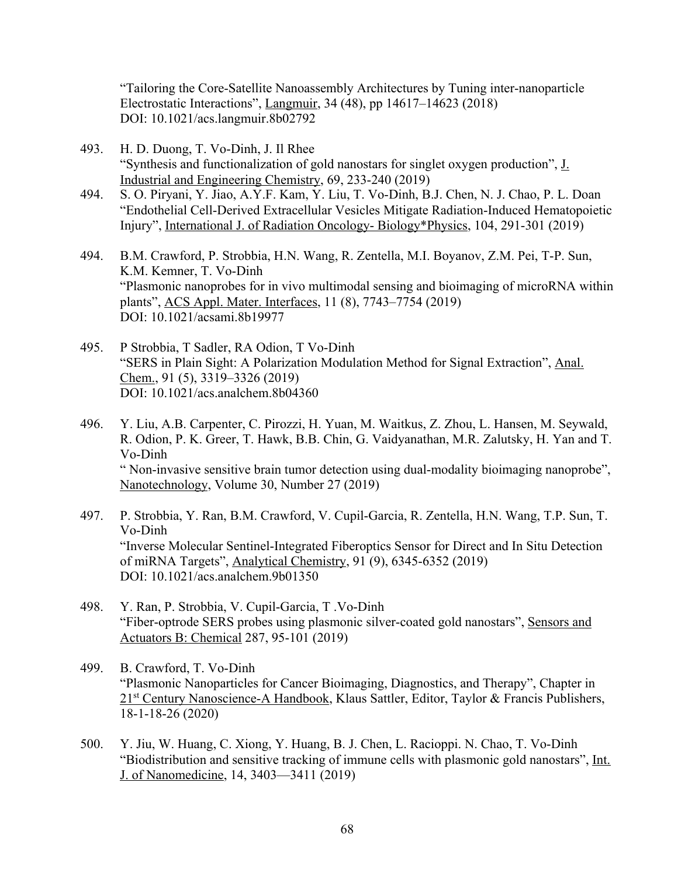"Tailoring the Core-Satellite Nanoassembly Architectures by Tuning inter-nanoparticle Electrostatic Interactions", Langmuir, 34 (48), pp 14617–14623 (2018) DOI: 10.1021/acs.langmuir.8b02792

- 493. H. D. Duong, T. Vo-Dinh, J. Il Rhee "Synthesis and functionalization of gold nanostars for singlet oxygen production", J. Industrial and Engineering Chemistry, 69, 233-240 (2019)
- 494. S. O. Piryani, Y. Jiao, A.Y.F. Kam, Y. Liu, T. Vo-Dinh, B.J. Chen, N. J. Chao, P. L. Doan "Endothelial Cell-Derived Extracellular Vesicles Mitigate Radiation-Induced Hematopoietic Injury", International J. of Radiation Oncology- Biology\*Physics, 104, 291-301 (2019)
- 494. B.M. Crawford, P. Strobbia, H.N. Wang, R. Zentella, M.I. Boyanov, Z.M. Pei, T-P. Sun, K.M. Kemner, T. Vo-Dinh "Plasmonic nanoprobes for in vivo multimodal sensing and bioimaging of microRNA within plants", ACS Appl. Mater. Interfaces, 11 (8), 7743–7754 (2019) DOI: 10.1021/acsami.8b19977
- 495. P Strobbia, T Sadler, RA Odion, T Vo-Dinh "SERS in Plain Sight: A Polarization Modulation Method for Signal Extraction", Anal. Chem., 91 (5), 3319–3326 (2019) DOI: 10.1021/acs.analchem.8b04360
- 496. Y. Liu, A.B. Carpenter, C. Pirozzi, H. Yuan, M. Waitkus, Z. Zhou, L. Hansen, M. Seywald, R. Odion, P. K. Greer, T. Hawk, B.B. Chin, G. Vaidyanathan, M.R. Zalutsky, H. Yan and T. Vo-Dinh " Non-invasive sensitive brain tumor detection using dual-modality bioimaging nanoprobe", Nanotechnology, Volume 30, Number 27 (2019)
- 497. P. Strobbia, Y. Ran, B.M. Crawford, V. Cupil-Garcia, R. Zentella, H.N. Wang, T.P. Sun, T. Vo-Dinh "Inverse Molecular Sentinel-Integrated Fiberoptics Sensor for Direct and In Situ Detection of miRNA Targets", Analytical Chemistry, 91 (9), 6345-6352 (2019) DOI: 10.1021/acs.analchem.9b01350
- 498. Y. Ran, P. Strobbia, V. Cupil-Garcia, T .Vo-Dinh "Fiber-optrode SERS probes using plasmonic silver-coated gold nanostars", Sensors and Actuators B: Chemical 287, 95-101 (2019)
- 499. B. Crawford, T. Vo-Dinh "Plasmonic Nanoparticles for Cancer Bioimaging, Diagnostics, and Therapy", Chapter in 21<sup>st</sup> Century Nanoscience-A Handbook, Klaus Sattler, Editor, Taylor & Francis Publishers, 18-1-18-26 (2020)
- 500. Y. Jiu, W. Huang, C. Xiong, Y. Huang, B. J. Chen, L. Racioppi. N. Chao, T. Vo-Dinh "Biodistribution and sensitive tracking of immune cells with plasmonic gold nanostars", Int. J. of Nanomedicine, 14, 3403—3411 (2019)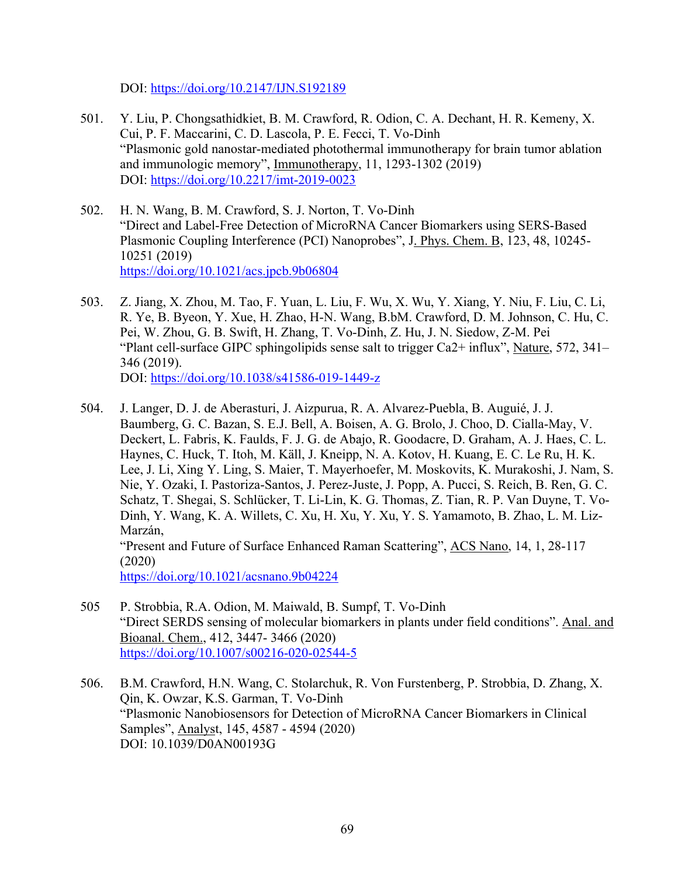DOI: https://doi.org/10.2147/IJN.S192189

- 501. Y. Liu, P. Chongsathidkiet, B. M. Crawford, R. Odion, C. A. Dechant, H. R. Kemeny, X. Cui, P. F. Maccarini, C. D. Lascola, P. E. Fecci, T. Vo-Dinh "Plasmonic gold nanostar-mediated photothermal immunotherapy for brain tumor ablation and immunologic memory", Immunotherapy, 11, 1293-1302 (2019) DOI: https://doi.org/10.2217/imt-2019-0023
- 502. H. N. Wang, B. M. Crawford, S. J. Norton, T. Vo-Dinh "Direct and Label-Free Detection of MicroRNA Cancer Biomarkers using SERS-Based Plasmonic Coupling Interference (PCI) Nanoprobes", J. Phys. Chem. B, 123, 48, 10245- 10251 (2019) https://doi.org/10.1021/acs.jpcb.9b06804
- 503. Z. Jiang, X. Zhou, M. Tao, F. Yuan, L. Liu, F. Wu, X. Wu, Y. Xiang, Y. Niu, F. Liu, C. Li, R. Ye, B. Byeon, Y. Xue, H. Zhao, H-N. Wang, B.bM. Crawford, D. M. Johnson, C. Hu, C. Pei, W. Zhou, G. B. Swift, H. Zhang, T. Vo-Dinh, Z. Hu, J. N. Siedow, Z-M. Pei "Plant cell-surface GIPC sphingolipids sense salt to trigger Ca2+ influx", Nature, 572, 341– 346 (2019). DOI: https://doi.org/10.1038/s41586-019-1449-z
- 504. J. Langer, D. J. de Aberasturi, J. Aizpurua, R. A. Alvarez-Puebla, B. Auguié, J. J. Baumberg, G. C. Bazan, S. E.J. Bell, A. Boisen, A. G. Brolo, J. Choo, D. Cialla-May, V. Deckert, L. Fabris, K. Faulds, F. J. G. de Abajo, R. Goodacre, D. Graham, A. J. Haes, C. L. Haynes, C. Huck, T. Itoh, M. Käll, J. Kneipp, N. A. Kotov, H. Kuang, E. C. Le Ru, H. K. Lee, J. Li, Xing Y. Ling, S. Maier, T. Mayerhoefer, M. Moskovits, K. Murakoshi, J. Nam, S. Nie, Y. Ozaki, I. Pastoriza-Santos, J. Perez-Juste, J. Popp, A. Pucci, S. Reich, B. Ren, G. C. Schatz, T. Shegai, S. Schlücker, T. Li-Lin, K. G. Thomas, Z. Tian, R. P. Van Duyne, T. Vo-Dinh, Y. Wang, K. A. Willets, C. Xu, H. Xu, Y. Xu, Y. S. Yamamoto, B. Zhao, L. M. Liz-Marzán, "Present and Future of Surface Enhanced Raman Scattering", ACS Nano, 14, 1, 28-117 (2020) https://doi.org/10.1021/acsnano.9b04224
- 505 P. Strobbia, R.A. Odion, M. Maiwald, B. Sumpf, T. Vo-Dinh "Direct SERDS sensing of molecular biomarkers in plants under field conditions". Anal. and Bioanal. Chem., 412, 3447- 3466 (2020) https://doi.org/10.1007/s00216-020-02544-5
- 506. B.M. Crawford, H.N. Wang, C. Stolarchuk, R. Von Furstenberg, P. Strobbia, D. Zhang, X. Qin, K. Owzar, K.S. Garman, T. Vo-Dinh "Plasmonic Nanobiosensors for Detection of MicroRNA Cancer Biomarkers in Clinical Samples", Analyst, 145, 4587 - 4594 (2020) DOI: 10.1039/D0AN00193G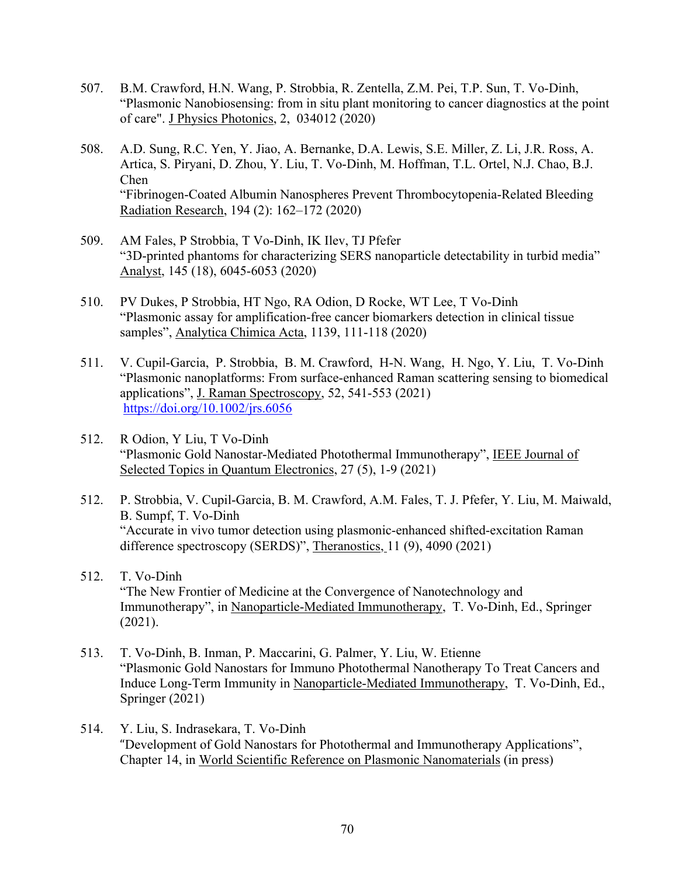- 507. B.M. Crawford, H.N. Wang, P. Strobbia, R. Zentella, Z.M. Pei, T.P. Sun, T. Vo-Dinh, "Plasmonic Nanobiosensing: from in situ plant monitoring to cancer diagnostics at the point of care". J Physics Photonics, 2, 034012 (2020)
- 508. A.D. Sung, R.C. Yen, Y. Jiao, A. Bernanke, D.A. Lewis, S.E. Miller, Z. Li, J.R. Ross, A. Artica, S. Piryani, D. Zhou, Y. Liu, T. Vo-Dinh, M. Hoffman, T.L. Ortel, N.J. Chao, B.J. Chen "Fibrinogen-Coated Albumin Nanospheres Prevent Thrombocytopenia-Related Bleeding Radiation Research, 194 (2): 162–172 (2020)
- 509. AM Fales, P Strobbia, T Vo-Dinh, IK Ilev, TJ Pfefer "3D-printed phantoms for characterizing SERS nanoparticle detectability in turbid media" Analyst, 145 (18), 6045-6053 (2020)
- 510. PV Dukes, P Strobbia, HT Ngo, RA Odion, D Rocke, WT Lee, T Vo-Dinh "Plasmonic assay for amplification-free cancer biomarkers detection in clinical tissue samples", Analytica Chimica Acta, 1139, 111-118 (2020)
- 511. V. Cupil‐Garcia, P. Strobbia, B. M. Crawford, H‐N. Wang, H. Ngo, Y. Liu, T. Vo‐Dinh "Plasmonic nanoplatforms: From surface‐enhanced Raman scattering sensing to biomedical applications", J. Raman Spectroscopy, 52, 541-553 (2021) https://doi.org/10.1002/jrs.6056
- 512. R Odion, Y Liu, T Vo-Dinh "Plasmonic Gold Nanostar-Mediated Photothermal Immunotherapy", IEEE Journal of Selected Topics in Quantum Electronics, 27 (5), 1-9 (2021)
- 512. P. Strobbia, V. Cupil-Garcia, B. M. Crawford, A.M. Fales, T. J. Pfefer, Y. Liu, M. Maiwald, B. Sumpf, T. Vo-Dinh "Accurate in vivo tumor detection using plasmonic-enhanced shifted-excitation Raman difference spectroscopy (SERDS)", Theranostics, 11 (9), 4090 (2021)
- 512. T. Vo-Dinh "The New Frontier of Medicine at the Convergence of Nanotechnology and Immunotherapy", in Nanoparticle-Mediated Immunotherapy, T. Vo-Dinh, Ed., Springer (2021).
- 513. T. Vo-Dinh, B. Inman, P. Maccarini, G. Palmer, Y. Liu, W. Etienne "Plasmonic Gold Nanostars for Immuno Photothermal Nanotherapy To Treat Cancers and Induce Long-Term Immunity in Nanoparticle-Mediated Immunotherapy, T. Vo-Dinh, Ed., Springer (2021)
- 514. Y. Liu, S. Indrasekara, T. Vo-Dinh "Development of Gold Nanostars for Photothermal and Immunotherapy Applications", Chapter 14, in World Scientific Reference on Plasmonic Nanomaterials (in press)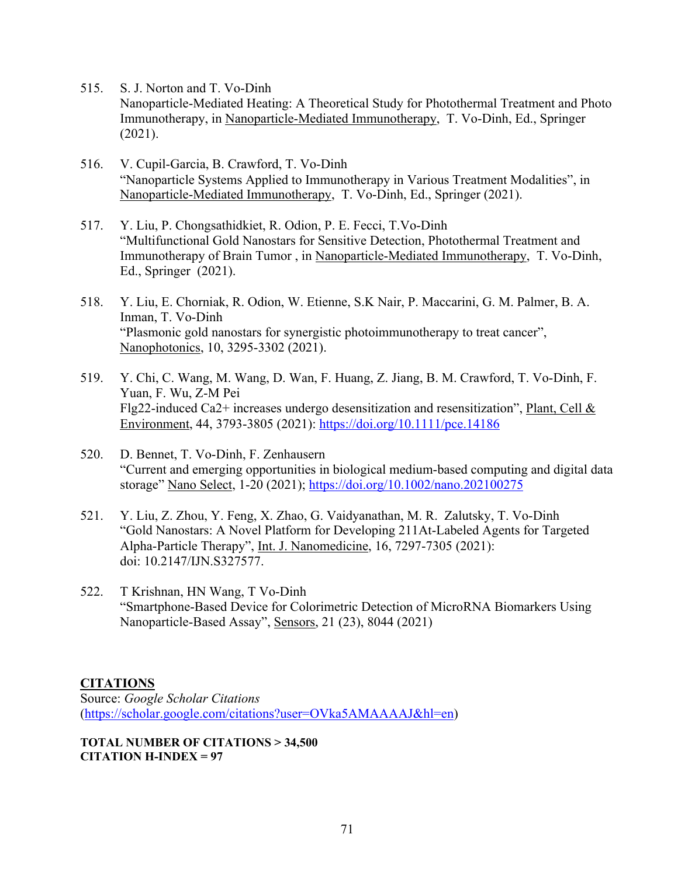- 515. S. J. Norton and T. Vo-Dinh Nanoparticle-Mediated Heating: A Theoretical Study for Photothermal Treatment and Photo Immunotherapy, in Nanoparticle-Mediated Immunotherapy, T. Vo-Dinh, Ed., Springer (2021).
- 516. V. Cupil-Garcia, B. Crawford, T. Vo-Dinh "Nanoparticle Systems Applied to Immunotherapy in Various Treatment Modalities", in Nanoparticle-Mediated Immunotherapy, T. Vo-Dinh, Ed., Springer (2021).
- 517. Y. Liu, P. Chongsathidkiet, R. Odion, P. E. Fecci, T.Vo-Dinh "Multifunctional Gold Nanostars for Sensitive Detection, Photothermal Treatment and Immunotherapy of Brain Tumor , in Nanoparticle-Mediated Immunotherapy, T. Vo-Dinh, Ed., Springer (2021).
- 518. Y. Liu, E. Chorniak, R. Odion, W. Etienne, S.K Nair, P. Maccarini, G. M. Palmer, B. A. Inman, T. Vo-Dinh "Plasmonic gold nanostars for synergistic photoimmunotherapy to treat cancer", Nanophotonics, 10, 3295-3302 (2021).
- 519. Y. Chi, C. Wang, M. Wang, D. Wan, F. Huang, Z. Jiang, B. M. Crawford, T. Vo‐Dinh, F. Yuan, F. Wu, Z‐M Pei Flg22-induced Ca2+ increases undergo desensitization and resensitization", Plant, Cell & Environment, 44, 3793-3805 (2021): https://doi.org/10.1111/pce.14186
- 520. D. Bennet, T. Vo-Dinh, F. Zenhausern "Current and emerging opportunities in biological medium-based computing and digital data storage" Nano Select, 1-20 (2021); https://doi.org/10.1002/nano.202100275
- 521. Y. Liu, Z. Zhou, Y. Feng, X. Zhao, G. Vaidyanathan, M. R. Zalutsky, T. Vo-Dinh "Gold Nanostars: A Novel Platform for Developing 211At-Labeled Agents for Targeted Alpha-Particle Therapy", Int. J. Nanomedicine, 16, 7297-7305 (2021): doi: 10.2147/IJN.S327577.
- 522. T Krishnan, HN Wang, T Vo-Dinh "Smartphone-Based Device for Colorimetric Detection of MicroRNA Biomarkers Using Nanoparticle-Based Assay", Sensors, 21 (23), 8044 (2021)

## **CITATIONS**

Source: *Google Scholar Citations* (https://scholar.google.com/citations?user=OVka5AMAAAAJ&hl=en)

**TOTAL NUMBER OF CITATIONS > 34,500**  $CITATION H-INDEX = 97$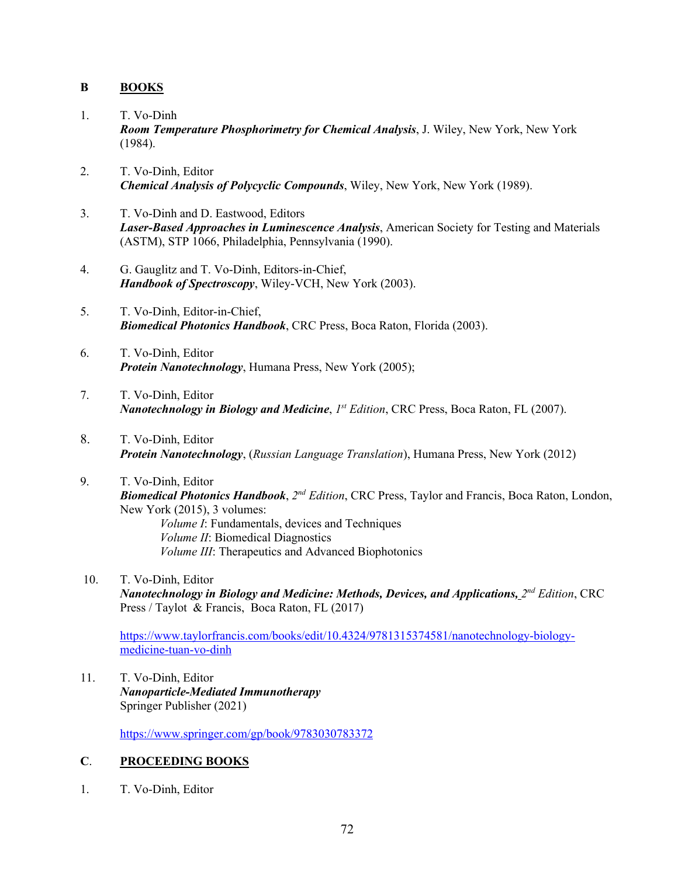## **B BOOKS**

- 1. T. Vo-Dinh *Room Temperature Phosphorimetry for Chemical Analysis*, J. Wiley, New York, New York (1984).
- 2. T. Vo-Dinh, Editor *Chemical Analysis of Polycyclic Compounds*, Wiley, New York, New York (1989).
- 3. T. Vo-Dinh and D. Eastwood, Editors *Laser-Based Approaches in Luminescence Analysis*, American Society for Testing and Materials (ASTM), STP 1066, Philadelphia, Pennsylvania (1990).
- 4. G. Gauglitz and T. Vo-Dinh, Editors-in-Chief, *Handbook of Spectroscopy*, Wiley-VCH, New York (2003).
- 5. T. Vo-Dinh, Editor-in-Chief, *Biomedical Photonics Handbook*, CRC Press, Boca Raton, Florida (2003).
- 6. T. Vo-Dinh, Editor *Protein Nanotechnology*, Humana Press, New York (2005);
- 7. T. Vo-Dinh, Editor *Nanotechnology in Biology and Medicine*, *1st Edition*, CRC Press, Boca Raton, FL (2007).
- 8. T. Vo-Dinh, Editor *Protein Nanotechnology*, (*Russian Language Translation*), Humana Press, New York (2012)
- 9. T. Vo-Dinh, Editor *Biomedical Photonics Handbook*, *2nd Edition*, CRC Press, Taylor and Francis, Boca Raton, London, New York (2015), 3 volumes: *Volume I*: Fundamentals, devices and Techniques *Volume II*: Biomedical Diagnostics *Volume III*: Therapeutics and Advanced Biophotonics
- 10. T. Vo-Dinh, Editor *Nanotechnology in Biology and Medicine: Methods, Devices, and Applications, 2nd Edition*, CRC Press / Taylot & Francis, Boca Raton, FL (2017)

https://www.taylorfrancis.com/books/edit/10.4324/9781315374581/nanotechnology-biologymedicine-tuan-vo-dinh

11. T. Vo-Dinh, Editor *Nanoparticle-Mediated Immunotherapy* Springer Publisher (2021)

https://www.springer.com/gp/book/9783030783372

## **C**. **PROCEEDING BOOKS**

1. T. Vo-Dinh, Editor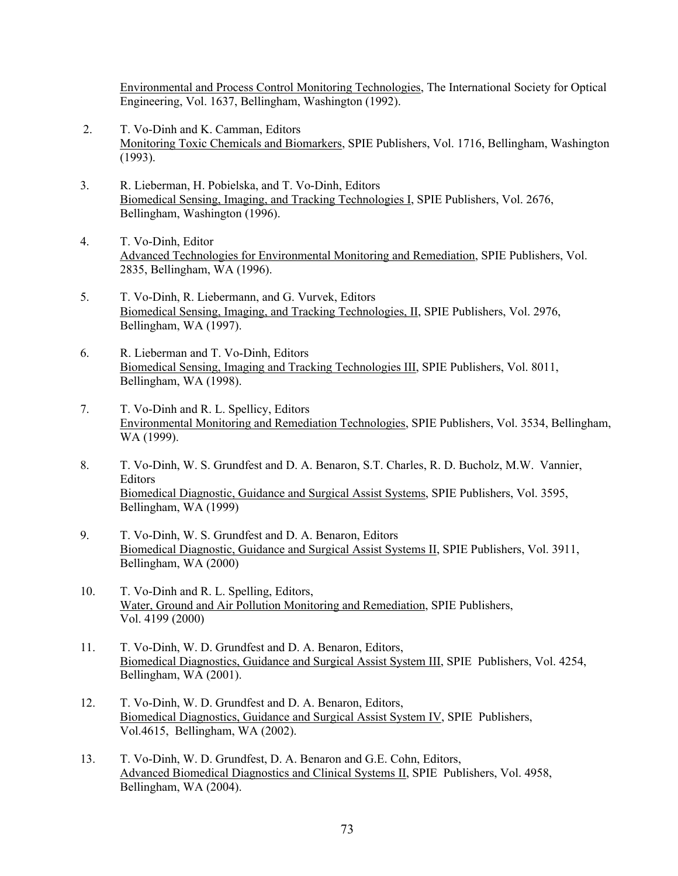Environmental and Process Control Monitoring Technologies, The International Society for Optical Engineering, Vol. 1637, Bellingham, Washington (1992).

- 2. T. Vo-Dinh and K. Camman, Editors Monitoring Toxic Chemicals and Biomarkers, SPIE Publishers, Vol. 1716, Bellingham, Washington (1993).
- 3. R. Lieberman, H. Pobielska, and T. Vo-Dinh, Editors Biomedical Sensing, Imaging, and Tracking Technologies I, SPIE Publishers, Vol. 2676, Bellingham, Washington (1996).
- 4. T. Vo-Dinh, Editor Advanced Technologies for Environmental Monitoring and Remediation, SPIE Publishers, Vol. 2835, Bellingham, WA (1996).
- 5. T. Vo-Dinh, R. Liebermann, and G. Vurvek, Editors Biomedical Sensing, Imaging, and Tracking Technologies, II, SPIE Publishers, Vol. 2976, Bellingham, WA (1997).
- 6. R. Lieberman and T. Vo-Dinh, Editors Biomedical Sensing, Imaging and Tracking Technologies III, SPIE Publishers, Vol. 8011, Bellingham, WA (1998).
- 7. T. Vo-Dinh and R. L. Spellicy, Editors Environmental Monitoring and Remediation Technologies, SPIE Publishers, Vol. 3534, Bellingham, WA (1999).
- 8. T. Vo-Dinh, W. S. Grundfest and D. A. Benaron, S.T. Charles, R. D. Bucholz, M.W. Vannier, Editors Biomedical Diagnostic, Guidance and Surgical Assist Systems, SPIE Publishers, Vol. 3595, Bellingham, WA (1999)
- 9. T. Vo-Dinh, W. S. Grundfest and D. A. Benaron, Editors Biomedical Diagnostic, Guidance and Surgical Assist Systems II, SPIE Publishers, Vol. 3911, Bellingham, WA (2000)
- 10. T. Vo-Dinh and R. L. Spelling, Editors, Water, Ground and Air Pollution Monitoring and Remediation, SPIE Publishers, Vol. 4199 (2000)
- 11. T. Vo-Dinh, W. D. Grundfest and D. A. Benaron, Editors, Biomedical Diagnostics, Guidance and Surgical Assist System III, SPIE Publishers, Vol. 4254, Bellingham, WA (2001).
- 12. T. Vo-Dinh, W. D. Grundfest and D. A. Benaron, Editors, Biomedical Diagnostics, Guidance and Surgical Assist System IV, SPIE Publishers, Vol.4615, Bellingham, WA (2002).
- 13. T. Vo-Dinh, W. D. Grundfest, D. A. Benaron and G.E. Cohn, Editors, Advanced Biomedical Diagnostics and Clinical Systems II, SPIE Publishers, Vol. 4958, Bellingham, WA (2004).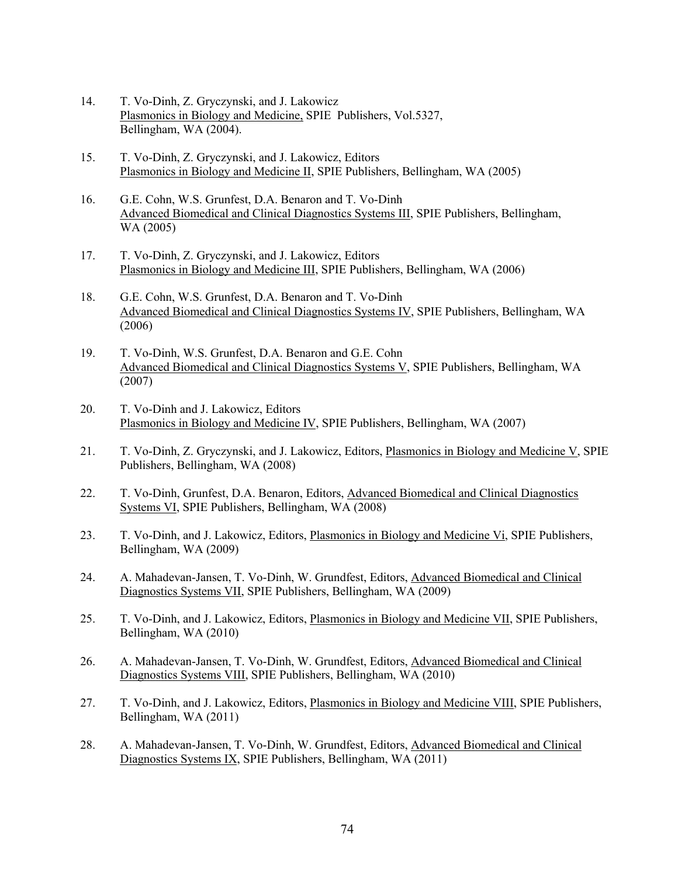- 14. T. Vo-Dinh, Z. Gryczynski, and J. Lakowicz Plasmonics in Biology and Medicine, SPIE Publishers, Vol.5327, Bellingham, WA (2004).
- 15. T. Vo-Dinh, Z. Gryczynski, and J. Lakowicz, Editors Plasmonics in Biology and Medicine II, SPIE Publishers, Bellingham, WA (2005)
- 16. G.E. Cohn, W.S. Grunfest, D.A. Benaron and T. Vo-Dinh Advanced Biomedical and Clinical Diagnostics Systems III, SPIE Publishers, Bellingham, WA (2005)
- 17. T. Vo-Dinh, Z. Gryczynski, and J. Lakowicz, Editors Plasmonics in Biology and Medicine III, SPIE Publishers, Bellingham, WA (2006)
- 18. G.E. Cohn, W.S. Grunfest, D.A. Benaron and T. Vo-Dinh Advanced Biomedical and Clinical Diagnostics Systems IV, SPIE Publishers, Bellingham, WA (2006)
- 19. T. Vo-Dinh, W.S. Grunfest, D.A. Benaron and G.E. Cohn Advanced Biomedical and Clinical Diagnostics Systems V, SPIE Publishers, Bellingham, WA (2007)
- 20. T. Vo-Dinh and J. Lakowicz, Editors Plasmonics in Biology and Medicine IV, SPIE Publishers, Bellingham, WA (2007)
- 21. T. Vo-Dinh, Z. Gryczynski, and J. Lakowicz, Editors, Plasmonics in Biology and Medicine V, SPIE Publishers, Bellingham, WA (2008)
- 22. T. Vo-Dinh, Grunfest, D.A. Benaron, Editors, Advanced Biomedical and Clinical Diagnostics Systems VI, SPIE Publishers, Bellingham, WA (2008)
- 23. T. Vo-Dinh, and J. Lakowicz, Editors, Plasmonics in Biology and Medicine Vi, SPIE Publishers, Bellingham, WA (2009)
- 24. A. Mahadevan-Jansen, T. Vo-Dinh, W. Grundfest, Editors, Advanced Biomedical and Clinical Diagnostics Systems VII, SPIE Publishers, Bellingham, WA (2009)
- 25. T. Vo-Dinh, and J. Lakowicz, Editors, Plasmonics in Biology and Medicine VII, SPIE Publishers, Bellingham, WA (2010)
- 26. A. Mahadevan-Jansen, T. Vo-Dinh, W. Grundfest, Editors, Advanced Biomedical and Clinical Diagnostics Systems VIII, SPIE Publishers, Bellingham, WA (2010)
- 27. T. Vo-Dinh, and J. Lakowicz, Editors, Plasmonics in Biology and Medicine VIII, SPIE Publishers, Bellingham, WA (2011)
- 28. A. Mahadevan-Jansen, T. Vo-Dinh, W. Grundfest, Editors, Advanced Biomedical and Clinical Diagnostics Systems IX, SPIE Publishers, Bellingham, WA (2011)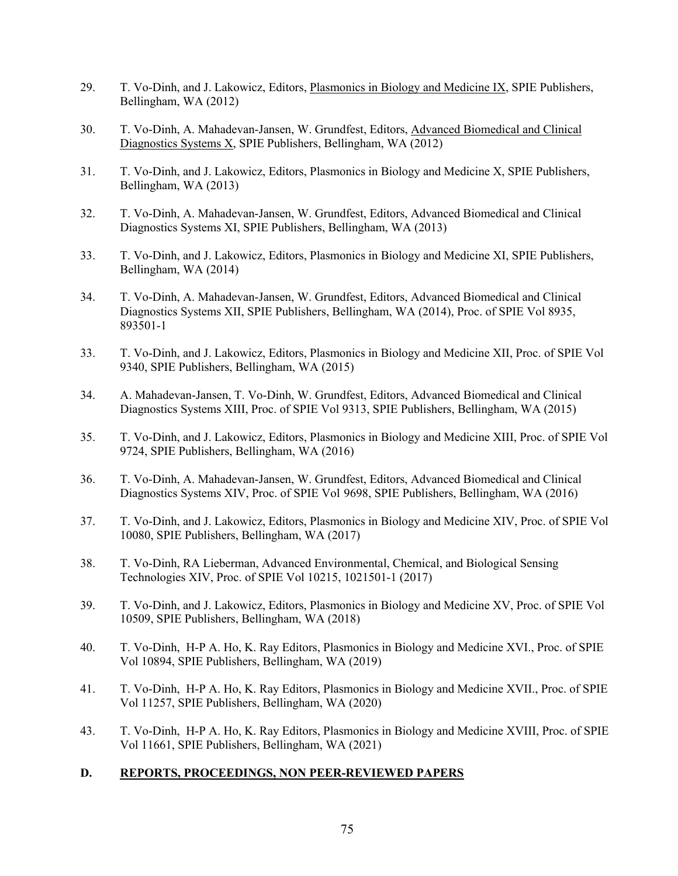- 29. T. Vo-Dinh, and J. Lakowicz, Editors, Plasmonics in Biology and Medicine IX, SPIE Publishers, Bellingham, WA (2012)
- 30. T. Vo-Dinh, A. Mahadevan-Jansen, W. Grundfest, Editors, Advanced Biomedical and Clinical Diagnostics Systems X, SPIE Publishers, Bellingham, WA (2012)
- 31. T. Vo-Dinh, and J. Lakowicz, Editors, Plasmonics in Biology and Medicine X, SPIE Publishers, Bellingham, WA (2013)
- 32. T. Vo-Dinh, A. Mahadevan-Jansen, W. Grundfest, Editors, Advanced Biomedical and Clinical Diagnostics Systems XI, SPIE Publishers, Bellingham, WA (2013)
- 33. T. Vo-Dinh, and J. Lakowicz, Editors, Plasmonics in Biology and Medicine XI, SPIE Publishers, Bellingham, WA (2014)
- 34. T. Vo-Dinh, A. Mahadevan-Jansen, W. Grundfest, Editors, Advanced Biomedical and Clinical Diagnostics Systems XII, SPIE Publishers, Bellingham, WA (2014), Proc. of SPIE Vol 8935, 893501-1
- 33. T. Vo-Dinh, and J. Lakowicz, Editors, Plasmonics in Biology and Medicine XII, Proc. of SPIE Vol 9340, SPIE Publishers, Bellingham, WA (2015)
- 34. A. Mahadevan-Jansen, T. Vo-Dinh, W. Grundfest, Editors, Advanced Biomedical and Clinical Diagnostics Systems XIII, Proc. of SPIE Vol 9313, SPIE Publishers, Bellingham, WA (2015)
- 35. T. Vo-Dinh, and J. Lakowicz, Editors, Plasmonics in Biology and Medicine XIII, Proc. of SPIE Vol 9724, SPIE Publishers, Bellingham, WA (2016)
- 36. T. Vo-Dinh, A. Mahadevan-Jansen, W. Grundfest, Editors, Advanced Biomedical and Clinical Diagnostics Systems XIV, Proc. of SPIE Vol 9698, SPIE Publishers, Bellingham, WA (2016)
- 37. T. Vo-Dinh, and J. Lakowicz, Editors, Plasmonics in Biology and Medicine XIV, Proc. of SPIE Vol 10080, SPIE Publishers, Bellingham, WA (2017)
- 38. T. Vo-Dinh, RA Lieberman, Advanced Environmental, Chemical, and Biological Sensing Technologies XIV, Proc. of SPIE Vol 10215, 1021501-1 (2017)
- 39. T. Vo-Dinh, and J. Lakowicz, Editors, Plasmonics in Biology and Medicine XV, Proc. of SPIE Vol 10509, SPIE Publishers, Bellingham, WA (2018)
- 40. T. Vo-Dinh, H-P A. Ho, K. Ray Editors, Plasmonics in Biology and Medicine XVI., Proc. of SPIE Vol 10894, SPIE Publishers, Bellingham, WA (2019)
- 41. T. Vo-Dinh, H-P A. Ho, K. Ray Editors, Plasmonics in Biology and Medicine XVII., Proc. of SPIE Vol 11257, SPIE Publishers, Bellingham, WA (2020)
- 43. T. Vo-Dinh, H-P A. Ho, K. Ray Editors, Plasmonics in Biology and Medicine XVIII, Proc. of SPIE Vol 11661, SPIE Publishers, Bellingham, WA (2021)

## **D. REPORTS, PROCEEDINGS, NON PEER-REVIEWED PAPERS**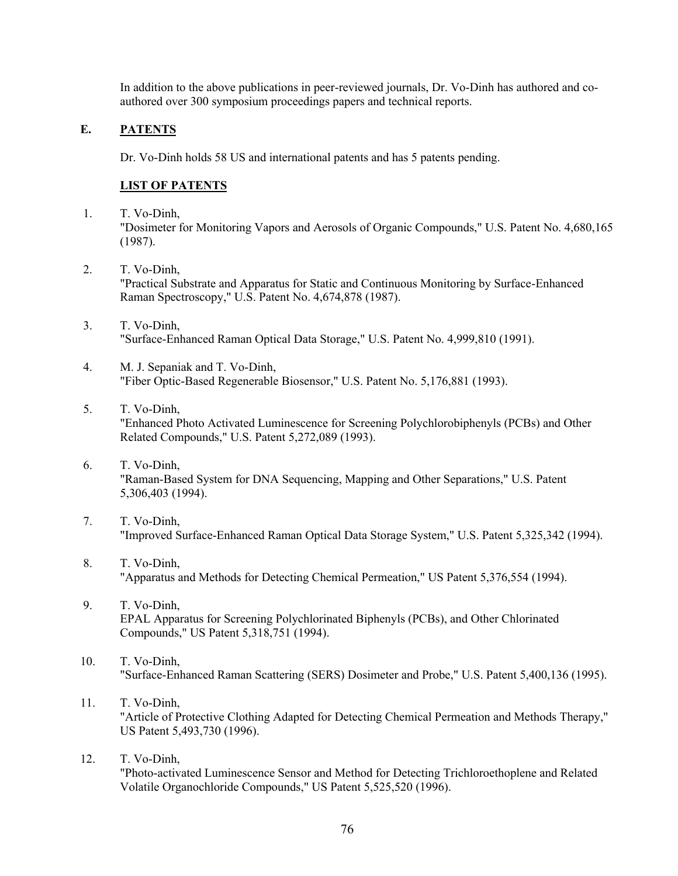In addition to the above publications in peer-reviewed journals, Dr. Vo-Dinh has authored and coauthored over 300 symposium proceedings papers and technical reports.

## **E. PATENTS**

Dr. Vo-Dinh holds 58 US and international patents and has 5 patents pending.

## **LIST OF PATENTS**

- 1. T. Vo-Dinh, "Dosimeter for Monitoring Vapors and Aerosols of Organic Compounds," U.S. Patent No. 4,680,165 (1987).
- 2. T. Vo-Dinh, "Practical Substrate and Apparatus for Static and Continuous Monitoring by Surface-Enhanced Raman Spectroscopy," U.S. Patent No. 4,674,878 (1987).
- 3. T. Vo-Dinh, "Surface-Enhanced Raman Optical Data Storage," U.S. Patent No. 4,999,810 (1991).
- 4. M. J. Sepaniak and T. Vo-Dinh, "Fiber Optic-Based Regenerable Biosensor," U.S. Patent No. 5,176,881 (1993).
- 5. T. Vo-Dinh, "Enhanced Photo Activated Luminescence for Screening Polychlorobiphenyls (PCBs) and Other Related Compounds," U.S. Patent 5,272,089 (1993).
- 6. T. Vo-Dinh, "Raman-Based System for DNA Sequencing, Mapping and Other Separations," U.S. Patent 5,306,403 (1994).
- 7. T. Vo-Dinh, "Improved Surface-Enhanced Raman Optical Data Storage System," U.S. Patent 5,325,342 (1994).
- 8. T. Vo-Dinh, "Apparatus and Methods for Detecting Chemical Permeation," US Patent 5,376,554 (1994).
- 9. T. Vo-Dinh, EPAL Apparatus for Screening Polychlorinated Biphenyls (PCBs), and Other Chlorinated Compounds," US Patent 5,318,751 (1994).
- 10. T. Vo-Dinh, "Surface-Enhanced Raman Scattering (SERS) Dosimeter and Probe," U.S. Patent 5,400,136 (1995).
- 11. T. Vo-Dinh, "Article of Protective Clothing Adapted for Detecting Chemical Permeation and Methods Therapy," US Patent 5,493,730 (1996).
- 12. T. Vo-Dinh, "Photo-activated Luminescence Sensor and Method for Detecting Trichloroethoplene and Related Volatile Organochloride Compounds," US Patent 5,525,520 (1996).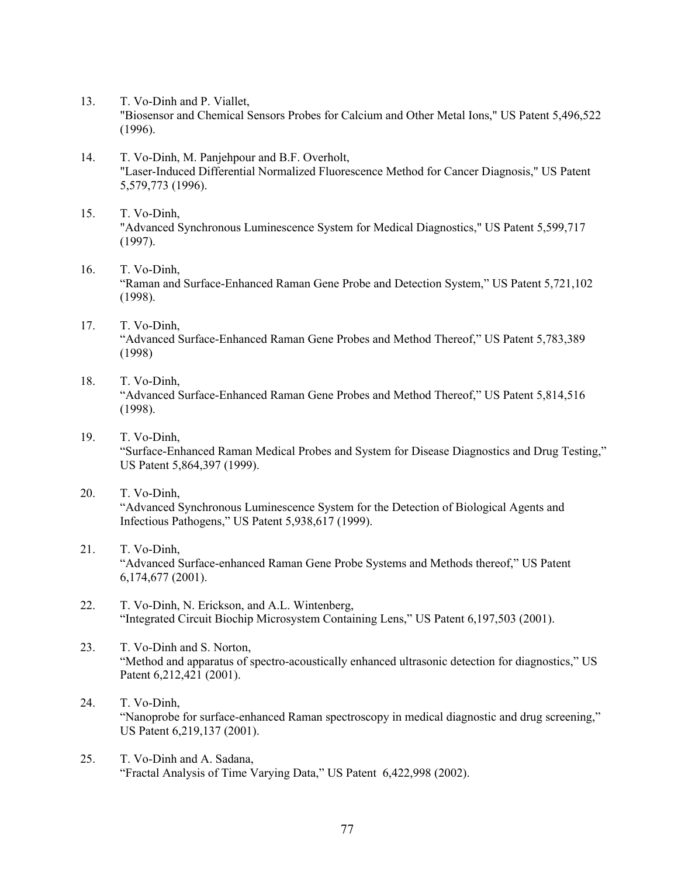- 13. T. Vo-Dinh and P. Viallet, "Biosensor and Chemical Sensors Probes for Calcium and Other Metal Ions," US Patent 5,496,522 (1996).
- 14. T. Vo-Dinh, M. Panjehpour and B.F. Overholt, "Laser-Induced Differential Normalized Fluorescence Method for Cancer Diagnosis," US Patent 5,579,773 (1996).
- 15. T. Vo-Dinh, "Advanced Synchronous Luminescence System for Medical Diagnostics," US Patent 5,599,717 (1997).
- 16. T. Vo-Dinh, "Raman and Surface-Enhanced Raman Gene Probe and Detection System," US Patent 5,721,102 (1998).
- 17. T. Vo-Dinh, "Advanced Surface-Enhanced Raman Gene Probes and Method Thereof," US Patent 5,783,389 (1998)
- 18. T. Vo-Dinh, "Advanced Surface-Enhanced Raman Gene Probes and Method Thereof," US Patent 5,814,516 (1998).
- 19. T. Vo-Dinh, "Surface-Enhanced Raman Medical Probes and System for Disease Diagnostics and Drug Testing," US Patent 5,864,397 (1999).
- 20. T. Vo-Dinh, "Advanced Synchronous Luminescence System for the Detection of Biological Agents and Infectious Pathogens," US Patent 5,938,617 (1999).
- 21. T. Vo-Dinh, "Advanced Surface-enhanced Raman Gene Probe Systems and Methods thereof," US Patent 6,174,677 (2001).
- 22. T. Vo-Dinh, N. Erickson, and A.L. Wintenberg, "Integrated Circuit Biochip Microsystem Containing Lens," US Patent 6,197,503 (2001).
- 23. T. Vo-Dinh and S. Norton, "Method and apparatus of spectro-acoustically enhanced ultrasonic detection for diagnostics," US Patent 6,212,421 (2001).
- 24. T. Vo-Dinh, "Nanoprobe for surface-enhanced Raman spectroscopy in medical diagnostic and drug screening," US Patent 6,219,137 (2001).
- 25. T. Vo-Dinh and A. Sadana, "Fractal Analysis of Time Varying Data," US Patent 6,422,998 (2002).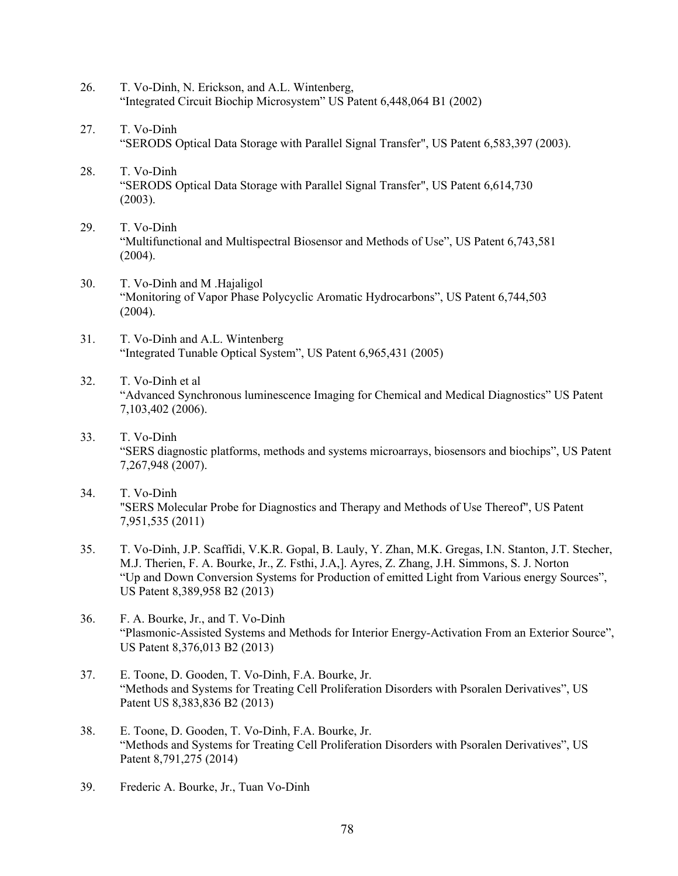- 26. T. Vo-Dinh, N. Erickson, and A.L. Wintenberg, "Integrated Circuit Biochip Microsystem" US Patent 6,448,064 B1 (2002)
- 27. T. Vo-Dinh "SERODS Optical Data Storage with Parallel Signal Transfer", US Patent 6,583,397 (2003).
- 28. T. Vo-Dinh "SERODS Optical Data Storage with Parallel Signal Transfer", US Patent 6,614,730 (2003).
- 29. T. Vo-Dinh "Multifunctional and Multispectral Biosensor and Methods of Use", US Patent 6,743,581 (2004).
- 30. T. Vo-Dinh and M .Hajaligol "Monitoring of Vapor Phase Polycyclic Aromatic Hydrocarbons", US Patent 6,744,503  $(2004).$
- 31. T. Vo-Dinh and A.L. Wintenberg "Integrated Tunable Optical System", US Patent 6,965,431 (2005)
- 32. T. Vo-Dinh et al "Advanced Synchronous luminescence Imaging for Chemical and Medical Diagnostics" US Patent 7,103,402 (2006).
- 33. T. Vo-Dinh "SERS diagnostic platforms, methods and systems microarrays, biosensors and biochips", US Patent 7,267,948 (2007).
- 34. T. Vo-Dinh "SERS Molecular Probe for Diagnostics and Therapy and Methods of Use Thereof", US Patent 7,951,535 (2011)
- 35. T. Vo-Dinh, J.P. Scaffidi, V.K.R. Gopal, B. Lauly, Y. Zhan, M.K. Gregas, I.N. Stanton, J.T. Stecher, M.J. Therien, F. A. Bourke, Jr., Z. Fsthi, J.A,]. Ayres, Z. Zhang, J.H. Simmons, S. J. Norton "Up and Down Conversion Systems for Production of emitted Light from Various energy Sources", US Patent 8,389,958 B2 (2013)
- 36. F. A. Bourke, Jr., and T. Vo-Dinh "Plasmonic-Assisted Systems and Methods for Interior Energy-Activation From an Exterior Source", US Patent 8,376,013 B2 (2013)
- 37. E. Toone, D. Gooden, T. Vo-Dinh, F.A. Bourke, Jr. "Methods and Systems for Treating Cell Proliferation Disorders with Psoralen Derivatives", US Patent US 8,383,836 B2 (2013)
- 38. E. Toone, D. Gooden, T. Vo-Dinh, F.A. Bourke, Jr. "Methods and Systems for Treating Cell Proliferation Disorders with Psoralen Derivatives", US Patent 8,791,275 (2014)
- 39. Frederic A. Bourke, Jr., Tuan Vo-Dinh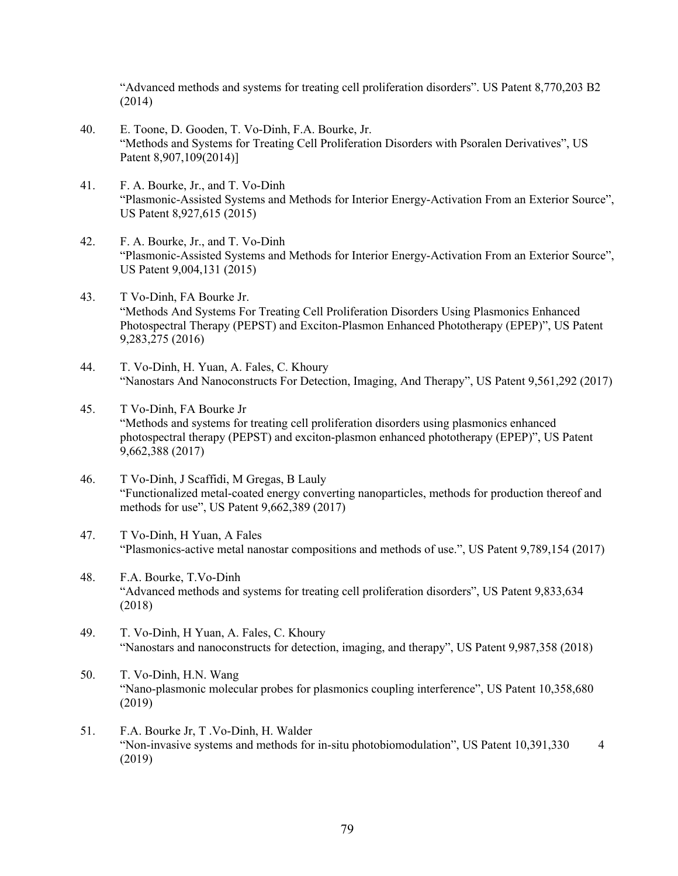"Advanced methods and systems for treating cell proliferation disorders". US Patent 8,770,203 B2 (2014)

- 40. E. Toone, D. Gooden, T. Vo-Dinh, F.A. Bourke, Jr. "Methods and Systems for Treating Cell Proliferation Disorders with Psoralen Derivatives", US Patent 8,907,109(2014)]
- 41. F. A. Bourke, Jr., and T. Vo-Dinh "Plasmonic-Assisted Systems and Methods for Interior Energy-Activation From an Exterior Source", US Patent 8,927,615 (2015)
- 42. F. A. Bourke, Jr., and T. Vo-Dinh "Plasmonic-Assisted Systems and Methods for Interior Energy-Activation From an Exterior Source", US Patent 9,004,131 (2015)
- 43. T Vo-Dinh, FA Bourke Jr. "Methods And Systems For Treating Cell Proliferation Disorders Using Plasmonics Enhanced Photospectral Therapy (PEPST) and Exciton-Plasmon Enhanced Phototherapy (EPEP)", US Patent 9,283,275 (2016)
- 44. T. Vo-Dinh, H. Yuan, A. Fales, C. Khoury "Nanostars And Nanoconstructs For Detection, Imaging, And Therapy", US Patent 9,561,292 (2017)
- 45. T Vo-Dinh, FA Bourke Jr "Methods and systems for treating cell proliferation disorders using plasmonics enhanced photospectral therapy (PEPST) and exciton-plasmon enhanced phototherapy (EPEP)", US Patent 9,662,388 (2017)
- 46. T Vo-Dinh, J Scaffidi, M Gregas, B Lauly "Functionalized metal-coated energy converting nanoparticles, methods for production thereof and methods for use", US Patent 9,662,389 (2017)
- 47. T Vo-Dinh, H Yuan, A Fales "Plasmonics-active metal nanostar compositions and methods of use.", US Patent 9,789,154 (2017)
- 48. F.A. Bourke, T.Vo-Dinh "Advanced methods and systems for treating cell proliferation disorders", US Patent 9,833,634 (2018)
- 49. T. Vo-Dinh, H Yuan, A. Fales, C. Khoury "Nanostars and nanoconstructs for detection, imaging, and therapy", US Patent 9,987,358 (2018)
- 50. T. Vo-Dinh, H.N. Wang "Nano-plasmonic molecular probes for plasmonics coupling interference", US Patent 10,358,680 (2019)
- 51. F.A. Bourke Jr, T .Vo-Dinh, H. Walder "Non-invasive systems and methods for in-situ photobiomodulation", US Patent 10,391,330 4 (2019)